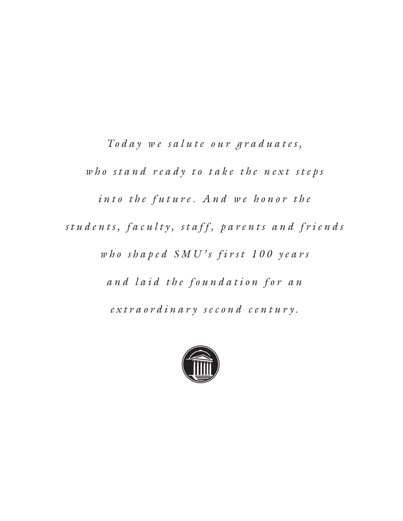Today we salute our graduates, who stand ready to take the next steps *into the future. And we honor the s t u d e n t s , f a c u l t y , s t a f f , p a r e n t s a n d f r i e n d s w h o s h a p e d S M U ' s f i r s t 1 0 0 y e a r s a n d l a i d t h e f o u n d a t i o n f o r a n e x t r a o r d i n a r y s e c o n d c e n t u r y .* 

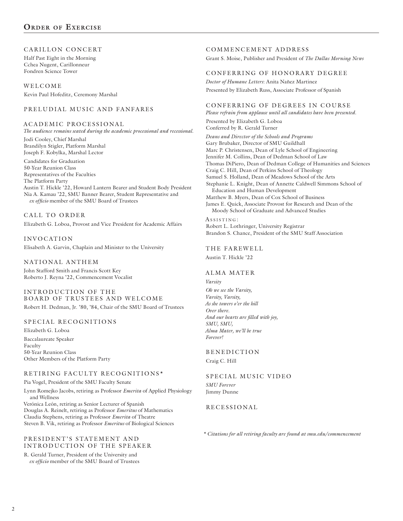### CARILLON CONCERT

Half Past Eight in the Morning Cchea Nugent, Carillonneur Fondren Science Tower

WELCOME Kevin Paul Hofeditz, Ceremony Marshal

### PRELUDIAL MUSIC AND FANFARES

### A CADEMIC PROCESSIONAL

*The audience remains seated during the academic processional and recessional.*

Jodi Cooley, Chief Marshal Brandilyn Stigler, Platform Marshal Joseph F. Kobylka, Marshal Lector

Candidates for Graduation 50-Year Reunion Class Representatives of the Faculties The Platform Party Austin T. Hickle '22, Howard Lantern Bearer and Student Body President Nia A. Kamau '22, SMU Banner Bearer, Student Representative and *ex officio* member of the SMU Board of Trustees

CALL TO ORDER Elizabeth G. Loboa, Provost and Vice President for Academic Affairs

INVOCATION Elisabeth A. Garvin, Chaplain and Minister to the University

NATIONAL ANTHEM John Stafford Smith and Francis Scott Key Roberto J. Reyna '22, Commencement Vocalist

INTRODUCTION OF THE BOARD OF TRUSTEES AND WELCOME Robert H. Dedman, Jr. '80, '84, Chair of the SMU Board of Trustees

### SPECIAL RECOGNITIONS

Elizabeth G. Loboa Baccalaureate Speaker Faculty 50-Year Reunion Class Other Members of the Platform Party

### RETIRING FACULTY RECOGNITIONS\*

Pia Vogel, President of the SMU Faculty Senate

Lynn Romejko Jacobs, retiring as Professor *Emerita* of Applied Physiology and Wellness

Verónica León, retiring as Senior Lecturer of Spanish Douglas A. Reinelt, retiring as Professor *Emeritus* of Mathematics Claudia Stephens, retiring as Professor *Emerita* of Theatre Steven B. Vik, retiring as Professor *Emeritus* of Biological Sciences

### PRESIDENT'S STATEMENT AND INTRODUCTION OF THE SPEAKER

R. Gerald Turner, President of the University and *ex officio* member of the SMU Board of Trustees

### COMMENCEMENT ADDRESS

Grant S. Moise, Publisher and President of *The Dallas Morning News*

### CONFERRING OF HONORARY DEGREE

*Doctor of Humane Letters*: Anita Nañez Martinez Presented by Elizabeth Russ, Associate Professor of Spanish

### CONFERRING OF DEGREES IN COURSE

*Please refrain from applause until all candidates have been presented.* Presented by Elizabeth G. Loboa Conferred by R. Gerald Turner

*Deans and Director of the Schools and Programs* Gary Brubaker, Director of SMU Guildhall Marc P. Christensen, Dean of Lyle School of Engineering Jennifer M. Collins, Dean of Dedman School of Law Thomas DiPiero, Dean of Dedman College of Humanities and Sciences Craig C. Hill, Dean of Perkins School of Theology Samuel S. Holland, Dean of Meadows School of the Arts Stephanie L. Knight, Dean of Annette Caldwell Simmons School of Education and Human Development Matthew B. Myers, Dean of Cox School of Business James E. Quick, Associate Provost for Research and Dean of the Moody School of Graduate and Advanced Studies ASSISTING:

Robert L. Lothringer, University Registrar Brandon S. Chance, President of the SMU Staff Association

## THE FAREWELL

Austin T. Hickle '22

### ALMA MATER

*Varsity Oh we see the Varsity, Varsity, Varsity, As she towers o'er the hill Over there. And our hearts are filled with joy, SMU, SMU, Alma Mater, we'll be true Forever!*

### **BENEDICTION**

Craig C. Hill

### SPECIAL MUSIC VIDEO

*SMU Forever* Jimmy Dunne

### RECESSIONAL

*\* Citations for all retiring faculty are found at smu.edu/commencement*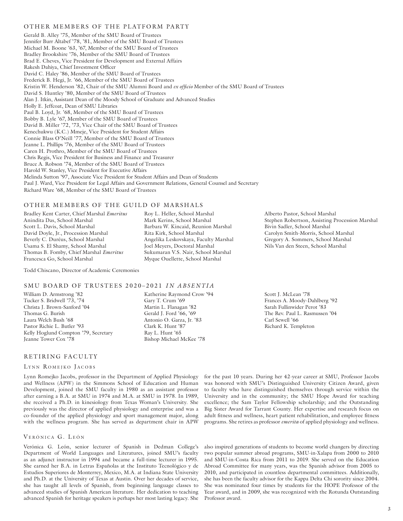### OTHER MEMBERS OF THE PLATFORM PARTY

Gerald B. Alley '75, Member of the SMU Board of Trustees Jennifer Burr Altabef '78, '81, Member of the SMU Board of Trustees Michael M. Boone '63, '67, Member of the SMU Board of Trustees Bradley Brookshire '76, Member of the SMU Board of Trustees Brad E. Cheves, Vice President for Development and External Affairs Rakesh Dahiya, Chief Investment Officer David C. Haley '86, Member of the SMU Board of Trustees Frederick B. Hegi, Jr. '66, Member of the SMU Board of Trustees Kristin W. Henderson '82, Chair of the SMU Alumni Board and *ex officio* Member of the SMU Board of Trustees David S. Huntley '80, Member of the SMU Board of Trustees Alan J. Itkin, Assistant Dean of the Moody School of Graduate and Advanced Studies Holly E. Jeffcoat, Dean of SMU Libraries Paul B. Loyd, Jr. '68, Member of the SMU Board of Trustees Bobby B. Lyle '67, Member of the SMU Board of Trustees David B. Miller '72, '73, Vice Chair of the SMU Board of Trustees Kenechukwu (K.C.) Mmeje, Vice President for Student Affairs Connie Blass O'Neill '77, Member of the SMU Board of Trustees Jeanne L. Phillips '76, Member of the SMU Board of Trustees Caren H. Prothro, Member of the SMU Board of Trustees Chris Regis, Vice President for Business and Finance and Treasurer Bruce A. Robson '74, Member of the SMU Board of Trustees Harold W. Stanley, Vice President for Executive Affairs Melinda Sutton '97, Associate Vice President for Student Affairs and Dean of Students Paul J. Ward, Vice President for Legal Affairs and Government Relations, General Counsel and Secretary Richard Ware '68, Member of the SMU Board of Trustees

### OTHER MEMBERS OF THE GUILD OF MARSHALS

Bradley Kent Carter, Chief Marshal *Emeritus* Anindita Das, School Marshal Scott L. Davis, School Marshal David Doyle, Jr., Procession Marshal Beverly C. Duréus, School Marshal Usama S. El Shamy, School Marshal Thomas B. Fomby, Chief Marshal *Emeritus* Francesca Go, School Marshal

Todd Chiscano, Director of Academic Ceremonies

### SMU BOARD OF TRUSTEES 2020–2021 *IN ABSENTIA*

William D. Armstrong '82 Tucker S. Bridwell '73, '74 Christa J. Brown-Sanford '04 Thomas G. Burish Laura Welch Bush '68 Pastor Richie L. Butler '93 Kelly Hoglund Compton '79, Secretary Jeanne Tower Cox '78

### RETIRING FACULTY

### LYNN ROMEJKO JACOBS

Lynn Romejko Jacobs, professor in the Department of Applied Physiology and Wellness (APW) in the Simmons School of Education and Human Development, joined the SMU faculty in 1980 as an assistant professor after earning a B.A. at SMU in 1974 and M.A. at SMU in 1978. In 1989, she received a Ph.D. in kinesiology from Texas Woman's University. She previously was the director of applied physiology and enterprise and was a co-founder of the applied physiology and sport management major, along with the wellness program. She has served as department chair in APW

### VERÓNICA G. LEÓN

Verónica G. León, senior lecturer of Spanish in Dedman College's Department of World Languages and Literatures, joined SMU's faculty as an adjunct instructor in 1994 and became a full-time lecturer in 1995. She earned her B.A. in Letras Españolas at the Instituto Tecnológico y de Estudios Superiores de Monterrey, Mexico, M.A. at Indiana State University and Ph.D. at the University of Texas at Austin. Over her decades of service, she has taught all levels of Spanish, from beginning language classes to advanced studies of Spanish American literature. Her dedication to teaching advanced Spanish for heritage speakers is perhaps her most lasting legacy. She

Alberto Pastor, School Marshal Stephen Robertson, Assisting Procession Marshal Bivin Sadler, School Marshal Carolyn Smith-Morris, School Marshal Gregory A. Sommers, School Marshal Nils Van den Steen, School Marshal

Katherine Raymond Crow '94 Gary T. Crum '69 Martin L. Flanagan '82 Gerald J. Ford '66, '69 Antonio O. Garza, Jr. '83 Clark K. Hunt '87 Ray L. Hunt '65 Bishop Michael McKee '78

Roy L. Heller, School Marshal Mark Kerins, School Marshal Barbara W. Kincaid, Reunion Marshal

Angelika Leskovskaya, Faculty Marshal Joel Meyers, Doctoral Marshal Sukumaran V.S. Nair, School Marshal Myque Ouellette, School Marshal

Rita Kirk, School Marshal

for the past 10 years. During her 42-year career at SMU, Professor Jacobs was honored with SMU's Distinguished University Citizen Award, given to faculty who have distinguished themselves through service within the University and in the community; the SMU Hope Award for teaching excellence; the Sam Taylor Fellowship scholarship; and the Outstanding Big Sister Award for Tarrant County. Her expertise and research focus on adult fitness and wellness, heart patient rehabilitation, and employee fitness

programs. She retires as professor *emerita* of applied physiology and wellness.

Scott J. McLean '78

Carl Sewell '66 Richard K. Templeton

Frances A. Moody-Dahlberg '92 Sarah Fullinwider Perot '83 The Rev. Paul L. Rasmussen '04

also inspired generations of students to become world changers by directing two popular summer abroad programs, SMU-in-Xalapa from 2000 to 2010 and SMU-in-Costa Rica from 2011 to 2019. She served on the Education Abroad Committee for many years, was the Spanish advisor from 2005 to 2010, and participated in countless departmental committees. Additionally, she has been the faculty advisor for the Kappa Delta Chi sorority since 2004. She was nominated four times by students for the HOPE Professor of the Year award, and in 2009, she was recognized with the Rotunda Outstanding Professor award.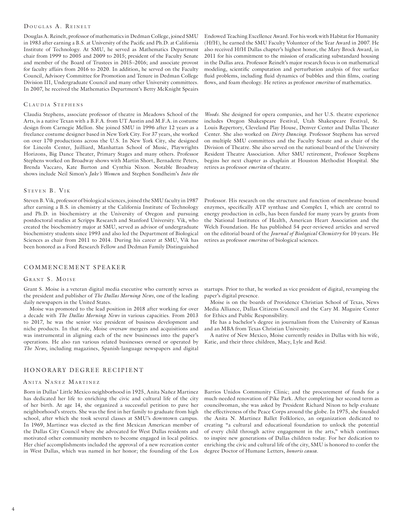### DOUGLAS A. REINELT

Douglas A. Reinelt, professor of mathematics in Dedman College, joined SMU in 1983 after earning a B.S. at University of the Pacific and Ph.D. at California Institute of Technology. At SMU, he served as Mathematics Department chair from 1999 to 2005 and 2009 to 2015; president of the Faculty Senate and member of the Board of Trustees in 2015–2016; and associate provost for faculty affairs from 2016 to 2020. In addition, he served on the Faculty Council, Advisory Committee for Promotion and Tenure in Dedman College Division III, Undergraduate Council and many other University committees. In 2007, he received the Mathematics Department's Betty McKnight Speairs

### CLAUDIA STEPHENS

Claudia Stephens, associate professor of theatre in Meadows School of the Arts, is a native Texan with a B.F.A. from UT Austin and M.F.A. in costume design from Carnegie Mellon. She joined SMU in 1996 after 12 years as a freelance costume designer based in New York City. For 37 years, she worked on over 170 productions across the U.S. In New York City, she designed for Lincoln Center, Juilliard, Manhattan School of Music, Playwrights Horizons, Big Dance Theater, Primary Stages and many others. Professor Stephens worked on Broadway shows with Martin Short, Bernadette Peters, Brenda Vaccaro, Kate Burton and Cynthia Nixon. Notable Broadway shows include Neil Simon's *Jake's Women* and Stephen Sondheim's *Into the* 

### STEVEN B. VIK

Steven B. Vik, professor of biological sciences, joined the SMU faculty in 1987 after earning a B.S. in chemistry at the California Institute of Technology and Ph.D. in biochemistry at the University of Oregon and pursuing postdoctoral studies at Scripps Research and Stanford University. Vik, who created the biochemistry major at SMU, served as advisor of undergraduate biochemistry students since 1993 and also led the Department of Biological Sciences as chair from 2011 to 2014. During his career at SMU, Vik has been honored as a Ford Research Fellow and Dedman Family Distinguished

### COMMENCEMENT SPEAKER

### GRANT S. MOISE

Grant S. Moise is a veteran digital media executive who currently serves as the president and publisher of *The Dallas Morning News*, one of the leading daily newspapers in the United States.

Moise was promoted to the lead position in 2018 after working for over a decade with *The Dallas Morning News* in various capacities. From 2013 to 2017, he was the senior vice president of business development and niche products. In that role, Moise oversaw mergers and acquisitions and was instrumental in aligning each of the new businesses into the paper's operations. He also ran various related businesses owned or operated by *The News*, including magazines, Spanish-language newspapers and digital

### HONORARY DEGREE RECIPIENT

### ANITA NAÑEZ MARTINEZ

Born in Dallas' Little Mexico neighborhood in 1925, Anita Nañez Martinez has dedicated her life to enriching the civic and cultural life of the city of her birth. At age 14, she organized a successful petition to pave her neighborhood's streets. She was the first in her family to graduate from high school, after which she took several classes at SMU's downtown campus. In 1969, Martinez was elected as the first Mexican American member of the Dallas City Council where she advocated for West Dallas residents and motivated other community members to become engaged in local politics. Her chief accomplishments included the approval of a new recreation center in West Dallas, which was named in her honor; the founding of the Los

Endowed Teaching Excellence Award. For his work with Habitat for Humanity (HfH), he earned the SMU Faculty Volunteer of the Year Award in 2007. He also received HfH Dallas chapter's highest honor, the Mary Brock Award, in 2011 for his commitment to the mission of eradicating substandard housing in the Dallas area. Professor Reinelt's major research focus is on mathematical modeling, scientific computation and perturbation analysis of free surface fluid problems, including fluid dynamics of bubbles and thin films, coating flows, and foam rheology. He retires as professor *emeritus* of mathematics.

*Woods*. She designed for opera companies, and her U.S. theatre experience includes Oregon Shakespeare Festival, Utah Shakespeare Festival, St. Louis Repertory, Cleveland Play House, Denver Center and Dallas Theater Center. She also worked on *Dirty Dancing*. Professor Stephens has served on multiple SMU committees and the Faculty Senate and as chair of the Division of Theatre. She also served on the national board of the University Resident Theatre Association. After SMU retirement, Professor Stephens begins her next chapter as chaplain at Houston Methodist Hospital. She retires as professor *emerita* of theatre.

Professor. His research on the structure and function of membrane-bound enzymes, specifically ATP synthase and Complex I, which are central to energy production in cells, has been funded for many years by grants from the National Institutes of Health, American Heart Association and the Welch Foundation. He has published 54 peer-reviewed articles and served on the editorial board of the *Journal of Biological Chemistry* for 10 years. He retires as professor *emeritus* of biological sciences.

startups. Prior to that, he worked as vice president of digital, revamping the paper's digital presence.

Moise is on the boards of Providence Christian School of Texas, News Media Alliance, Dallas Citizens Council and the Cary M. Maguire Center for Ethics and Public Responsibility.

He has a bachelor's degree in journalism from the University of Kansas and an MBA from Texas Christian University.

A native of New Mexico, Moise currently resides in Dallas with his wife, Katie, and their three children, Macy, Lyle and Reid.

Barrios Unidos Community Clinic; and the procurement of funds for a much-needed renovation of Pike Park. After completing her second term as councilwoman, she was asked by President Richard Nixon to help evaluate the effectiveness of the Peace Corps around the globe. In 1975, she founded the Anita N. Martinez Ballet Folklorico, an organization dedicated to creating "a cultural and educational foundation to unlock the potential of every child through active engagement in the arts," which continues to inspire new generations of Dallas children today. For her dedication to enriching the civic and cultural life of the city, SMU is honored to confer the degree Doctor of Humane Letters, *honoris causa*.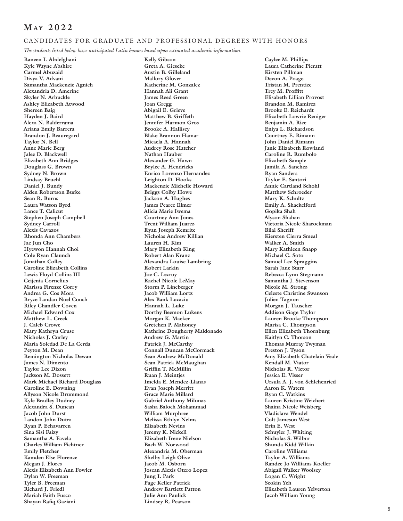## **May 2 0 2 2**

### CANDIDATES FOR GRADUATE AND PROFESSIONAL DEGREES WITH HONORS

*The students listed below have anticipated Latin honors based upon estimated academic information.*

**Raneen I. Abdelghani Kyle Wayne Abshire Carmel Abuzaid Divya V. Advani Samantha Mackenzie Agnich Alexandria D. Amerine Skyler N. Arbuckle Ashley Elizabeth Atwood Shereen Baig Hayden J. Baird Alexa N. Balderrama Ariana Emily Barrera Brandon J. Beauregard Taylor N. Bell Anne Marie Berg Jalee D. Blackwell Elizabeth Ann Bridges Douglass G. Brown Sydney N. Brown Lindsay Bruehl Daniel J. Bundy Alden Robertson Burke Sean R. Burns Laura Watson Byrd Lance T. Calicut Stephen Joseph Campbell Sydney Carroll Alexis Cavazos Rhonda Ann Chambers Jae Jun Cho Hyewon Hannah Choi Cole Ryan Claunch Jonathan Colley Caroline Elizabeth Collins Lewis Floyd Collins III Ceijenia Cornelius Marissa Firenze Corry Andrea G. Cos Mora Bryce Landan Noel Couch Riley Chandler Coven Michael Edward Cox Matthew L. Creek J. Caleb Crowe Mary Kathryn Cruse Nicholas J. Curley Maria Soledad De La Cerda Peyton M. Dean Remington Nicholas Dewan James N. Dimento Taylor Lee Dixon Jackson M. Dossett Mark Michael Richard Douglass Caroline E. Downing Allyson Nicole Drummond Kyle Bradley Dudney Alexandra S. Duncan Jacob John Durst Landon John Dutra Ryan P. Echavarren Sina Sisi Faizy Samantha A. Favela Charles William Fichtner Emily Fletcher Kamden Else Florence Megan J. Flores Alexis Elizabeth Ann Fowler Dylan W. Freeman Tyler B. Freeman Richard J. Friedl Mariah Faith Fusco Shayan Rafiq Gaziani** 

**Kelly Gibson Greta A. Gieseke Austin B. Gilleland Mallory Glover Katherine M. Gonzalez Hannah Ali Grant James Reed Green Joan Gregg Abigail E. Grieve Matthew B. Griffeth Jennifer Harmon Gros Brooke A. Hallisey Blake Brannon Hamar Micaela A. Hannah Audrey Rose Hatcher Nathan Hauber Alexander G. Hawn Brylee A. Hendricks Enrico Lorenzo Hernandez Leighton D. Hooks Mackenzie Michelle Howard Briggs Colby Howe Jackson A. Hughes James Pearce Illmer Alicia Marie Iwema Courtney Ann Jones Trent William Juarez Ryan Joseph Kemrite Nicholas Andrew Killian Lauren H. Kim Mary Elizabeth King Robert Alan Kranz Alexandra Louise Lambring Robert Larkin Joe C. Lecroy Rachel Nicole LeMay Storm P. Lineberger Jacob William Lortz Alex Bank Lucaciu Hannah L. Luke Dorthy Beemon Lukens Morgan K. Maeker Gretchen P. Mahoney Kathrine Dougherty Maldonado Andrew G. Martin Patrick J. McCarthy Connall Duncan McCormack Sean Andrew McDonald Sean Patrick McMaughan Griffin T. McMillin Ruan J. Meintjes Imelda E. Mendez-Llanas Evan Joseph Merritt Grace Marie Millard Gabriel Anthony Milunas Sasha Baloch Mohammad William Murphree Melissa Ethlyn Nelms Elizabeth Nevins Jeremy K. Nickell Elizabeth Irene Nielson Bach W. Norwood Alexandria M. Oberman Shelby Leigh Olive Jacob M. Osborn Josean Alexis Otero Lopez Jung I. Park Page Keller Patrick Andrew Bartlett Patton Julie Ann Paulick Lindsey R. Pearson** 

**Caylee M. Phillips Laura Catherine Pieratt Kirsten Pillman Devon A. Poage Tristan M. Prentice Trey M. Proffitt Elisabeth Lillian Provost Brandon M. Ramirez Brooke E. Reichardt Elizabeth Lowrie Reniger Benjamin A. Rice Eniya L. Richardson Courtney E. Rimann John Daniel Rimann Janie Elizabeth Rowland Caroline R. Rumbolo Elizabeth Sample Jamila A. Sanchez Ryan Sanders Taylor E. Santori Annie Cartland Schohl Matthew Schroeder Mary K. Schultz Emily A. Shackelford Gopika Shah Alyson Shahan Victoria Nicole Sharockman Bilal Sheriff Kiersten Cierra Smeal Walker A. Smith Mary Kathleen Snapp Michael C. Soto Samuel Lee Spraggins Sarah Jane Starr Rebecca Lynn Stegmann Samantha J. Stevenson Nicole M. Strong Celeste Christine Swanson Julien Tagnon Morgan J. Tauscher Addison Gage Taylor Lauren Brooke Thompson Marisa C. Thompson Ellen Elizabeth Thornburg Kaitlyn C. Thorson Thomas Murray Twyman Preston J. Tyson Amy Elizabeth Chatelain Veale Kendall M. Viator Nicholas R. Victor Jessica E. Visser Ursula A. J. von Schlehenried Aaron K. Waters Ryan C. Watkins Lauren Kristine Weichert Shaina Nicole Weisberg Vladislava Wendel Colt Jameson West Erin E. West Schuyler J. Whiting Nicholas S. Wilbur Shunda Kidd Wilkin Caroline Williams Taylor A. Williams Randee Jo Williams Koeller Abigail Walker Woolsey Logan C. Wright Seokin Yeh Elizabeth Lauren Yelverton Jacob William Young**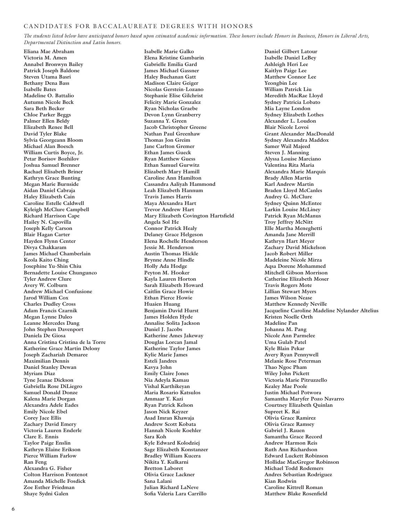### CANDIDATES FOR BACCALAUREATE DEGREES WITH HONORS

*The students listed below have anticipated honors based upon estimated academic information. These honors include Honors in Business, Honors in Liberal Arts, Departmental Distinction and Latin honors.* 

**Eliana Mae Abraham Victoria M. Amen Annabel Bronwyn Bailey Patrick Joseph Baldone Steven Utama Basri Bethany Dena Bass Isabelle Bates Madeline O. Battalio Autumn Nicole Beck Sara Beth Becker Chloe Parker Beggs Palmer Ellen Beldy Elizabeth Renee Bell David Tyler Blake Sylvia Georgeann Bloom Michael Alan Boesch William Curtis Boyce, Jr. Petar Borisov Bozhilov Joshua Samuel Brenner Rachael Elisabeth Briner Kathryn Grace Bunting Megan Marie Burnside Aidan Daniel Cabraja Haley Elizabeth Cain Caroline Estelle Caldwell Kyleigh McClure Campbell Richard Harrison Cape Hailey N. Capovilla Joseph Kelly Carson Blair Hagan Carter Hayden Flynn Center Divya Chakkaram James Michael Chamberlain Keola Kaito Ching Josephine Yu-Shin Chiu Bernadette Louise Chungunco Tyler Andrew Clure Avery W. Colburn Andrew Michael Confusione Jarod William Cox Charles Dudley Cross Adam Francis Czarnik Megan Lynne Daleo Leanne Mercedes Dang John Stephen Davenport Daniela De Giosa Anna Cristina Cristina de la Torre Katherine Grace Martin Delony Joseph Zachariah Demaree Maximilian Dennis Daniel Stanley Dewan Myriam Diaz Tyne Jeanae Dickson Gabriella Rose DiLiegro Samuel Donald Donze Kalena Marie Dorgan Alexandra Adele Eades Emily Nicole Ebel Corey Jace Ellis Zachary David Emery Victoria Lauren Enderle Clare E. Ennis Taylor Paige Enslin Kathryn Elaine Erikson Pierce William Farlow Ran Feng Alexandra G. Fisher Colton Harrison Fontenot Amanda Michelle Fosdick Zoe Esther Friedman Shaye Sydni Galen** 

**Isabelle Marie Galko Elena Kristine Gambarin Gabrielle Emilia Gard James Michael Gassner Haley Buchanan Gatt Madison Claire Geiger Nicolas Gerstein-Lozano Stephanie Elise Gilchrist Felicity Marie Gonzalez Ryan Nicholas Graebe Devon Lynn Granberry Suzanna Y. Green Jacob Christopher Greene Nathan Paul Greenhaw Thomas Jon Greim Jane Carlton Gremer Ethan James Gueck Ryan Matthew Guess Ethan Samuel Gurwitz Elizabeth Mary Hamill Caroline Ann Hamilton Cassandra Aaliyah Hammond Leah Elizabeth Hannum Travis James Harris Maya Alexandra Hart Trevor Andrew Hart Mary Elizabeth Covington Hartsfield Angela Sol He Connor Patrick Healy Delaney Grace Helgeson Elena Rochelle Henderson Jessie M. Henderson Austin Thomas Hickle Brynne Anne Hindle Holly Ada Hodge Peyton M. Hooker Kayla Lauren Horton Sarah Elizabeth Howard Caitlin Grace Howie Ethan Pierce Howie Huaien Huang Benjamin David Hurst James Holden Hyde Annalise Solita Jackson Daniel J. Jacobs Katherine Ames Jakeway Douglas Lorcan Jamal Katherine Taylor James Kylie Marie James Estelí Jandres Kavya John Emily Claire Jones Nia Adeyla Kamau Vishal Karthikeyan Maria Rosario Katsulos Ammaar Y. Kazi Ryan Patrick Kelson Jason Nick Keyzer Asad Imran Khawaja Andrew Scott Kobata Hannah Nicole Koehler Sara Koh Kyle Edward Kolodziej Sage Elizabeth Konstanzer Bradley William Kucera Nikita Y. Kulkarni Bretton Laboret Olivia Grace Lackner Sana Lalani Julian Richard LaNeve Sofia Valeria Lara Carrillo** 

**Daniel Gilbert Latour Isabelle Daniel LeBey Ashleigh Heri Lee Kaitlyn Paige Lee Matthew Connor Lee Yeongbin Lee William Patrick Liu Meredith MacRae Lloyd Sydney Patricia Lobato Mia Layne London Sydney Elizabeth Lothes Alexander L. Loudon Blair Nicole Lovoi Grant Alexander MacDonald Sydney Alexandra Maddox Samer Wail Majeed Steven J. Manning Alyssa Louise Marciano Valentina Rita Maria Alexandra Marie Marquis Brady Allen Martin Karl Andrew Martin Braden Lloyd McCanles Audrey G. McClure Sydney Quinn McEntee Larkin Louise McLiney Patrick Ryan McManus Troy Jeffrey McNitt Elle Martha Meneghetti Amanda Jane Merrill Kathryn Hart Meyer Zachary David Mickelson Jacob Robert Miller Madeleine Nicole Mirza Aqsa Dorene Mohammed Mitchell Gibson Morrison Catherine Elizabeth Moser Travis Rogers Mote Lillian Stewart Myers James Wilson Nease Matthew Kennedy Neville Jacqueline Caroline Madeline Nylander Altelius Kristen Noelle Orth Madeline Pan Johanna M. Pang Nicole Ann Parmelee Uma Gulab Patel Kyle Blain Pekar Avery Ryan Pennywell Melanie Rose Peterman Thao Ngoc Pham Wiley John Pickett Victoria Marie Pitruzzello Kealey Mae Poole Justin Michael Potwora Samantha Maryfer Pozo Navarro Courtney Elizabeth Quinlan Supreet K. Rai Olivia Grace Ramirez Olivia Grace Ramsey Gabriel J. Rauen Samantha Grace Record Andrew Harmon Reis Ruth Ann Richardson Edward Luckett Robinson Hollidae MacGregor Robinson Michael Todd Rodemers Andres Sebastian Rodriguez Kian Rodwin Caroline Kittrell Roman Matthew Blake Rosenfield**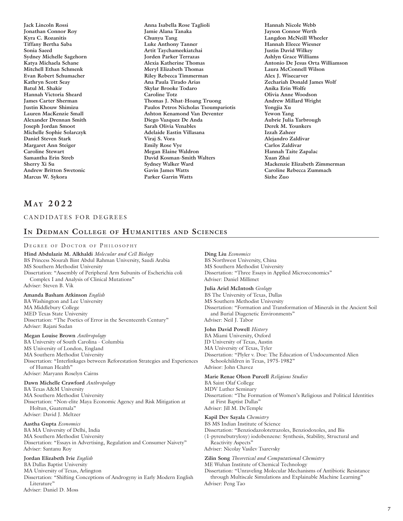**Jack Lincoln Rossi Jonathan Connor Roy Kyra C. Rozanitis Tiffany Bertha Saba Sonia Saeed Sydney Michelle Sagehorn Katya Michaela Schane Mitchell Ethan Schmenk Evan Robert Schumacher Kathryn Scott Seay Batul M. Shakir Hannah Victoria Sheard James Carter Sherman Justin Khouw Shimizu Lauren MacKenzie Small Alexander Drennan Smith Joseph Jordan Smoot Michelle Sophie Solarczyk Daniel Steven Stark Margaret Ann Steiger Caroline Stewart Samantha Erin Streb Sherry Xi Su Andrew Britton Swetonic Marcus W. Sykora** 

**Anna Isabella Rose Taglioli Jamie Alana Tanaka Chunyu Tang Luke Anthony Tanner Artit Taychameekiatchai Jorden Parker Terrazas Alexia Katherine Thomas Meryl Elizabeth Thomas Riley Rebecca Timmerman Ana Paula Tirado Arias Skylar Brooke Todaro Caroline Totz Thomas J. Nhat-Hoang Truong Paulos Petros Nicholas Tsoumpariotis Ashton Kenamond Van Deventer Diego Vazquez De Anda Sarah Olivia Venables Adelaide Eastin Villasana Viraj S. Vora Emily Rose Vye Megan Elaine Waldron David Kosman-Smith Walters Sydney Walker Ward Gavin James Watts Parker Garrin Watts** 

**Hannah Nicole Webb Jayson Connor Werth Langdon McNeill Wheeler Hannah Eleece Wiesner Justin David Wilkey Ashlyn Grace Williams Antonio De Jesus Orta Williamson Laura McConnell Wilson Alex J. Wisecarver Zechariah Donald James Wolf Anika Erin Wolfe Olivia Anne Woodson Andrew Millard Wright Yongjia Xu Yewon Yang Aubrie Julia Yarbrough Derek M. Younkers Izzah Zaheer Alejandro Zaldivar Carlos Zaldivar Hannah Taite Zapalac Xuan Zhai Mackenzie Elizabeth Zimmerman Caroline Rebecca Zummach Sizhe Zuo** 

## **May 2 0 2 2**

### CANDIDATES FOR DEGREES

## **In Dedman College of Humanities and Sciences**

### DEGREE OF DOCTOR OF PHILOSOPHY

**Hind Abdulaziz M. Alkhaldi** *Molecular and Cell Biology* BS Princess Nourah Bint Abdul Rahman University, Saudi Arabia MS Southern Methodist University Dissertation: "Assembly of Peripheral Arm Subunits of Escherichia coli Complex I and Analysis of Clinical Mutations" Adviser: Steven B. Vik **Amanda Basham Atkinson** *English* BA Washington and Lee University MA Middlebury College MED Texas State University Dissertation: "The Poetics of Error in the Seventeenth Century" Adviser: Rajani Sudan **Megan Louise Brown** *Anthropology*

BA University of South Carolina - Columbia MS University of London, England MA Southern Methodist University Dissertation: "Interlinkages between Reforestation Strategies and Experiences of Human Health" Adviser: Maryann Roselyn Cairns

### **Dawn Michelle Crawford** *Anthropology*

BA Texas A&M University MA Southern Methodist University Dissertation: "Non-elite Maya Economic Agency and Risk Mitigation at Holtun, Guatemala" Adviser: David J. Meltzer

**Aastha Gupta** *Economics* BA MA University of Delhi, India MA Southern Methodist University Dissertation: "Essays in Advertising, Regulation and Consumer Naivety" Adviser: Santanu Roy

**Jordan Elizabeth Ivie** *English* BA Dallas Baptist University MA University of Texas, Arlington

Dissertation: "Shifting Conceptions of Androgyny in Early Modern English Literature"

**Ding Liu** *Economics* BS Northwest University, China MS Southern Methodist University Dissertation: "Three Essays in Applied Microeconomics" Adviser: Daniel Millimet

**Julia Ariel McIntosh** *Geology*

BS The University of Texas, Dallas MS Southern Methodist University Dissertation: "Formation and Transformation of Minerals in the Ancient Soil and Burial Diagenetic Environments" Adviser: Neil J. Tabor

**John David Powell** *History*

BA Miami University, Oxford JD University of Texas, Austin MA University of Texas, Tyler Dissertation: "Plyler v. Doe: The Education of Undocumented Alien Schoolchildren in Texas, 1975-1982" Advisor: John Chavez

**Marie Renae Olson Purcell** *Religious Studies*

BA Saint Olaf College MDV Luther Seminary Dissertation: "The Formation of Women's Religious and Political Identities at First Baptist Dallas" Adviser: Jill M. DeTemple

**Kapil Dev Sayala** *Chemistry*

BS MS Indian Institute of Science

Dissertation: "Benziodazolotetrazoles, Benziodoxoles, and Bis

(1-pyrenebutryloxy) iodobenzene: Synthesis, Stability, Structural and Reactivity Aspects"

Adviser: Nicolay Vasilev Tsarevsky

**Zilin Song** *Theoretical and Computational Chemistry*

ME Wuhan Institute of Chemical Technology

Dissertation: "Unraveling Molecular Mechanisms of Antibiotic Resistance through Multiscale Simulations and Explainable Machine Learning" Adviser: Peng Tao

Adviser: Daniel D. Moss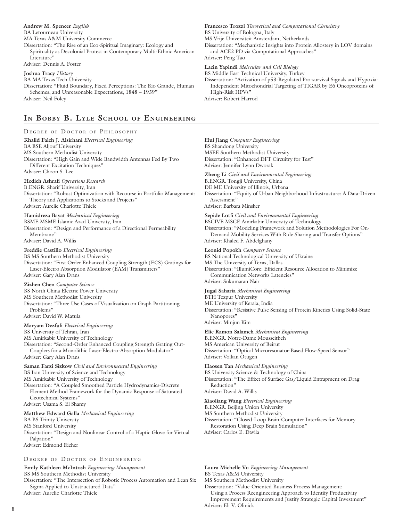**Andrew M. Spencer** *English* BA Letourneau University MA Texas A&M University Commerce Dissertation: "The Rise of an Eco-Spiritual Imaginary: Ecology and Spirituality as Decolonial Protest in Contemporary Multi-Ethnic American Literature"

Adviser: Dennis A. Foster

**Joshua Tracy** *History*

BA MA Texas Tech University

Dissertation: "Fluid Boundary, Fixed Perceptions: The Rio Grande, Human Schemes, and Unreasonable Expectations, 1848 – 1939" Adviser: Neil Foley

## **In Bobby B. Lyle School of Engineering**

DEGREE OF DOCTOR OF PHILOSOPHY **Khalid Faleh J. Alsirhani** *Electrical Engineering* BA BSE Aljouf University MS Southern Methodist University Dissertation: "High Gain and Wide Bandwidth Antennas Fed By Two Different Excitation Techniques" Adviser: Choon S. Lee **Hedieh Ashrafi** *Operations Research* B.ENGR. Sharif University, Iran Dissertation: "Robust Optimization with Recourse in Portfolio Management: Theory and Applications to Stocks and Projects" Adviser: Aurelie Charlotte Thiele **Hamidreza Bayat** *Mechanical Engineering* BSME MSME Islamic Azad University, Iran Dissertation: "Design and Performance of a Directional Permeability Membrane" Adviser: David A. Willis **Freddie Castillo** *Electrical Engineering* BS MS Southern Methodist University Dissertation: "First Order Enhanced Coupling Strength (ECS) Gratings for Laser-Electro Absorption Modulator (EAM) Transmitters" Adviser: Gary Alan Evans **Zizhen Chen** *Computer Science* BS North China Electric Power University MS Southern Methodist University Dissertation: "Three Use Cases of Visualization on Graph Partitioning Problems" Adviser: David W. Matula **Maryam Dezfuli** *Electrical Engineering* BS University of Tehran, Iran MS Amirkabir University of Technology Dissertation: "Second-Order Enhanced Coupling Strength Grating Out-Couplers for a Monolithic Laser-Electro-Absorption Modulator" Adviser: Gary Alan Evans **Saman Farzi Sizkow** *Civil and Environmental Engineering* BS Iran University of Science and Technology MS Amirkabir University of Technology Dissertation: "A Coupled Smoothed Particle Hydrodynamics-Discrete Element Method Framework for the Dynamic Response of Saturated Geotechnical Systems" Adviser: Usama S. El Shamy **Matthew Edward Galla** *Mechanical Engineering* BA BS Trinity University MS Stanford University Dissertation: "Design and Nonlinear Control of a Haptic Glove for Virtual Palpation" Adviser: Edmond Richer DEGREE OF DOCTOR OF ENGINEERING

## **Emily Kathleen McIntosh** *Engineering Management*

BS MS Southern Methodist University

Dissertation: "The Intersection of Robotic Process Automation and Lean Six Sigma Applied to Unstructured Data" Adviser: Aurelie Charlotte Thiele

**Francesco Trozzi** *Theoretical and Computational Chemistry* BS University of Bologna, Italy MS Vrije Universiteit Amsterdam, Netherlands Dissertation: "Mechanistic Insights into Protein Allostery in LOV domains and ACE2 PD via Computational Approaches" Adviser: Peng Tao

**Lacin Yapindi** *Molecular and Cell Biology* BS Middle East Technical University, Turkey Dissertation: "Activation of p53-Regulated Pro-survival Signals and Hypoxia-Independent Mitochondrial Targeting of TIGAR by E6 Oncoproteins of High-Risk HPVs" Adviser: Robert Harrod

**Hui Jiang** *Computer Engineering* BS Shandong University MSEE Southern Methodist University Dissertation: "Enhanced DFT Circuitry for Test" Adviser: Jennifer Lynn Dworak

**Zheng Li** *Civil and Environmental Engineering* B.ENGR. Tongji University, China DE ME University of Illinois, Urbana Dissertation: "Equity of Urban Neighborhood Infrastructure: A Data-Driven Assessment" Adviser: Barbara Minsker **Sepide Lotfi** *Civil and Environmental Engineering* BSCIVE MSCE Amirkabir University of Technology Dissertation: "Modeling Framework and Solution Methodologies For On-Demand Mobility Services With Ride Sharing and Transfer Options" Adviser: Khaled F. Abdelghany **Leonid Popokh** *Computer Science* BS National Technological University of Ukraine MS The University of Texas, Dallas Dissertation: "IllumiCore: Efficient Resource Allocation to Minimize Communication Networks Latencies" Adviser: Sukumaran Nair **Jugal Saharia** *Mechanical Engineering* BTH Tezpur University ME University of Kerala, India Dissertation: "Resistive Pulse Sensing of Protein Kinetics Using Solid-State Nanopores" Adviser: Minjun Kim **Elie Ramon Salameh** *Mechanical Engineering* B.ENGR. Notre-Dame Mousseitbeh MS American University of Beirut Dissertation: "Optical Microresonator-Based Flow-Speed Sensor" Adviser: Volkan Otugen **Haosen Tan** *Mechanical Engineering* BS University Science & Technology of China Dissertation: "The Effect of Surface Gas/Liquid Entrapment on Drag Reduction" Adviser: David A. Willis **Xiaoliang Wang** *Electrical Engineering* B.ENGR. Beijing Union University MS Southern Methodist University Dissertation: "Closed-Loop Brain-Computer Interfaces for Memory Restoration Using Deep Brain Stimulation" Adviser: Carlos E. Davila

**Laura Michelle Vu** *Engineering Management*

BS Texas A&M University

MS Southern Methodist University

Dissertation: "Value-Oriented Business Process Management: Using a Process Reengineering Approach to Identify Productivity Improvement Requirements and Justify Strategic Capital Investment"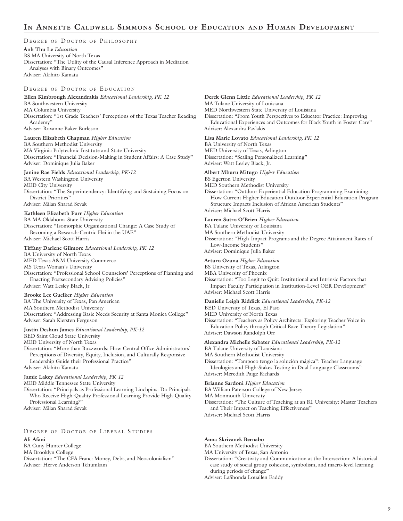## **In Annette Caldwell Simmons School of Education and Human Development**

### DEGREE OF DOCTOR OF PHILOSOPHY

**Anh Thu Le** *Education* BS MA University of North Texas Dissertation: "The Utility of the Causal Inference Approach in Mediation Analyses with Binary Outcomes" Adviser: Akihito Kamata

### DEGREE OF DOCTOR OF EDUCATION

**Ellen Kimbrough Alexandrakis** *Educational Leadership, PK-12* BA Southwestern University MA Columbia University Dissertation: "1st Grade Teachers' Perceptions of the Texas Teacher Reading Academy' Adviser: Roxanne Baker Burleson

**Lauren Elizabeth Chapman** *Higher Education* BA Southern Methodist University

MA Virginia Polytechnic Institute and State University Dissertation: "Financial Decision-Making in Student Affairs: A Case Study" Adviser: Dominique Julia Baker

**Janine Rae Fields** *Educational Leadership, PK-12* BA Western Washington University MED City University Dissertation: "The Superintendency: Identifying and Sustaining Focus on District Priorities" Adviser: Milan Sharad Sevak

### **Kathleen Elizabeth Furr** *Higher Education*

BA MA Oklahoma State University Dissertation: "Isomorphic Organizational Change: A Case Study of Becoming a Research-Centric Hei in the UAE" Adviser: Michael Scott Harris

### **Tiffany Darlene Gilmore** *Educational Leadership, PK-12*

BA University of North Texas MED Texas A&M University Commerce MS Texas Woman's University Dissertation: "Professional School Counselors' Perceptions of Planning and Enacting Postsecondary Advising Policies" Adviser: Watt Lesley Black, Jr.

### **Brooke Lee Guelker** *Higher Education*

BA The University of Texas, Pan American

MA Southern Methodist University Dissertation: "Addressing Basic Needs Security at Santa Monica College" Adviser: Sarah Kiersten Ferguson

### **Justin Deshun James** *Educational Leadership, PK-12*

BED Saint Cloud State University

MED University of North Texas

Dissertation: "More than Buzzwords: How Central Office Administrators' Perceptions of Diversity, Equity, Inclusion, and Culturally Responsive Leadership Guide their Professional Practice" Adviser: Akihito Kamata

### **Jamie Lakey** *Educational Leadership, PK-12*

MED Middle Tennessee State University

Dissertation: "Principals as Professional Learning Linchpins: Do Principals Who Receive High-Quality Professional Learning Provide High-Quality Professional Learning?"

Adviser: Milan Sharad Sevak

### DEGREE OF DOCTOR OF LIBERAL STUDIES

**Ali Afani**  BA Cuny Hunter College MA Brooklyn College Dissertation: "The CFA Franc: Money, Debt, and Neocolonialism" Adviser: Herve Anderson Tchumkam

**Derek Glenn Little** *Educational Leadership, PK-12* MA Tulane University of Louisiana MED Northwestern State University of Louisiana Dissertation: "From Youth Perspectives to Educator Practice: Improving Educational Experiences and Outcomes for Black Youth in Foster Care" Adviser: Alexandra Pavlakis

- **Lisa Marie Lovato** *Educational Leadership, PK-12* BA University of North Texas MED University of Texas, Arlington Dissertation: "Scaling Personalized Learning" Adviser: Watt Lesley Black, Jr.
- **Albert Mburu Mitugo** *Higher Education* BS Egerton University MED Southern Methodist University Dissertation: "Outdoor Experiential Education Programming Examining: How Current Higher Education Outdoor Experiential Education Program Structure Impacts Inclusion of African American Students" Adviser: Michael Scott Harris

### **Lauren Sutro O'Brien** *Higher Education*

BA Tulane University of Louisiana

MA Southern Methodist University

Dissertation: "High-Impact Programs and the Degree Attainment Rates of Low-Income Students"

Adviser: Dominique Julia Baker

### **Arturo Ozuna** *Higher Education*

BS University of Texas, Arlington

MBA University of Phoenix

Dissertation: "Too Legit to Quit: Institutional and Intrinsic Factors that Impact Faculty Participation in Institution-Level OER Development" Adviser: Michael Scott Harris

### **Danielle Leigh Riddick** *Educational Leadership, PK-12*

BED University of Texas, El Paso

MED University of North Texas

Dissertation: "Teachers as Policy Architects: Exploring Teacher Voice in Education Policy through Critical Race Theory Legislation" Adviser: Dawson Randolph Orr

### **Alexandra Michelle Sabater** *Educational Leadership, PK-12*

BA Tulane University of Louisiana

MA Southern Methodist University

Dissertation: "Tampoco tengo la solución mágica": Teacher Language Ideologies and High-Stakes Testing in Dual Language Classrooms" Adviser: Meredith Paige Richards

### **Brianne Sardoni** *Higher Education*

BA William Paterson College of New Jersey

MA Monmouth University

Dissertation: "The Culture of Teaching at an R1 University: Master Teachers and Their Impact on Teaching Effectiveness"

Adviser: Michael Scott Harris

### **Anna Skrivanek Bernabo**

BA Southern Methodist University

MA University of Texas, San Antonio

Dissertation: "Creativity and Communication at the Intersection: A historical case study of social group cohesion, symbolism, and macro-level learning during periods of change"

Adviser: LaShonda Louallen Eaddy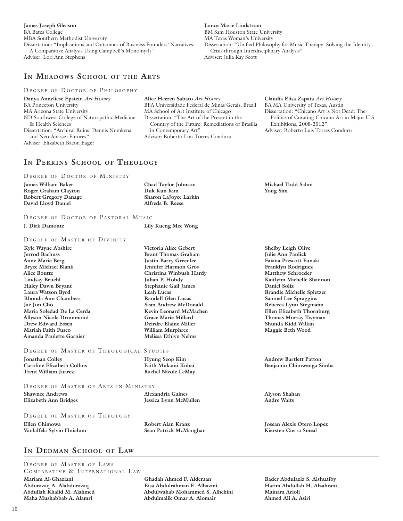**James Joseph Gleason**  BA Bates College MBA Southern Methodist University Dissertation: "Implications and Outcomes of Business Founders' Narratives: A Comparative Analysis Using Campbell's Monomyth" Adviser: Lori Ann Stephens

## **In Meadows School of the Arts**

### DEGREE OF DOCTOR OF PHILOSOPHY

**Danya Anneliese Epstein** *Art History* BA Princeton University MA Arizona State University ND Southwest College of Naturopathic Medicine & Health Sciences Dissertation: "Archival Ruins: Dennis Numkena and Neo-Anasazi Futures" Adviser: Elizabeth Bacon Eager

**Alice Heeren Sabato** *Art History* BFA Universidade Federal de Minas Gerais, Brazil MA School of Art Institute of Chicago Dissertation: "The Art of the Present in the Country of the Future: Remediations of Brasília in Contemporary Art" Adviser: Roberto Luis Torres Conduru

**Janice Marie Lindstrom**  BM Sam Houston State University MA Texas Woman's University

Adviser: Julia Kay Scott

Crisis through Interdisciplinary Analysis"

**Claudia Elisa Zapata** *Art History* BA MA University of Texas, Austin Dissertation: "Chicano Art is Not Dead: The Politics of Curating Chicano Art in Major U.S. Exhibitions, 2008-2012" Adviser: Roberto Luis Torres Conduru

## **In Perkins School of Theology**

### DEGREE OF DOCTOR OF MINISTRY

**James William Baker Roger Graham Clayton Robert Gregory Danage David Lloyd Daniel** 

DEGREE OF DOCTOR OF PASTORAL MUSIC **J. Dirk Damonte Lily Kueng Mee Wong** 

### DEGREE OF MASTER OF DIVINITY

**Kyle Wayne Abshire Jerrod Bachuss Anne Marie Berg Bryce Michael Blank Alice Boutte Lindsay Bruehl Haley Dawn Bryant Laura Watson Byrd Rhonda Ann Chambers Jae Jun Cho Maria Soledad De La Cerda Allyson Nicole Drummond Drew Edward Essen Mariah Faith Fusco Amanda Paulette Garnier** 

### DEGREE OF MASTER OF THEOLOGICAL STUDIES

**Jonathan Colley Caroline Elizabeth Collins Trent William Juarez** 

**Elizabeth Ann Bridges** 

DEGREE OF MASTER OF ARTS IN MINISTRY **Shawnee Andrews** 

**Alexandria Gaines Jessica Lynn McMullen** 

**Hyung Seop Kim Faith Mukami Kubai Rachel Nicole LeMay** 

DEGREE OF MASTER OF THEOLOGY

**Ellen Chimowa Vanlalfela Sylvio Hnialum** 

**Robert Alan Kranz Sean Patrick McMaughan** 

## **In Dedman School of Law**

DEGREE OF MASTER OF LAWS COMPARATIVE & INTERNATIONAL LAW **Mariam Al-Ghaziani Abdurazaq A. Alabdurazaq Abdullah Khalid M. Alahmed Maha Mushabbab A. Alamri**

**Chad Taylor Johnson Duk Kun Kim Sharon LaJoyce Larkin Alfreda B. Reese** 

**Michael Todd Salmi Yong Sim** 

Dissertation: "Unified Philosophy for Music Therapy: Solving the Identity

**Victoria Alice Gebert Brant Thomas Graham Justin Barry Greenlee Jennifer Harmon Gros Christina Winbush Hardy Julian P. Hobdy Stephanie Gail James Leah Lucas Randall Glen Lucas Sean Andrew McDonald Kevin Leonard McMachen Grace Marie Millard Deirdre Elaine Miller William Murphree Melissa Ethlyn Nelms** 

**Shelby Leigh Olive Julie Ann Paulick Faiana Prescott Funaki Franklyn Rodriguez Matthew Schroeder Kaitlynn Michelle Shannon Daniel Soliz Brandie Michelle Spletzer Samuel Lee Spraggins Rebecca Lynn Stegmann Ellen Elizabeth Thornburg Thomas Murray Twyman Shunda Kidd Wilkin Maggie Beth Wood** 

**Andrew Bartlett Patton Benjamin Chimwenga Simba** 

**Alyson Shahan Andre Waits** 

**Josean Alexis Otero Lopez Kiersten Cierra Smeal** 

**Ghadah Ahmed F. Alderaan Eisa Abdulrahman E. Alhazmi Abdulwahab Mohammed S. Alhchini Abdulmalik Omar A. Alomair**

**Bader Abdulaziz S. Alshuaiby Hatim Abdullah H. Alzahrani Mainara Arioli Ahmed Ali A. Asiri**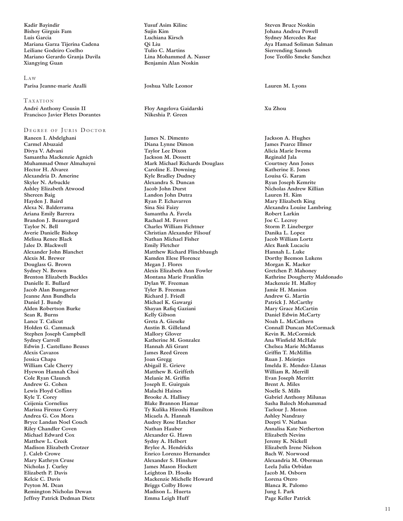**Kadir Bayindir Bishoy Girguis Fam Luis Garcia Mariana Garza Tijerina Cadena Leiliane Godeiro Coelho Mariano Gerardo Granja Davila Xiangying Guan**

### L <sup>a</sup> <sup>w</sup> **Parisa Jeanne-marie Azalli Joshua Valle Leonor Lauren M. Lyons**

TAXATION **André Anthony Cousin II Francisco Javier Fletes Dorantes**

### DEGREE OF JURIS DOCTOR

**Raneen I. Abdelghani Carmel Abuzaid Divya V. Advani Samantha Mackenzie Agnich Muhammad Omer Almahayni Hector H. Alvarez Alexandria D. Amerine Skyler N. Arbuckle Ashley Elizabeth Atwood Shereen Baig Hayden J. Baird Alexa N. Balderrama Ariana Emily Barrera Brandon J. Beauregard Taylor N. Bell Averie Danielle Bishop Melissa Renee Black Jalee D. Blackwell Alexander John Blanchet Alexis M. Brewer Douglass G. Brown Sydney N. Brown Brenton Elizabeth Buckles Danielle E. Bullard Jacob Alan Bumgarner Jeanne Ann Bundhela Daniel J. Bundy Alden Robertson Burke Sean R. Burns Lance T. Calicut Holden G. Cammack Stephen Joseph Campbell Sydney Carroll Edwin J. Castellano Beuses Alexis Cavazos Jessica Chapa William Cale Cherry Hyewon Hannah Choi Cole Ryan Claunch Andrew G. Cohen Lewis Floyd Collins Kyle T. Corey Ceijenia Cornelius Marissa Firenze Corry Andrea G. Cos Mora Bryce Landan Noel Couch Riley Chandler Coven Michael Edward Cox Matthew L. Creek Madison Elizabeth Crotzer J. Caleb Crowe Mary Kathryn Cruse Nicholas J. Curley Elizabeth P. Davis Kelcie C. Davis Peyton M. Dean Remington Nicholas Dewan Jeffrey Patrick Dedman Dietz** 

**Yusuf Asim Kilinc Sujin Kim Luchiana Kirsch Qi Liu Tulio C. Martins Lina Mohammed A. Nasser Benjamin Alan Noskin**

**Floy Angelova Gaidarski Nikeshia P. Green**

**James N. Dimento Diana Lynne Dimon Taylor Lee Dixon Jackson M. Dossett Mark Michael Richards Douglass Caroline E. Downing Kyle Bradley Dudney Alexandra S. Duncan Jacob John Durst Landon John Dutra Ryan P. Echavarren Sina Sisi Faizy Samantha A. Favela Rachael M. Favret Charles William Fichtner Christian Alexander Filsouf Nathan Michael Fisher Emily Fletcher Matthew Richard Flinchbaugh Kamden Elese Florence Megan J. Flores Alexis Elizabeth Ann Fowler Montana Marie Franklin Dylan W. Freeman Tyler B. Freeman Richard J. Friedl Michael K. Gawargi Shayan Rafiq Gaziani Kelly Gibson Greta A. Gieseke Austin B. Gilleland Mallory Glover Katherine M. Gonzalez Hannah Ali Grant James Reed Green Joan Gregg Abigail E. Grieve Matthew B. Griffeth Melanie M. Griffin Joseph E. Guirguis Malachi Haines Brooke A. Hallisey Blake Brannon Hamar Ty Kulika Hiroshi Hamilton Micaela A. Hannah Audrey Rose Hatcher Nathan Hauber Alexander G. Hawn Sydny A. Helbert Brylee A. Hendricks Enrico Lorenzo Hernandez Alexander S. Hinshaw James Mason Hockett Leighton D. Hooks Mackenzie Michelle Howard Briggs Colby Howe Madison L. Huerta Emma Leigh Huff** 

**Steven Bruce Noskin Johana Andrea Powell Sydney Mercedes Rae Aya Hamad Soliman Salman Sierrending Sanneh Jose Teofilo Smeke Sanchez**

**Xu Zhou**

**Jackson A. Hughes James Pearce Illmer Alicia Marie Iwema Reginald Jala Courtney Ann Jones Katherine E. Jones Louisa G. Karam Ryan Joseph Kemrite Nicholas Andrew Killian Lauren H. Kim Mary Elizabeth King Alexandra Louise Lambring Robert Larkin Joe C. Lecroy Storm P. Lineberger Danika L. Lopez Jacob William Lortz Alex Bank Lucaciu Hannah L. Luke Dorthy Beemon Lukens Morgan K. Maeker Gretchen P. Mahoney Kathrine Dougherty Maldonado Mackenzie H. Malloy Jamie H. Manion Andrew G. Martin Patrick J. McCarthy Mary Grace McCartin Daniel Edwin McCarty Noah L. McCathern Connall Duncan McCormack Kevin R. McCormick Ana Winfield McHale Chelsea Marie McManus Griffin T. McMillin Ruan J. Meintjes Imelda E. Mendez-Llanas William R. Merrill Evan Joseph Merritt Brent A. Miles Noelle S. Mills Gabriel Anthony Milunas Sasha Baloch Mohammad Taelour J. Moton Ashley Nandrasy Deepti V. Nathan Annalisa Kate Netherton Elizabeth Nevins Jeremy K. Nickell Elizabeth Irene Nielson Bach W. Norwood Alexandria M. Oberman Leela Julia Orbidan Jacob M. Osborn Lorena Otero Blanca R. Palomo Jung I. Park Page Keller Patrick**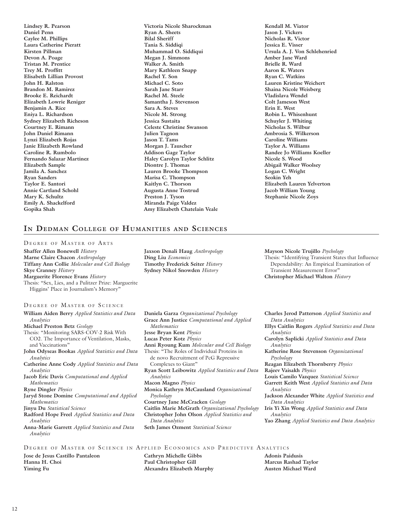**Lindsey R. Pearson Daniel Penn Caylee M. Phillips Laura Catherine Pieratt Kirsten Pillman Devon A. Poage Tristan M. Prentice Trey M. Proffitt Elisabeth Lillian Provost John H. Ralston Brandon M. Ramirez Brooke E. Reichardt Elizabeth Lowrie Reniger Benjamin A. Rice Eniya L. Richardson Sydney Elizabeth Richeson Courtney E. Rimann John Daniel Rimann Lynzi Elizabeth Rojas Janie Elizabeth Rowland Caroline R. Rumbolo Fernando Salazar Martinez Elizabeth Sample Jamila A. Sanchez Ryan Sanders Taylor E. Santori Annie Cartland Schohl Mary K. Schultz Emily A. Shackelford Gopika Shah** 

**Victoria Nicole Sharockman Ryan A. Sheets Bilal Sheriff Tania S. Siddiqi Muhammad O. Siddiqui Megan J. Simmons Walker A. Smith Mary Kathleen Snapp Rachel Y. Son Michael C. Soto Sarah Jane Starr Rachel M. Steele Samantha J. Stevenson Sara A. Steves Nicole M. Strong Jessica Sustaita Celeste Christine Swanson Julien Tagnon Jason T. Tams Morgan J. Tauscher Addison Gage Taylor Haley Carolyn Taylor Schlitz Diontre J. Thomas Lauren Brooke Thompson Marisa C. Thompson Kaitlyn C. Thorson Augusta Anne Tostrud Preston J. Tyson Miranda Paige Valdez Amy Elizabeth Chatelain Veale** 

**Kendall M. Viator Jason J. Vickers Nicholas R. Victor Jessica E. Visser Ursula A. J. Von Schlehenried Amber Jane Ward Brielle R. Ward Aaron K. Waters Ryan C. Watkins Lauren Kristine Weichert Shaina Nicole Weisberg Vladislava Wendel Colt Jameson West Erin E. West Robin L. Whisenhunt Schuyler J. Whiting Nicholas S. Wilbur Ambrosia S. Wilkerson Caroline Williams Taylor A. Williams Randee Jo Williams Koeller Nicole S. Wood Abigail Walker Woolsey Logan C. Wright Seokin Yeh Elizabeth Lauren Yelverton Jacob William Young Stephanie Nicole Zoys** 

## **In Dedman College of Humanities and Sciences**

### DEGREE OF MASTER OF ARTS

**Shaffer Allen Bonewell** *History* **Marne Claire Chacon** *Anthropology* **Tiffany Ann Collie** *Molecular and Cell Biology* **Skye Cranney** *History* **Marguerite Florence Evans** *History* Thesis: "Sex, Lies, and a Pulitzer Prize: Marguerite Higgins' Place in Journalism's Memory"

### DEGREE OF MASTER OF SCIENCE

**William Aiden Berry** *Applied Statistics and Data Analytics*

**Michael Preston Betz** *Geology*

- Thesis: "Monitoring SARS-COV-2 Risk With CO2. The Importance of Ventilation, Masks, and Vaccinations"
- **John Odyseas Bookas** *Applied Statistics and Data Analytics*
- **Catherine Anne Cody** *Applied Statistics and Data Analytics*
- **Jacob Eric Davis** *Computational and Applied Mathematics*

**Ryne Dingler** *Physics*

- **Jaryd Stone Domine** *Computational and Applied Mathematics*
- **Jinyu Du** *Statistical Science*
- **Radford Hope Freel** *Applied Statistics and Data Analytics*
- **Anna-Marie Garrett** *Applied Statistics and Data Analytics*

**Jaxson Denali Haug** *Anthropology* **Ding Liu** *Economics* **Timothy Frederick Seiter** *History* **Sydney Nikol Snowden** *History*

**Daniela Garza** *Organizational Psychology* **Grace Ann Justice** *Computational and Applied Mathematics* **Jesse Bryan Kent** *Physics*  **Lucas Peter Kotz** *Physics* **Anni Ryoung Kum** *Molecular and Cell Biology* Thesis: "The Roles of Individual Proteins in de novo Recruitment of PcG Repressive Complexes to Giant" **Ryan Scott Leibowitz** *Applied Statistics and Data Analytics* **Macon Magno** *Physics* **Monica Kathryn McCausland** *Organizational Psychology* **Courtney Jane McCracken** *Geology* **Caitlin Marie McGrath** *Organizational Psychology* **Christopher John Olson** *Applied Statistics and* 

*Data Analytics* **Seth James Ozment** *Statistical Science* **Mayson Nicole Trujillo** *Psychology* Thesis: "Identifying Transient States that Influence Dependability: An Empirical Examination of Transient Measurement Error" **Christopher Michael Walton** *History*

**Charles Jerod Patterson** *Applied Statistics and Data Analytics* **Ellys Caitlin Rogers** *Applied Statistics and Data Analytics* **Carolyn Saplicki** *Applied Statistics and Data Analytics* **Katherine Rose Stevenson** *Organizational Psychology* **Reagan Elizabeth Thornberry** *Physics* **Rajeev Vaisakh** *Physics* **Louis Camilo Vazquez** *Statistical Science* **Garrett Keith West** *Applied Statistics and Data Analytics* **Jackson Alexander White** *Applied Statistics and Data Analytics* **Iris Yi Xin Wong** *Applied Statistics and Data Analytics* **Yao Zhang** *Applied Statistics and Data Analytics*

### DEGREE OF MASTER OF SCIENCE IN APPLIED ECONOMICS AND PREDICTIVE ANALYTICS

**Jose de Jesus Castillo Pantaleon Hanna H. Choi Yiming Fu** 

**Cathryn Michelle Gibbs Paul Christopher Gill Alexandra Elizabeth Murphy** 

**Adonis Paidusis Marcus Rashad Taylor Austen Michael Ward**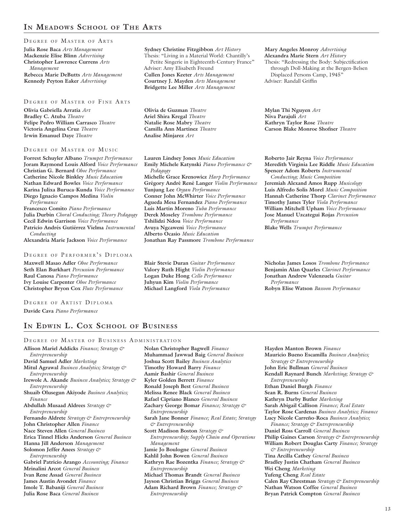## **In Meadows School of The Arts**

### DEGREE OF MASTER OF ARTS

**Julia Rose Baca** *Arts Management* **Mackenzie Elise Blinn** *Advertising* **Christopher Lawrence Currens** *Arts Management* **Rebecca Marie DeButts** *Arts Management* **Kennedy Peyton Eaker** *Advertising*

### DEGREE OF MASTER OF FINE ARTS

**Olivia Gabriella Arratia** *Art* **Bradley C. Atuba** *Theatre* **Felipe Pedro William Carrasco** *Theatre* **Victoria Angelina Cruz** *Theatre* **Irwin Emanuel Daye** *Theatre*

### DEGREE OF MASTER OF MUSIC

**Forrest Schuyler Albano** *Trumpet Performance* **Joram Raymond Louis Alford** *Voice Performance* **Christian G. Bernard** *Oboe Performance* **Catherine Nicole Binkley** *Music Education* **Nathan Edward Bowles** *Voice Performance* **Karina Julixa Buruca-Kunda** *Voice Performance* **Diego Ignacio Campos Medina** *Violin Performance*

**Francesco Comito** *Piano Performance* **Julia Durbin** *Choral Conducting; Theory Pedagogy* **Cecil Edwin Garrison** *Voice Performance* **Patricio Andrés Gutiérrez Vielma** *Instrumental Conducting*

**Alexandria Marie Jackson** *Voice Performance*

### DEGREE OF PERFORMER'S DIPLOMA

**Maxwell Masao Adler** *Oboe Performance* **Seth Elan Burkhart** *Percussion Performance* **Raul Canosa** *Piano Performance* **Ivy Louise Carpenter** *Oboe Performance* **Christopher Bryon Cox** *Flute Performance*

DEGREE OF ARTIST DIPLOMA **Davide Cava** *Piano Performance*

## **In Edwin L. Cox School of Business**

### DEGREE OF MASTER OF BUSINESS ADMINISTRATION

**Allison Mariel Addicks** *Finance; Strategy & Entrepreneurship* **David Samuel Adler** *Marketing* **Mitul Agrawal** *Business Analytics; Strategy & Entrepreneurship* **Irewole A. Akande** *Business Analytics; Strategy & Entrepreneurship* **Shuaib Olusegun Akiyode** *Business Analytics; Finance* **Abdullah Musaad Aldrees** *Strategy & Entrepreneurship* **Fernando Aldrete** *Strategy & Entrepreneurship* **John Christopher Allen** *Finance* **Nace Steven Allen** *General Business* **Erica Tinnel Hicks Anderson** *General Business* **Hanna Jill Anderson** *Management* **Solomon Jeffer Anees** *Strategy & Entrepreneurship* **Gabriel Patricio Arango** *Accounting; Finance* **Mrinalini Arcot** *General Business* **Ivan Rene Assad** *General Business* **James Austin Avondet** *Finance* **Imole T. Babaniji** *General Business* **Julia Rose Baca** *General Business*

**Nolan Christopher Bagwell** *Finance* **Muhammad Jawwad Baig** *General Business* **Joshua Scott Bailey** *Business Analytics* **Timothy Howard Barry** *Finance* **Aamir Bashir** *General Business* **Kyler Golden Berrett** *Finance* **Ronald Joseph Best** *General Business* **Melissa Renee Black** *General Business* **Rafael Cipriano Blanco** *General Business* **Zachary George Bomar** *Finance; Strategy & Entrepreneurship* **Sarah Jane Bonner** *Finance; Real Estate; Strategy & Entrepreneurship* **Scott Madison Boston** *Strategy & Entrepreneurship; Supply Chain and Operations Management* **Jamie Jo Boulogne** *General Business* **Kahlil John Bowen** *General Business* **Kathryn Rae Bozentka** *Finance; Strategy & Entrepreneurship* **Michael Thomas Brandt** *General Business* **Jayson Christian Briggs** *General Business* **Adam Richard Brown** *Finance; Strategy & Entrepreneurship*

**Hayden Manton Brown** *Finance* **Mauricio Bueno Escamilla** *Business Analytics; Strategy & Entrepreneurship* **John Eric Bullman** *General Business* **Kendall Raynard Bunch** *Marketing; Strategy & Entrepreneurship* **Ethan Daniel Burgh** *Finance* **Sean R. Burns** *General Business* **Kathryn Darby Butler** *Marketing* **Sarah Abigail Callison** *Finance; Real Estate* **Taylor Rose Cardenas** *Business Analytics; Finance* **Lucy Nicole Carreño-Roca** *Business Analytics; Finance; Strategy & Entrepreneurship* **Daniel Ross Carroll** *General Business* **Philip Gaines Carson** *Strategy & Entrepreneurship* **William Robert Douglas Carty** *Finance; Strategy & Entrepreneurship* **Tina Arcilla Cathey** *General Business* **Bradley Justin Chatham** *General Business* **Wei Cheng** *Marketing* **Yufeng Cheng** *Real Estate* **Calen Ray Chrestman** *Strategy & Entrepreneurship* **Nathan Watson Coffee** *General Business* **Bryan Patrick Compton** *General Business*

**Sydney Christine Fitzgibbon** *Art History* Thesis: "Living in a Material World: Chantilly's Petite Singerie in Eighteenth-Century France" Adviser: Amy Elisabeth Freund **Cullen Jones Keeter** *Arts Management* **Courtney J. Mayden** *Arts Management* **Bridgette Lee Miller** *Arts Management*

**Olivia de Guzman** *Theatre* **Ariel Shira Kregal** *Theatre* **Natalie Rose Mabry** *Theatre* **Camilla Ann Martinez** *Theatre* **Analise Minjarez** *Art*

**Lauren Lindsey Jones** *Music Education* **Emily Michele Katynski** *Piano Performance & Pedagogy* **Michelle Grace Krenowicz** *Harp Performance* **Grégory André René Langer** *Violin Performance* **Yunjung Lee** *Organ Performance* **Conner John McWhirter** *Voice Performance* **Agueda Mesa Fernandez** *Piano Performance* **Luis Martin Moreno** *Tuba Performance* **Derek Moseley** *Trombone Performance* **Tshilidzi Ndou** *Voice Performance* **Avuya Ngcaweni** *Voice Performance* **Alberto Ocasio** *Music Education* **Jonathan Ray Passmore** *Trombone Performance*

**Blair Stevie Duran** *Guitar Performance* **Valory Ruth Hight** *Violin Performance* **Logan Duke Hong** *Cello Performance* **Juhyun Kim** *Violin Performance* **Michael Langford** *Viola Performance*

**Mary Angeles Monroy** *Advertising* **Alexandra Marie Stern** *Art History* Thesis: "Redressing the Body: Subjectification through Doll-Making at the Bergen-Belsen Displaced Persons Camp, 1945" Adviser: Randall Griffin

**Mylan Thi Nguyen** *Art* **Niva Parajuli** *Art* **Kathryn Taylor Rose** *Theatre* **Carson Blake Monroe Shofner** *Theatre*

**Roberto Jair Reyna** *Voice Performance* **Meredith Virginia Lee Riddle** *Music Education* **Spencer Adom Roberts** *Instrumental* 

*Conducting; Music Composition* **Jeremiah Alexand Amos Rupp** *Musicology* **Luis Alfredo Solis Morel** *Music Composition* **Hannah Catherine Thorp** *Clarinet Performance* **Timothy James Tyler** *Viola Performance* **William Mitchell Upham** *Voice Performance* **Jose Manuel Uzcategui Rojas** *Percussion Performance*

**Blake Wells** *Trumpet Performance*

**Nicholas James Losos** *Trombone Performance* **Benjamin Alan Quarles** *Clarinet Performance* **Jonathan Andrew Valenzuela** *Guitar Performance* **Robyn Elise Watson** *Bassoon Performance*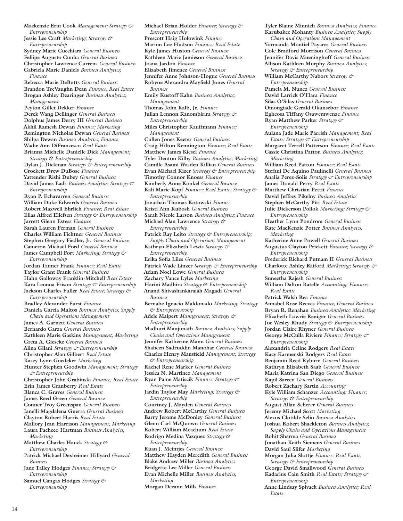**Mackenzie Erin Cook** *Management; Strategy & Entrepreneurship* **Jessie Lee Craft** *Marketing; Strategy & Entrepreneurship* **Sydney Marie Cucchiara** *General Business* **Fellipe Augusto Cunha** *General Business* **Christopher Lawrence Currens** *General Business* **Gabriela Marie Daniels** *Business Analytics; Finance* **Rebecca Marie DeButts** *General Business* **Brandon TreVaughn Dean** *Finance; Real Estate* **Brogan Ashley Dearinger** *Business Analytics; Management* **Peyton Gillet Dekker** *Finance* **Derek Wang Dellinger** *General Business* **Dolphus James Derry III** *General Business* **Akhil Ramesh Dewan** *Finance; Marketing* **Remington Nicholas Dewan** *General Business* **Shilpa Dewan** *Business Analytics; Finance* **Wadie Ann DiFrancesco** *Real Estate* **Brianna Michelle Danielle Dick** *Management; Strategy & Entrepreneurship* **Dylan J. Dickman** *Strategy & Entrepreneurship* **Crockett Drew DuBose** *Finance* **Yattender Rishi Dubey** *General Business* **David James Eads** *Business Analytics; Strategy & Entrepreneurship* **Ryan P. Echavarren** *General Business* **William Duke Edwards** *General Business* **Robert Maxwell Ehrlich** *Finance; Real Estate* **Elias Alfred Ellefsen** *Strategy & Entrepreneurship* **Jarrett Glenn Estess** *Finance* **Sarah Lauren Ferman** *General Business* **Charles William Fichtner** *General Business* **Stephen Gregory Fiedler, Jr.** *General Business* **Cameron Michael Ford** *General Business* **James Campbell Fort** *Marketing; Strategy & Entrepreneurship* **Jordan Tanner Frank** *Finance; Real Estate* **Taylor Grant Frank** *General Business* **Hahn Galloway Franklin-Mitchell** *Real Estate* **Kara Leonna Frison** *Strategy & Entrepreneurship* **Jackson Charles Fuller** *Real Estate; Strategy & Entrepreneurship* **Bradley Alexander Furst** *Finance* **Daniela Garcia Maltos** *Business Analytics; Supply Chain and Operations Management* **James A. Garnett** *General Business* **Bernardo Garza** *General Business* **Kathleen Marie Gaskins** *Management; Marketing* **Greta A. Gieseke** *General Business* **Alina Gilani** *Strategy & Entrepreneurship* **Christopher Alan Gilbert** *Real Estate* **Kasey Lynn Goedeker** *Marketing* **Hunter Stephen Goodwin** *Management; Strategy & Entrepreneurship* **Christopher John Grabinski** *Finance; Real Estate* **Erin James Granberry** *Real Estate* **Blanca C. Graves** *General Business* **James Reed Green** *General Business* **Conner Troy Greenspan** *General Business* **Ianelli Magdalena Guerra** *General Business* **Clayton Robert Harris** *Real Estate* **Mallory Jean Harrison** *Management; Marketing* **Laura Pacheco Hartman** *Business Analytics; Marketing* **Matthew Charles Hauck** *Strategy & Entrepreneurship* **Patrick Michael Dexheimer Hillyard** *General Business* **Jane Talley Hodges** *Finance; Strategy & Entrepreneurship* **Samuel Cangas Hodges** *Strategy & Entrepreneurship*

**Michael Brian Holder** *Finance; Strategy & Entrepreneurship* **Prescott Haig Holowink** *Finance* **Marion Lee Hudson** *Finance; Real Estate* **Kyle James Huston** *General Business* **Kathleen Marie Jamieson** *General Business* **Joana Jardon** *Finance* **Elizabeth Jimenez** *General Business* **Jennifer Anne Johnson-Hogue** *General Business* **Robyne Alexandra Mayfield Jones** *General Business* **Emily Kustoff Kahn** *Business Analytics; Management* **Thomas John Kalb, Jr.** *Finance* **Julian Lennon Kanombirira** *Strategy & Entrepreneurship* **Miles Christopher Kauffmann** *Finance; Management* **Cullen Jones Keeter** *General Business* **Craig Hilton Kennington** *Finance; Real Estate* **Matthew James Kiesel** *Finance* **Tyler Denton Kilby** *Business Analytics; Marketing* **Camille Asami Wasden Killian** *General Business* **Evan Michael Kizer** *Strategy & Entrepreneurship* **Timothy Connor Knoess** *Finance* **Kimberly Anne Konkel** *General Business* **Kali Marie Kopf** *Finance; Real Estate; Strategy & Entrepreneurship* **Jonathan Thomas Kotowski** *Finance* **Kristi Ann Kubosh** *General Business* **Sarah Nicole Larson** *Business Analytics; Finance* **Michael Alan Lawrence** *Strategy & Entrepreneurship* **Patrick Ray Leito** *Strategy & Entrepreneurship; Supply Chain and Operations Management* **Kathryn Elizabeth Lewis** *Strategy & Entrepreneurship* **Erika Sofia Liles** *General Business* **Patrick Wade Linzer** *Strategy & Entrepreneurship*  **Adam Noel Lowe** *General Business* **Zachary Vance Lyles** *Marketing* **Harini Madhira** *Strategy & Entrepreneurship* **Anand Shivashankaraiah Magadi** *General Business* **Bernabe Ignacio Maldonado** *Marketing; Strategy & Entrepreneurship* **Adele Malpert** *Management; Strategy & Entrepreneurship* **Madhuri Manjunath** *Business Analytics; Supply Chain and Operations Management* **Jennifer Katherine Mann** *General Business* **Shaheen Sadruddin Manohar** *General Business* **Charles Henry Mansfield** *Management; Strategy & Entrepreneurship* **Rachel Rene Marker** *General Business* **Jessica N. Martinez** *Management* **Ryan Paine Matiscik** *Finance; Strategy & Entrepreneurship* **Jardin Taylor May** *Marketing; Strategy & Entrepreneurship* **Courtney J. Mayden** *General Business* **Andrew Robert McCarthy** *General Business* **Barry Jerome McDonley** *General Business* **Glenn Carl McQuown** *General Business* **Robert William Meachum** *Real Estate* **Rodrigo Medina Vazquez** *Strategy & Entrepreneurship* **Ruan J. Meintjes** *General Business* **Matthew Hayden Meredith** *General Business* **Blake Andrew Miller** *Business Analytics* **Bridgette Lee Miller** *General Business* **Evan Michelle Miller** *Business Analytics; Marketing* **Morgan Deeann Mills** *Finance*

**Tyler Blaine Minnich** *Business Analytics; Finance* **Karubakee Mohanty** *Business Analytics; Supply Chain and Operations Management* **Yormanda Montiel Payares** *General Business* **Cole Bradford Morrison** *General Business* **Jennifer Davis Mueninghoff** *General Business* **Allison Kathleen Murphy** *Business Analytics; Strategy & Entrepreneurship* **William McCarthy Nabors** *Strategy & Entrepreneurship* **Pamela M. Nunez** *General Business* **David Larrick O'Hara** *Finance* **Silas O'Silas** *General Business* **Omongiade Gerald Okunsebor** *Finance* **Egheosa Tiffany Osawemwenze** *Finance* **Ryan Matthew Parker** *Strategy & Entrepreneurship* **Aulana Jade Marie Parrish** *Management; Real Estate; Strategy & Entrepreneurship* **Margaret Terrell Patterson** *Finance; Real Estate* **Cassie Christina Patton** *Business Analytics; Marketing* **William Reed Patton** *Finance; Real Estate* **Stefani De Aquino Paulinelli** *General Business* **Analia Perez-Solis** *Strategy & Entrepreneurship* **James Donald Perry** *Real Estate* **Matthew Christian Pettit** *Finance* **David Jeffrey Pikelny** *Business Analytics* **Stephen McCarthy Pitt** *Real Estate* **Julie Dickerson Pollok** *Marketing; Strategy & Entrepreneurship* **Heather Lynn Pondrom** *General Business* **Kate MacKenzie Potter** *Business Analytics; Marketing* **Katherine Anne Powell** *General Business* **Augustus Clayton Prickett** *Finance; Strategy & Entrepreneurship* **Frederick Richard Putnam II** *General Business* **Charlotte Ashley Raiford** *Marketing; Strategy & Entrepreneurship* **Suneetha Rajesh** *General Business* **William Dalton Ratelle** *Accounting; Finance; Real Estate* **Patrick Walsh Rea** *Finance* **Annabel Rose Reeves** *Finance; General Business* **Bryan R. Renahan** *Business Analytics; Marketing* **Elizabeth Lowrie Reniger** *General Business* **Joe Wesley Rhudy** *Strategy & Entrepreneurship* **Jordan Claire Rhyner** *General Business* **George McCulla Riviere** *Finance; Strategy & Entrepreneurship* **Alexandria Celine Rodgers** *Real Estate* **Kacy Karmenski Rodgers** *Real Estate* **Benjamin Reed Ryburn** *General Business* **Kathryn Elizabeth Saab** *General Business* **Maria Katrina San Diego** *General Business* **Kapil Sareen** *General Business* **Robert Zachary Sartin** *Accounting* **Kyle William Schanzer** *Accounting; Finance; Strategy & Entrepreneurship* **August Allan Scherer** *General Business* **Jeremy Michael Scott** *Marketing* **Alexus Clotilde Selio** *Business Analytics* **Joshua Robert Shackleton** *Business Analytics; Supply Chain and Operations Management* **Rohit Sharma** *General Business* **Jonathan Keith Siemens** *General Business* **David Saul Slifer** *Marketing* **Morgan Julia Slottje** *Finance; Real Estate; Strategy & Entrepreneurship* **George David Smallwood** *General Business* **Kadarius Cain Smith** *Real Estate; Strategy & Entrepreneurship* **Anne Lindsay Spivack** *Business Analytics; Real Estate*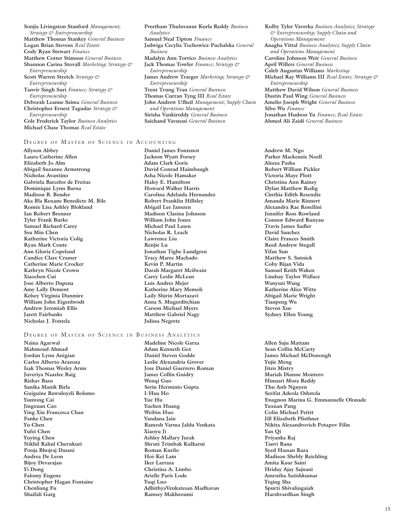**Sonjia Livingston Stanford** *Management; Strategy & Entrepreneurship* **Matthew Thomas Stankey** *General Business* **Logan Brian Stevens** *Real Estate* **Cody Ryan Stewart** *Finance* **Matthew Cotter Stimson** *General Business* **Shannon Carina Stovall** *Marketing; Strategy & Entrepreneurship* **Scott Warren Stretch** *Strategy & Entrepreneurship* **Tanvir Singh Suri** *Finance; Strategy & Entrepreneurship* **Deborah Leanne Szima** *General Business* **Christopher Ernest Tagudar** *Strategy & Entrepreneurship*

**Cole Frederick Taylor** *Business Analytics* **Michael Chase Thomas** *Real Estate*

### DEGREE OF MASTER OF SCIENCE IN ACCOUNTING

**Allyson Abbey Laura Catherine Allen Elizabeth Jo Alm Abigail Suzanne Armstrong Nicholas Avantino Gabriela Barcelos de Freitas Dominique Lynn Barna Madison B. Bender Aka Bla Roxane Benedicte M. Bile Romée Lisa Ashley Blokland Ian Robert Brenner Tyler Frank Burke Samuel Richard Carey Ssu Min Chen Katherine Victoria Colig Ryan Mark Conte Ann Gloria Copeland Candice Clare Cramer Catherine Marie Crocker Kathryn Nicole Crown Xiaochen Cui Jose Alberto Dapena Amy Lally Dement Kelsey Virginia Dunmire William John Eigenbrodt Andrew Jeremiah Ellis Jarett Fairbanks Nicholas J. Fontela** 

### DEGREE OF MASTER OF SCIENCE IN BUSINESS ANALYTICS

**Naina Agarwal Mahmoud Ahmad Jordan Lynn Anigian Carlos Alberto Arazoza Isak Thomas Wesley Arms Juveriya Naazlee Baig Rishav Basu Sanika Manik Birla Guiguine Bawuloyeli Bolomo Yuntong Cai Jingxuan Cao Ying Xin Francesca Chan Fanke Chen Yu Chen Yufei Chen Yuying Chen Nikhil Rahul Cherukuri Pooja Bhojraj Dasani Andrea De Leon Bijoy Devarajan Yi Dong Falomy Eugene Christopher Hagan Fontaine Chenliang Fu Shaifali Garg** 

**Preetham Thuluvanur Kurla Reddy** *Business Analytics* **Samuel Neal Tipton** *Finance* **Jadwiga Cecylia Tochowicz-Puchalska** *General Business* **Madalyn Ann Torrico** *Business Analytics* **Jack Thomas Towler** *Finance; Strategy & Entrepreneurship* **James Andrew Traeger** *Marketing; Strategy & Entrepreneurship* **Trent Trung Tran** *General Business* **Thomas Curran Tyng III** *Real Estate* **John Andrew Ufheil** *Management; Supply Chain and Operations Management* **Sirisha Vankireddy** *General Business* **Saichand Varanasi** *General Business*

**Kolby Tyler Vaverka** *Business Analytics; Strategy & Entrepreneurship; Supply Chain and Operations Management* **Anagha Vittal** *Business Analytics; Supply Chain and Operations Management* **Caroline Johnson Weir** *General Business* **April Willers** *General Business* **Caleb Augustus Williams** *Marketing* **Michael Ray Williams III** *Real Estate; Strategy & Entrepreneurship* **Matthew David Wilson** *General Business* **Dustin Paul Wing** *General Business* **Amelio Joesph Wright** *General Business* **Sibo Wu** *Finance* **Jonathan Hudson Yu** *Finance; Real Estate* **Ahmed Ali Zaidi** *General Business*

**Daniel James Fontenot Jackson Wyatt Forsey Adam Clark Goris David Conrad Haimbaugh Asha Nicole Hamaker Haley E. Hamilton Howard Walker Harris Carolina Adelaida Hernandez Robert Franklin Hillsley Abigail Lee Janszen Madison Clasina Johnson William John Jones Michael Paul Lasen Nicholas R. Leach Lawrence Liu Renjie Lu Jonathan Tighe Lundgren Tracy Maree Machado Kevin P. Martin Darah Margaret Mcilwain Carey Leslie McLean Luis Andres Mejer Katherine Mary Memoli Laily Shirin Mortazavi Anna S. Mugerditchian Carson Michael Myers Matthew Gabriel Nagy Julissa Negrete** 

**Andrew M. Ngo Parker Mackenzie Noell Aleeza Pasha Robert William Pickler Victoria Maye Plott Christina Ann Rainey Dylan Matthew Redig Cinthia Edith Resendiz Amanda Marie Rinnert Alexandra Rae Rosellini Jennifer Ross Rowland Connor Edward Runyan Travis James Sadler David Sanchez Claire Frances Smith Reed Andrew Stegall Yifan Sun Matthew S. Sutnick Coby Bijan Vida Samuel Keith Waken Lindsay Taylor Wallace Wanyuzi Wang Katherine Alice Witte Abigail Marie Wright Tianpeng Wu Steven Xue Sydney Ellen Young** 

**Madeline Nicole Garza Adam Kenneth Gex Daniel Steven Godde Leslie Alexandria Grover Jose Daniel Guerrero Roman James Collin Guidry Wenqi Guo Serin Herminio Gupta I-Hua Ho Yue Hu Yuchen Huang Weibin Huo Vandana Jain Ramesh Varma Jaldu Venkata Xiaoyu Ji Ashley Mallary Jurak Shruti Trimbak Kulkarni Roman Kurilo Hoi-Kei Lam Iker Larraza Christina A. Limbo Arielle Paris Lode Yuqi Luo AdhithyaVenkatesan Madhavan Ramsey Makhzoumi** 

**Allen Saju Mattam Sean Collin McCarty James Michael McDonough Yujie Meng Jiten Mistry Mariah Dianne Montero Himasri Mora Reddy Thu Anh Nguyen Serifat Adeola Odutola Enagnon Marina G. Emmanuelle Olonade Yuxuan Pang Colin Michael Petitt Jill Elizabeth Pfisthner Nikita Alexandrovich Potapov Filin Yan Qi Priyanka Raj Tanvi Rana Syed Hassan Raza Madison Shebly Reichling Amita Kaur Saini Hriday Ajay Sajnani Amrutha Satishkumar Yiqing Sha Spurti Shivalingaiah Harshvardhan Singh**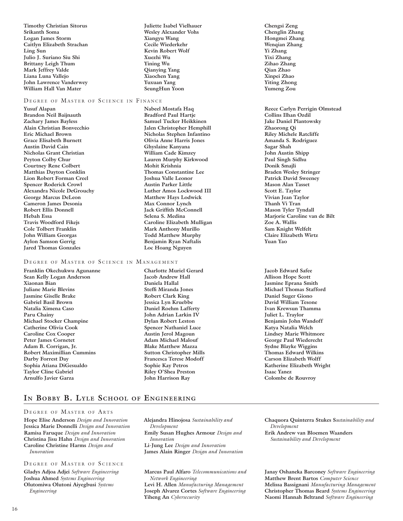**Timothy Christian Sitorus Srikanth Soma Logan James Storm Caitlyn Elizabeth Strachan Ling Sun Julio J. Suriano Siu Shi Brittany Leigh Thum Mark Jeffrey Valde Liana Luna Vallejo John Lawrence Vanderwey William Hall Van Mater** 

### DEGREE OF MASTER OF SCIENCE IN FINANCE

**Yusuf Alapan Brandon Neil Baijnauth Zachary James Bayless Alain Christian Bonvecchio Eric Michael Brown Grace Elisabeth Burnett Austin David Cain Nicholas Grant Christian Peyton Colby Chur Courtney Rene Colbert Matthias Dayton Conklin Lion Robert Forman Creel Spencer Roderick Crowl Alexandra Nicole DeGrouchy George Marcus DeLeon Cameron James Desonia Robert Ellis Donnell Hebah Essa Travis Woodford Fikejs Cole Tolbert Franklin John William Georgas Aylon Samson Gerrig Jared Thomas Gonzales** 

### DEGREE OF MASTER OF SCIENCE IN MANAGEMENT

**Franklin Okechukwu Agunanne Sean Kelly Logan Anderson Xiaonan Bian Juliane Marie Blevins Jasmine Giselle Brake Gabriel Basil Brown Natalia Ximena Caso Paru Chainy Michael Stocker Champine Catherine Olivia Cook Caroline Cox Cooper Peter James Cornetet Adam B. Corrigan, Jr. Robert Maximillian Cummins Darby Forrest Day Sophia Atiana DiGesualdo Taylor Cline Gabriel Arnulfo Javier Garza** 

**Juliette Isabel Vielhauer Wesley Alexander Vohs Xiangyu Wang Cecile Wiederkehr Kevin Robert Wolf Xuezhi Wu Yining Wu Qianying Yang Xiaochen Yang Yuxuan Yang SeungHun Yoon** 

**Nabeel Mostafa Haq Bradford Paul Hartje Samuel Tucker Heikkinen Jalen Christopher Hemphill Nicholas Stephen Infantino Olivia Anne Harris Jones Ghyslaine Kanyana William Cade Kimzey Lauren Murphy Kirkwood Mohit Krishnia Thomas Constantine Lee Joshua Valle Leonor Austin Parker Little Luther Amos Lockwood III Matthew Hays Lodwick Max Connor Lynch Jack Griffith McConnell Selena S. Medina Caroline Elizabeth Mulligan Mark Anthony Murillo Todd Matthew Murphy Benjamin Ryan Naftalis Loc Hoang Nguyen** 

**Charlotte Muriel Gerard Jacob Andrew Hall Daniela Hallal Steffi Miranda Jones Robert Clark King Jessica Lyn Kruebbe Daniel Roehm Lafferty John Adrian Larkin IV Dylan Robert Leston Spencer Nathaniel Luce Austin Jerol Magoun Adam Michael Malouf Blake Matthew Mazza Sutton Christopher Mills Francesca Terese Modoff Sophie Kay Petros Riley O'Shea Preston John Harrison Ray** 

**Chengsi Zeng Chenglin Zhang Hongmei Zhang Wenqian Zhang Yi Zhang Yixi Zhang Zihao Zhang Qian Zhao Xinpei Zhao Yiting Zhong Yumeng Zou** 

**Reece Carlyn Perrigin Olmstead Collins Ilhan Ozdil Jake Daniel Plantowsky Zhaorong Qi Riley Michele Ratcliffe Amanda S. Rodriguez Sagar Shah John Austin Shipp Paul Singh Sidhu Donik Smajli Braden Wesley Stringer Patrick David Sweeney Mason Alan Tasset Scott E. Taylor Vivian Jean Taylor Thanh Vi Tran Mason Tyler Tyndall Marjorie Caroline van de Bilt Zoe A. Wallis Sam Knight Welfelt Claire Elizabeth Wirtz Yuan Yao** 

**Jacob Edward Safee Allison Hope Scott Jasmine Eprana Smith Michael Thomas Stafford Daniel Suger Giono David William Tesone Ivan Krewsun Thamma Juliet L. Traylor Benjamin John Wandoff Katya Natalia Welch Lindsey Marie Whitmore George Paul Wiederecht Sydne Blayke Wiggins Thomas Edward Wilkins Carson Elizabeth Wolff Katherine Elizabeth Wright Isaac Yanez Colombe de Rouvroy** 

## **In Bobby B. Lyle School of Engineering**

### DEGREE OF MASTER OF ARTS

**Hope Elise Anderson** *Design and Innovation* **Jessica Marie Donnelli** *Design and Innovation* **Ramisa Faruque** *Design and Innovation* **Christina Jisu Hahn** *Design and Innovation* **Caroline Christine Harms** *Design and Innovation*

### DEGREE OF MASTER OF SCIENCE

**Gladys Adjoa Adjei** *Software Engineering* **Joshua Ahmed** *Systems Engineering* **Olutomiwa Olutoni Aiyegbusi** *Systems Engineering*

**Alejandra Hinojosa** *Sustainability and Development* **Emily Susan Hughes Armour** *Design and Innovation* **Li-Jung Lee** *Design and Innovation* **James Alain Ringer** *Design and Innovation*

**Marcus Paul Alfaro** *Telecommunications and Network Engineering*

**Levi H. Allen** *Manufacturing Management* **Joseph Alvarez Cortes** *Software Engineering* **Yiheng An** *Cybersecurity*

**Chaquora Quinterra Stukes S***ustainability and Development* **Erik Andrew van Bloemen Waanders**  *Sustainability and Development*

**Janay Oshaneka Barconey** *Software Engineering* **Matthew Brent Bartos** *Computer Science* **Melissa Bassignani** *Manufacturing Management* **Christopher Thomas Beard** *Systems Engineering* **Naomi Hannah Beltrand** *Software Engineering*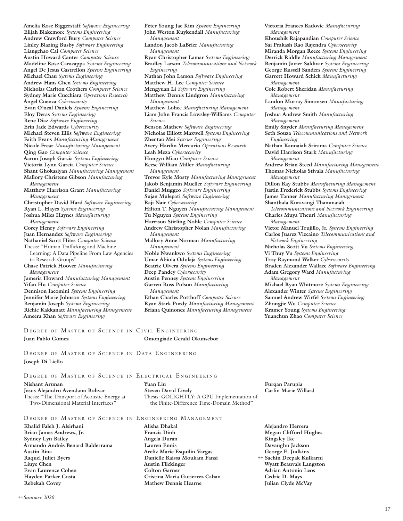**Amelia Rose Biggerstaff** *Software Engineering* **Elijah Blakemore** *Systems Engineering* **Andrew Crawford Bury** *Computer Science* **Linley Blazing Busby** *Software Engineering* **Liangchao Cai** *Computer Science* **Austin Howard Canter** *Computer Science* **Madeline Rose Caracappa** *Systems Engineering* **Angel De Jesus Castrellon** *Systems Engineering* **Michael Chau** *Systems Engineering* **Andrew Hans Chen** *Systems Engineering* **Nicholas Carlton Crothers** *Computer Science* **Sydney Marie Cucchiara** *Operations Research* **Angel Cuenca** *Cybersecurity*  **Evan O'neal Daniels** *Systems Engineering* **Eloy Deras** *Systems Engineering* **Rene Diaz** *Software Engineering* **Erin Jade Edwards** *Cybersecurity* **Michael Steven Ellis** *Software Engineering* **Faith Evans** *Manufacturing Management* **Nicole Frear** *Manufacturing Management* **Qing Gao** *Computer Science* **Aaron Joseph Garcia** *Systems Engineering* **Victoria Lynn Garcia** *Computer Science* **Shant Ghokasiyan** *Manufacturing Management* **Mallory Christene Gibson** *Manufacturing Management* **Matthew Harrison Grant** *Manufacturing Management* **Christopher David Hard** *Software Engineering* **Ryan L. Hayes** *Systems Engineering* **Joshua Miles Haynes** *Manufacturing Management* **Corey Henry** *Software Engineering* **Juan Hernandez** *Software Engineering* **Nathaniel Scott Hites** *Computer Science* Thesis: "Human Trafficking and Machine Learning: A Data Pipeline From Law Agencies to Research Groups" **Chase Patrick Hoover** *Manufacturing Management* **Jameria Howard** *Manufacturing Management* **Yifan Hu** *Computer Science* **Dennison Iacomini** *Systems Engineering* **Jennifer Marie Johnson** *Systems Engineering*

**Peter Young Jae Kim** *Systems Engineering* **John Weston Kuykendall** *Manufacturing Management* **Landon Jacob LaBrier** *Manufacturing Management* **Ryan Christopher Lamar** *Systems Engineering* **Bradley Larson** *Telecommunications and Network Engineering* **Nathan John Larson** *Software Engineering* **Matthew H. Lee** *Computer Science* **Mengyuan Li** *Software Engineering* **Matthew Dennis Lindgron** *Manufacturing Management* **Matthew Lohec** *Manufacturing Management* **Liam John Francis Lowsley-Williams** *Computer Science* **Benson Mathew** *Software Engineering* **Nicholas Elliott Maxwell** *Systems Engineering* **Zhentao Mei** *Systems Engineering* **Avery Hardin Mercurio** *Operations Research* **Leah Meza** *Cybersecurity* **Hongyu Miao** *Computer Science* **Reese William Miller** *Manufacturing Management* **Trevor Kyle Mosty** *Manufacturing Management* **Jakob Benjamin Mueller** *Software Engineering* **Daniel Muggeo** *Software Engineering* **Sujan Mulepati** *Software Engineering* **Raji Nair** *Cybersecurity* **Hilton T. Nguyen** *Manufacturing Management* **Tu Nguyen** *Systems Engineering* **Harrison Stirling Noble** *Computer Science* **Andrew Christopher Nolan** *Manufacturing Management* **Mallory Anne Norman** *Manufacturing Management* **Noble Nwankwo** *Systems Engineering* **Umar Abiola Odulaja** *Systems Engineering* **Beatriz Olvera** *Systems Engineering* **Deep Pandey** *Cybersecurity* **Austin Penney** *Systems Engineering* **Garren Ross Polson** *Manufacturing Management*  **Ethan Charles Potthoff** *Computer Science*

**Ryan Stark Purdy** *Manufacturing Management* **Briana Quinonez** *Manufacturing Management*

**Victoria Frances Radovic** *Manufacturing Management*

**Khoushik Rajapandian** *Computer Science* **Sai Prakash Rao Rajendra** *Cybersecurity* **Miranda Morgan Reece** *Systems Engineering* **Derrick Riddle** *Manufacturing Management* **Benjamin Javier Saldivar** *Systems Engineering* **George Russell Sanders** *Systems Engineering* **Garrett Howard Schick** *Manufacturing Management*

**Cole Robert Sheridan** *Manufacturing Management*

**Landon Murray Simonsen** *Manufacturing Management*

**Joshua Andrew Smith** *Manufacturing Management*

**Emily Snyder** *Manufacturing Management* **Seth Souza** *Telecommunications and Network Engineering*

**Nathan Kannaiah Srirama** *Computer Science* **David Harrison Stark** *Manufacturing Management*

**Andrew Brian Steed** *Manufacturing Management* **Thomas Nicholas Stivala** *Manufacturing Management*

**Dillon Ray Stubbs** *Manufacturing Management* **Justin Frederick Stubbs** *Systems Engineering* **James Tanner** *Manufacturing Management* **Shanthala Kuravangi Thammaiah** 

*Telecommunications and Network Engineering* **Charles Muya Theuri** *Manufacturing Management*

**Victor Manuel Trujillo, Jr.** *Systems Engineering* **Carlos Juarez Vizcaino** *Telecommunications and Network Engineering*

**Nicholas Scott Vu** *Systems Engineering*

**Vi Thuy Vu** *Systems Engineering*

**Troy Raymond Walker** *Cybersecurity*

**Braden Alexander Wallace** *Software Engineering*

**Adam Gregory Ward** *Manufacturing Management*

**Michael Ryan Whitmore** *Systems Engineering* **Alexander Winter** *Systems Engineering* **Samuel Andrew Wirfel** *Systems Engineering* **Zhongjie Wu** *Computer Science* **Kramer Young** *Systems Engineering* **Yuanchun Zhao** *Computer Science*

## DEGREE OF MASTER OF SCIENCE IN CIVIL ENGINEERING

**Juan Pablo Gomez Omongiade Gerald Okunsebor** 

**Benjamin Joseph** *Systems Engineering* **Richie Kakkanatt** *Manufacturing Management*

**Ameera Khan** *Software Engineering*

DEGREE OF MASTER OF SCIENCE IN DATA ENGINEERING **Joseph Di Liello**

## DEGREE OF MASTER OF SCIENCE IN ELECTRICAL ENGINEERING

**Nishant Arunan Jesus Alejandro Avendano Bolivar**  Thesis: "The Transport of Acoustic Energy at Two-Dimensional Material Interfaces"

**Yuan Liu Steven David Lively** Thesis: GOLIGHTLY: A GPU Implementation of the Finite-Difference Time-Domain Method"

DEGREE OF MASTER OF SCIENCE IN ENGINEERING MANAGEMENT

- **Khalid Faleh J. Alsirhani Brian James Andrews, Jr. Sydney Lyn Bailey Armando Andrés Benard Balderrama Raquel Juliet Byers Evan Laurence Cohen Hayden Parker Costa Rebekah Covey**
- **Alisha Dhakal Francis Dinh Angela Duran Lauren Ennis Areliz Marie Esquilin Vargas Danielle Raissa Moukam Fansi Austin Flickinger Colton Garner Cristina Maria Gutierrez Caban Mathew Dennis Hearne**

**Furqan Parupia Carlin Marie Willard** 

**Alejandro Herrera Megan Clifford Hughes Kingsley Ike Davaughn Jackson George E. Judkins Sachin Deepak Kulkarni**  *++* **Wyatt Beauvais Langston Adrian Antonio Leos Cedric D. Mays Julian Clyde McVay** 

17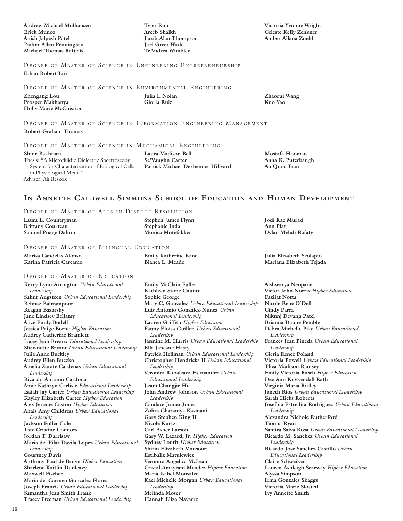**Andrew Michael Mulhausen Erick Munoz Anish Jalpesh Patel Parker Allen Pennington Michael Thomas Raftelis** 

**Tyler Rup Areeb Shaikh Jacob Alan Thompson Joel Greer Wack TeAndrea Wimbley** 

**Victoria Yvonne Wright Celeste Kelly Zenkner Amber Allana Zuehl** 

DEGREE OF MASTER OF SCIENCE IN ENGINEERING ENTREPRENEURSHIP **Ethan Robert Lux** 

DEGREE OF MASTER OF SCIENCE IN ENVIRONMENTAL ENGINEERING

| Zhengang Lou                  |
|-------------------------------|
| Prosper Makhanya              |
| <b>Holly Marie McCuistion</b> |

**Julia I. Nolan Gloria Ruiz** 

**Zhaorui Wang Kuo Yao** 

DEGREE OF MASTER OF SCIENCE IN INFORMATION ENGINEERING MANAGEMENT

### **Robert Graham Thomas**

### DEGREE OF MASTER OF SCIENCE IN MECHANICAL ENGINEERING

**Shide Bakhtiari**  Thesis: "A Microfluidic Dielectric Spectroscopy System for Characterization of Biological Cells in Physiological Media" Adviser: Ali Beskok

**Laura Madison Bell Se'Vaughn Carter Patrick Michael Dexheimer Hillyard** 

**Mostafa Hooman Anna K. Puterbaugh An Quoc Tran** 

## **In Annette Caldwell Simmons School of Education and Human Development**

### DEGREE OF MASTER OF ARTS IN DISPUTE RESOLUTION

| Laura E. Countryman        | Stephen James Flynn | <b>Todi Rae Murad</b> |
|----------------------------|---------------------|-----------------------|
| <b>Brittany Courteau</b>   | Stephanie Inda      | Ann Plat              |
| <b>Samuel Poage Dalton</b> | Monica Motefakker   | Dylan Mehdi Rafaty    |
|                            |                     |                       |

**Emily Katherine Kane Blanca L. Meade** 

### DEGREE OF MASTER OF BILINGUAL EDUCATION

**Marisa Candelas Alonso Karina Patricia Carcamo** 

### DEGREE OF MASTER OF EDUCATION

**Kerry Lynn Arrington** *Urban Educational Leadership* **Sahur Augsteen** *Urban Educational Leadership* **Behnaz Bahrampour Reagan Bazarsky Jane Lindsey Bellamy Alice Emily Bodell Jessica Paige Borne** *Higher Education* **Audrey Catherine Bramlett Lacey Jean Breaux** *Educational Leadership* **Shawnette Bryant** *Urban Educational Leadership* **Julia Anne Buckley Audrey Ellen Buczko Amelia Zarate Cardenas** *Urban Educational Leadership* **Ricardo Antonio Cardona Amie Kathryn Carlisle** *Educational Leadership* **Isaiah Jay Carter** *Urban Educational Leadership* **Kayley Elizabeth Carter** *Higher Education* **Alex Jerome Caston** *Higher Education* **Anais Amy Childress** *Urban Educational Leadership* **Jackson Fuller Cole Tate Cristine Connors Jordan T. Darrisaw Maria del Pilar Davila Lopez** *Urban Educational Leadership* **Courtney Davis Anthony Paul de Bruyn** *Higher Education* **Sharlene Kaitlin Dunleavy Maxwell Fischer Maria del Carmen Gonzalez Flores Joseph Francis** *Urban Educational Leadership* **Samantha Jean Smith Frank Tracey Freeman** *Urban Educational Leadership*

**Emily McClain Fuller Kathleen Stone Gauntt Sophie George Mary C. Gonzalez** *Urban Educational Leadership* **Luis Antonio Gonzalez-Nunez** *Urban Educational Leadership* **Lauren Griffith** *Higher Education* **Fanny Eloisa Guillen** *Urban Educational Leadership* **Jasmine M. Harris** *Urban Educational Leadership* **Ella Janeane Hasty Patrick Hellman** *Urban Educational Leadership* **Christopher Hendricks II** *Urban Educational Leadership* **Veronica Rubalcava Hernandez** *Urban Educational Leadership* **Jason Changjie Hu John Andrew Johnson** *Urban Educational Leadership* **Candace Joiner Jones Zohra Charaniya Kasmani Gary Stephen King II Nicole Kurtz Carl Asher Larson Gary W. Lazard, Jr.** *Higher Education* **Sydney Loutit** *Higher Education* **Shirin Elizabeth Mansoori Estibaliz Matulewicz Veronica Angelica McLean Cristal Amayrani Mendez** *Higher Education* **Maria Isabel Monsalve Kaci Michelle Morgan** *Urban Educational Leadership* **Melinda Moser Hannah Eliza Navarro** 

**Julia Elizabeth Scolapio Mariana Elizabeth Tejada** 

**Aishwarya Neupane Victor John Norris** *Higher Education* **Fazilat Notta Nicole Rene O'Dell Cindy Parra Nikunj Devang Patel Brianna Daune Pemble Debra Michelle Pike** *Urban Educational Leadership* **Frances Jean Pineda** *Urban Educational Leadership* **Cieria Renee Poland Victoria Powell** *Urban Educational Leadership* **Thea Madison Ramsey Emily Victoria Rasch** *Higher Education* **Dee Ann Kuykendall Rath Virginia Maria Ridley Janeth Rios** *Urban Educational Leadership* **Sarah Hicks Roberts Josefina Estrellita Rodriguez** *Urban Educational Leadership* **Alexandra Nichole Rutherford Tionna Ryan Samira Salva Rosa** *Urban Educational Leadership* **Ricardo M. Sanchez** *Urban Educational Leadership* **Ricardo Jose Sanchez Castillo** *Urban Educational Leadership* **Claire Schweiker Lauren Ashleigh Searway** *Higher Education* **Alyssa Simpson Irma Gonzales Skaggs Victoria Marie Slosted Ivy Annette Smith**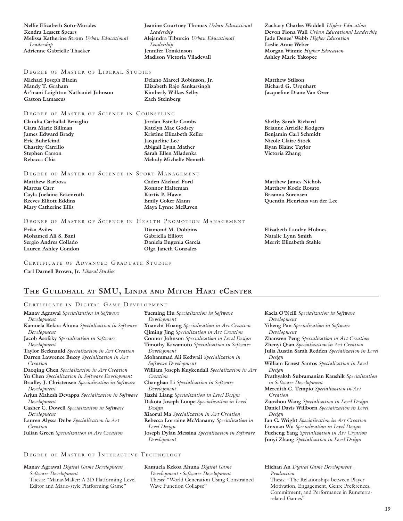**Nellie Elizabeth Soto-Morales Kendra Lessett Spears Melissa Katherine Strom** *Urban Educational Leadership* **Adrienne Gabrielle Thacker** 

### DEGREE OF MASTER OF LIBERAL STUDIES

**Michael Joseph Blazin Mandy T. Graham Ar'mani Laighton Nathaniel Johnson Gaston Lamascus** 

### DEGREE OF MASTER OF SCIENCE IN COUNSELING

**Claudia Carballal Benaglio Ciara Marie Billman James Edward Brady Eric Buhrfeind Chastity Carrillo Stephen Carson Rebacca Chia** 

### DEGREE OF MASTER OF SCIENCE IN SPORT MANAGEMENT

**Matthew Barbosa Marcus Carr Cayla Joelaine Eckenroth Reeves Elliott Eddins Mary Catherine Ellis** 

**Delano Marcel Robinson, Jr. Elizabeth Rajo Sankarsingh Kimberly Wilkes Selby Zach Steinberg** 

*Leadership*

*Leadership* **Jennifer Tomkinson Madison Victoria Viladevall** 

**Jeanine Courtney Thomas** *Urban Educational* 

**Alejandra Tiburcio** *Urban Educational* 

**Jordan Estelle Combs Katelyn Mae Godsey Kristine Elizabeth Keller Jacqueline Lee Abigail Lynn Mather Sarah Ellen Mladenka Melody Michelle Nemeth** 

**Caden Michael Ford Konnor Halteman Kurtis P. Hawn Emily Coker Mann Maya Lynne McRaven** 

### DEGREE OF MASTER OF SCIENCE IN HEALTH PROMOTION MANAGEMENT

**Erika Aviles Mohamed Ali S. Bani Sergio Andres Collado Lauren Ashley Condon** 

### **Diamond M. Dobbins Gabriella Elliott Daniela Eugenia Garcia Olga Janeth Gonzalez**

CERTIFICATE OF ADVANCED GRADUATE STUDIES

**Carl Darnell Brown, Jr.** *Liberal Studies*

### **The Guildhall at SMU, Linda and Mitch Hart eCenter**

### CERTIFICATE IN DIGITAL GAME DEVELOPMENT

**Manav Agrawal** *Specialization in Software Development* **Kamuela Kekoa Ahuna** *Specialization in Software Development* **Jacob Asofsky** *Specialization in Software Development* **Taylor Becknauld** *Specialization in Art Creation* **Darren Lawrence Bucey** *Specialization in Art Creation* **Daoqing Chen** *Specialization in Art Creation* **Yu Chen** *Specialization in Software Development* **Bradley J. Christensen** *Specialization in Software* 

- *Development* **Arjun Mahesh Devappa** *Specialization in Software*
- *Development*
- **Casher C. Dowell** *Specialization in Software Development*
- **Lauren Alyssa Dube** *Specialization in Art Creation*
- **Julian Green** *Specialization in Art Creation*
- **Yueming Hu** *Specialization in Software Development* **Xuanchi Huang** *Specialization in Art Creation* **Qiming Jing** *Specialization in Art Creation* **Connor Johnson** *Specialization in Level Design* **Timothy Kawamoto** *Specialization in Software Development* **Mohammad Ali Kedwaii** *Specialization in Software Development* **William Joseph Kuykendall** *Specialization in Art Creation* **Changhao Li** *Specialization in Software Development* **Jiazhi Liang** *Specialization in Level Design* **Dakota Joseph Loupe** *Specialization in Level Design* **Xiaorui Ma** *Specialization in Art Creation* **Rebecca Lorraine McManamy** *Specialization in Level Design*

**Joseph Dylan Messina** *Specialization in Software Development*

### DEGREE OF MASTER OF INTERACTIVE TECHNOLOGY

**Manav Agrawal** *Digital Game Development - Software Development* Thesis: "ManavMaker: A 2D Platforming Level Editor and Mario-style Platforming Game"

**Kamuela Kekoa Ahuna** *Digital Game Development - Software Development* Thesis: "World Generation Using Constrained Wave Function Collapse"

**Zachary Charles Waddell** *Higher Education* **Devon Fiona Wall** *Urban Educational Leadership* **Jade Denee' Webb** *Higher Education* **Leslie Anne Weber Morgan Winnie** *Higher Education* **Ashley Marie Yakopec** 

**Matthew Stilson Richard G. Urquhart Jacqueline Diane Van Over** 

**Shelby Sarah Richard Brianne Arrielle Rodgers Benjamin Carl Schmidt Nicole Claire Stock Ryan Blaine Taylor Victoria Zhang** 

**Matthew James Nichols Matthew Koele Rosato Breanna Sorensen Quentin Henricus van der Lee** 

**Elizabeth Landry Holmes Natalie Lynn Smith Merrit Elizabeth Stahle** 

**Kaela O'Neill** *Specialization in Software Development* **Yiheng Pan** *Specialization in Software Development* **Zhaowen Peng** *Specialization in Art Creation* **Zhenyi Qian** *Specialization in Art Creation* **Julia Austin Sarah Redden** *Specialization in Level Design* **William Ernest Santos** *Specialization in Level Design* **Prathyaksh Subramanian Kaushik** *Specialization in Software Development* **Meredith C. Tempio** *Specialization in Art Creation* **Zuozhou Wang** *Specialization in Level Design* **Daniel Davis Willborn** *Specialization in Level Design* **Ian C. Wright** *Specialization in Art Creation* **Linxuan Wu** *Specialization in Level Design*

**Fucheng Yang** *Specialization in Art Creation* **Junyi Zhang** *Specialization in Level Design*

### **Hichan An** *Digital Game Development - Production*

Thesis: "The Relationships between Player Motivation, Engagement, Genre Preferences, Commitment, and Performance in Runeterrarelated Games"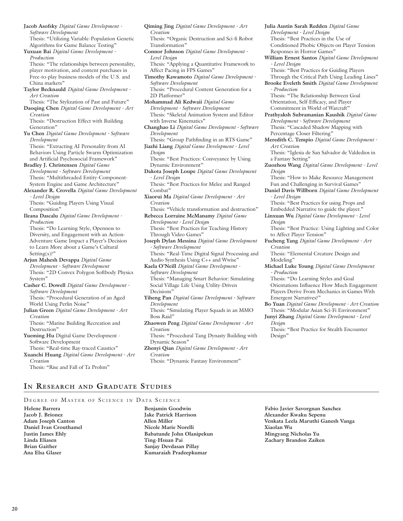**Jacob Asofsky** *Digital Game Development - Software Development* Thesis: "Utilizing Variable-Population Genetic Algorithms for Game Balance Testing" **Yuxuan Bai** *Digital Game Development - Production* Thesis: "The relationships between personality, player motivation, and content purchases in Free-to-play business models of the U.S. and China markets" **Taylor Becknauld** *Digital Game Development - Art Creation* Thesis: "The Stylization of Past and Future" **Daoqing Chen** *Digital Game Development - Art Creation* Thesis: "Destruction Effect with Building Generation" **Yu Chen** *Digital Game Development - Software Development* Thesis: "Extracting AI Personality from AI Behaviors Using Particle Swarm Optimization and Artificial Psychosocial Framework" **Bradley J. Christensen** *Digital Game Development - Software Development* Thesis: "Multithreaded Entity-Component-System Engine and Game Architecture" **Alexander R. Crovella** *Digital Game Development - Level Design* Thesis: "Guiding Players Using Visual Composition" **Ileana Dascalu** *Digital Game Development - Production* Thesis: "Do Learning Style, Openness to Diversity, and Engagement with an Action-Adventure Game Impact a Player's Decision to Learn More about a Game's Cultural Setting(s)?" **Arjun Mahesh Devappa** *Digital Game Development - Software Development* Thesis: "2D Convex Polygon Softbody Physics System" **Casher C. Dowell** *Digital Game Development - Software Development* Thesis: "Procedural Generation of an Aged World Using Perlin Noise" **Julian Green** *Digital Game Development - Art Creation* Thesis: "Marine Building Recreation and Destruction" **Yueming Hu** Digital Game Development - Software Development Thesis: "Real-time Ray-traced Caustics" **Xuanchi Huang** *Digital Game Development - Art Creation* Thesis: "Rise and Fall of Ta Prohm"

- **Qiming Jing** *Digital Game Development Art Creation* Thesis: "Organic Destruction and Sci-fi Robot Transformation" **Connor Johnson** *Digital Game Development - Level Design* Thesis: "Applying a Quantitative Framework to Affect Pacing in FPS Games" **Timothy Kawamoto** *Digital Game Development - Software Development* Thesis: "Procedural Content Generation for a 2D Platformer" **Mohammad Ali Kedwaii** *Digital Game Development - Software Development* Thesis: "Skeletal Animation System and Editor with Inverse Kinematics"
- **Changhao Li** *Digital Game Development Software Development*
- Thesis: "Group Pathfinding in an RTS Game" **Jiazhi Liang** *Digital Game Development - Level Design*
- Thesis: "Best Practices: Conveyance by Using Dynamic Environment"
- **Dakota Joseph Loupe** *Digital Game Development - Level Design*
- Thesis: "Best Practices for Melee and Ranged Combat"
- **Xiaorui Ma** *Digital Game Development Art Creation*
- Thesis: "Vehicle transformation and destruction" **Rebecca Lorraine McManamy** *Digital Game Development - Level Design*
- Thesis: "Best Practices for Teaching History Through Video Games"

**Joseph Dylan Messina** *Digital Game Development - Software Development* Thesis: "Real-Time Digital Signal Processing and

- Audio Synthesis Using C++ and Wwise" **Kaela O'Neill** *Digital Game Development - Software Development* Thesis: "Managing Smart Behavior: Simulating Social Village Life Using Utility-Driven Decisions"
- **Yiheng Pan** *Digital Game Development Software Development*
- Thesis: "Simulating Player Squads in an MMO Boss Raid"
- **Zhaowen Peng** *Digital Game Development Art Creation*

Thesis: "Procedural Tang Dynasty Building with Dynamic Season"

**Zhenyi Qian** *Digital Game Development - Art Creation* Thesis: "Dynamic Fantasy Environment"

- **Julia Austin Sarah Redden** *Digital Game Development - Level Design* Thesis: "Best Practices in the Use of Conditioned Phobic Objects on Player Tension Responses in Horror Games" **William Ernest Santos** *Digital Game Development - Level Design* Thesis: "Best Practices for Guiding Players Through the Critical Path Using Leading Lines" **Brooke Eveleth Smith** *Digital Game Development - Production* Thesis: "The Relationship Between Goal Orientation, Self-Efficacy, and Player Commitment in World of Warcraft" **Prathyaksh Subramanian Kaushik** *Digital Game Development - Software Development* Thesis: "Cascaded Shadow Mapping with Percentage Closer Filtering" **Meredith C. Tempio** *Digital Game Development - Art Creation* Thesis: "Iglesia de San Salvador de Valdedios in a Fantasy Setting" **Zuozhou Wang** *Digital Game Development - Level Design* Thesis: "How to Make Resource Management Fun and Challenging in Survival Games" **Daniel Davis Willborn** *Digital Game Development - Level Design* Thesis: "Best Practices for using Props and Embedded Narrative to guide the player." **Linxuan Wu** *Digital Game Development - Level Design* Thesis: "Best Practice: Using Lighting and Color to Affect Player Tension" **Fucheng Yang** *Digital Game Development - Art Creation* Thesis: "Elemental Creature Design and Modeling' **Michael Luke Young** *Digital Game Development* 
	- *Production* Thesis: "Do Learning Styles and Goal

Orientations Influence How Much Engagement Players Derive From Mechanics in Games With Emergent Narratives?"

- **Bo Yuan** *Digital Game Development Art Creation* Thesis: "Modular Asian Sci-Fi Environment"
- **Junyi Zhang** *Digital Game Development Level Design*

Thesis: "Best Practice for Stealth Encounter Design"

## **In Research and Graduate Studies**

DEGREE OF MASTER OF SCIENCE IN DATA SCIENCE

**Helene Barrera Jacob J. Brionez Adam Joseph Canton Daniel Ivan Crouthamel Justin James Ehly Linda Eliasen Brian Gaither Ana Elsa Glaser** 

**Benjamin Goodwin Jake Patrick Harrison Allen Miller Nicole Marie Norelli Babatunde John Olanipekun Ting-Hsuan Pai Sanjay Devdasan Pillay Kumaraiah Pradeepkumar** 

**Fabio Javier Savorgnan Sanchez Alexander Kwaku Sepenu Venkata Leela Maruthi Ganesh Vanga Xiaolan Wu Mingyang Nicholas Yu Zachary Brandon Zaiken**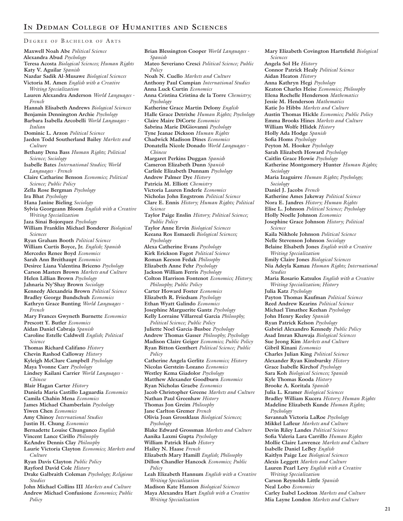DEGREE OF BACHELOR OF ARTS **Maxwell Noah Abe** *Political Science* **Alexandra Abud** *Psychology* **Teresa Acosta** *Biological Sciences; Human Rights* **Katy V. Aguilar** *Spanish* **Nazdar Sadik Al-Musawe** *Biological Sciences* **Victoria M. Amen** *English with a Creative Writing Specialization* **Lauren Alexandra Anderson** *World Languages - French* **Hannah Elisabeth Andrews** *Biological Sciences* **Benjamin Dennington Archie** *Psychology* **Barbara Isabella Arcobelli** *World Languages - Italian* **Dominic L. Arzon** *Political Science* **Jaeden Todd Southerland Bailey** *Markets and Culture* **Bethany Dena Bass** *Human Rights; Political Science; Sociology* **Isabelle Bates** *International Studies; World Languages - French* **Claire Catharine Benson** *Economics; Political Science; Public Policy* **Zella Rose Bergman** *Psychology* **Ira Bhat** *Psychology* **Hana Janine Bieling** *Sociology* **Sylvia Georgeann Bloom** *English with a Creative Writing Specialization* **Jaza Sinai Bojorquez** *Psychology* **William Franklin Michael Bonderer** *Biological Sciences* **Ryan Graham Booth** *Political Science* **William Curtis Boyce, Jr.** *English; Spanish* **Mercedes Renee Boyd** *Economics* **Sarah Ann Breithaupt** *Economics* **Desiree Liana Valentina Briceno** *Psychology* **Carson Masters Brown** *Markets and Culture* **Helen Lillian Brown** *Psychology* **Jahnaria Ny'Shay Brown** *Sociology* **Kennedy Alexandria Brown** *Political Science* **Bradley George Bundschuh** *Economics* **Kathryn Grace Bunting** *World Languages - French* **Mary Frances Gwyneth Burnette** *Economics* **Prescott Y. Butler** *Economics* **Aidan Daniel Cabraja** *Spanish* **Caroline Estelle Caldwell** *English; Political Science* **Thomas Richard Califano** *History* **Chevin Rashod Calloway** *History* **Kyleigh McClure Campbell** *Psychology* **Maya Yvonne Carr** *Psychology* **Lindsey Kailani Carrier** *World Languages - Chinese* **Blair Hagan Carter** *History* **Daniela Maria Castillo Laguardia** *Economics* **Camila Chahin Mena** *Economics* **James Michael Chamberlain** *Psychology* **Yiwen Chen** *Economics* **Amy Chinoy** *International Studies* **Justin H. Chung** *Economics* **Bernadette Louise Chungunco** *English* **Vincent Lance Cirillo** *Philosophy* **KeAndre Dennis Clay** *Philosophy* **Laurie Victoria Clayton** *Economics; Markets and Culture* **Ryan Davis Clayton** *Public Policy* **Rayford David Cole** *History* **Drake Galbraith Coleman** *Psychology; Religious Studies* **John Michael Collins III** *Markets and Culture* **Andrew Michael Confusione** *Economics; Public* 

*Policy*

**Brian Blessington Cooper** *World Languages - Spanish* **Mateo Severiano Cresci** *Political Science; Public Policy* **Noah N. Cuello** *Markets and Culture* **Anthony Paul Cumpian** *International Studies* **Anna Luck Curtin** *Economics* **Anna Cristina Cristina de la Torre** *Chemistry; Psychology*  **Katherine Grace Martin Delony** *English* **Halle Grace Detrixhe** *Human Rights; Psychology* **Claire Maire DiCorte** *Economics* **Sabrina Marie DiGiovanni** *Psychology* **Tyne Jeanae Dickson** *Human Rights* **Chadwick Madison Dines** *Economics* **Donatella Nicole Donado** *World Languages - Chinese* **Margaret Perkins Duggan** *Spanish* **Cameron Elizabeth Dunn** *Spanish* **Carlisle Elizabeth Dunnam** *Psychology* **Andrew Palmer Dye** *History* **Patricia M. Elliott** *Chemistry* **Victoria Lauren Enderle** *Economics* **Nicholas John Engstrom** *Political Science* **Clare E. Ennis** *History; Human Rights; Political Science* **Taylor Paige Enslin** *History; Political Science; Public Policy* **Taylor Anne Ervin** *Biological Sciences* **Keeana Ros Esmaeeli** *Biological Sciences; Psychology* **Alexa Catherine Evans** *Psychology* **Kirk Erickson Fagot** *Political Science* **Roman Keeson Fedak** *Philosophy* **Elizabeth Anne Fehr** *Psychology* **Jackson William Ferris** *Psychology* **Colton Harrison Fontenot** *Economics; History; Philosophy; Public Policy* **Carter Howard Foster** *Economics* **Elizabeth R. Friedsam** *Psychology* **Ethan Wyatt Galindo** *Economics* **Josephine Marguerite Gantz** *Psychology* **Kelly Lorraine Villarreal Garcia** *Philosophy; Political Science; Public Policy* **Juliette Noel Garcia-Busbee** *Psychology* **Andrew Thomas Gasser** *Philosophy; Psychology* **Madison Claire Geiger** *Economics; Public Policy* **Ryan Bitton Genthert** *Political Science; Public Policy* **Catherine Angela Gerlitz** *Economics; History* **Nicolas Gerstein-Lozano** *Economics* **Westley Kema Giadolor** *Psychology* **Matthew Alexander Goodburn** *Economics* **Ryan Nicholas Graebe** *Economics* **Jacob Christopher Greene** *Markets and Culture* **Nathan Paul Greenhaw** *History* **Thomas Jon Greim** *Philosophy* **Jane Carlton Gremer** *French* **Olivia Joan Grossklaus** *Biological Sciences; Psychology* **Blake Edward Grossman** *Markets and Culture* **Aanika Laxmi Gupta** *Psychology* **William Patrick Haab** *History* **Hailey N. Haase** *French* **Elizabeth Mary Hamill** *English; Philosophy* **Dillon Chandler Hancock** *Economics; Public Policy* **Leah Elizabeth Hannum** *English with a Creative Writing Specialization* **Madison Kate Hanson** *Biological Sciences* **Maya Alexandra Hart** *English with a Creative Writing Specialization*

**Mary Elizabeth Covington Hartsfield** *Biological Sciences* **Angela Sol He** *History* **Connor Patrick Healy** *Political Science* **Aidan Heaton** *History* **Anna Kathryn Hegi** *Psychology* **Keaton Charles Heise** *Economics; Philosophy* **Elena Rochelle Henderson** *Mathematics* **Jessie M. Henderson** *Mathematics* **Katie Jo Hibbs** *Markets and Culture* **Austin Thomas Hickle** *Economics; Public Policy* **Emma Brooks Hines** *Markets and Culture* **William Wolfe Hlidek** *History* **Holly Ada Hodge** *Spanish* **Sofia Homs** *Psychology* **Peyton M. Hooker** *Psychology* **Sarah Elizabeth Howard** *Psychology* **Caitlin Grace Howie** *Psychology* **Katherine Montgomery Hunter** *Human Rights; Sociology* **Maria Izaguirre** *Human Rights; Psychology; Sociology* **Daniel J. Jacobs** *French* **Katherine Ames Jakeway** *Political Science* **Nora E. Jandres** *History; Human Rights* **Elise L. Johnson** *Political Science; Psychology* **Holly Noelle Johnson** *Economics* **Josephine Grace Johnson** *History; Political Science* **Kaila Nikhole Johnson** *Political Science* **Nelle Stevenson Johnson** *Sociology* **Belaine Elsabeth Jones** *English with a Creative Writing Specialization* **Emily Claire Jones** *Biological Sciences* **Nia Adeyla Kamau** *Human Rights; International Studies* **Maria Rosario Katsulos** *English with a Creative Writing Specialization; History* **Julia Katz** *Psychology* **Payton Thomas Kaufman** *Political Science* **Reed Andrew Kearins** *Political Science* **Michael Timathee Keehan** *Psychology* **John Henry Keeley** *Spanish* **Ryan Patrick Kelson** *Psychology* **Gabriel Alexandro Kennedy** *Public Policy* **Asad Imran Khawaja** *Biological Sciences* **Sue Jeong Kim** *Markets and Culture* **Gibril Kinani** *Economics* **Charles Julian King** *Political Science* **Alexander Ryan Kinsbursky** *History* **Grace Isabelle Kirchof** *Psychology* **Sara Koh** *Biological Sciences; Spanish* **Kyle Thomas Kooda** *History* **Brooke A. Koritala** *Spanish* **Julia L. Kramer** *Biological Sciences* **Bradley William Kucera** *History; Human Rights* **Madeline Elizabeth Kunde** *Human Rights; Psychology* **Savannah Victoria LaRoe** *Psychology* **Mikkel Lafleur** *Markets and Culture* **Devin Riley Landes** *Political Science* **Sofia Valeria Lara Carrillo** *Human Rights* **Mollie Claire Lawrence** *Markets and Culture* **Isabelle Daniel LeBey** *English* **Kaitlyn Paige Lee** *Biological Sciences* **Alexis Leggett** *Markets and Culture* **Lauren Pearl Levy** *English with a Creative Writing Specialization* **Carson Reynolds Little** *Spanish* **Neal Lobo** *Economics* **Carley Isabel Lockton** *Markets and Culture* **Mia Layne London** *Markets and Culture*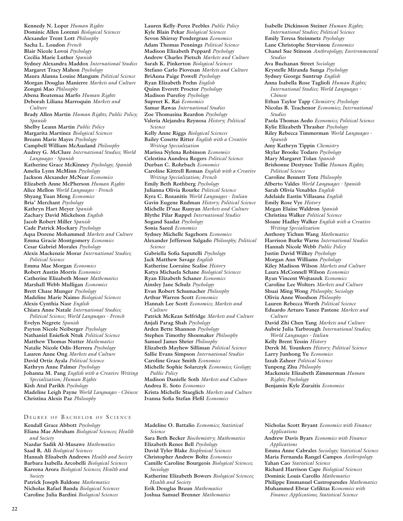**Kennedy N. Loper** *Human Rights* **Dominic Allen Lorenzi** *Biological Sciences* **Alexander Trent Lott** *Philosophy* **Sacha L. Loudon** *French* **Blair Nicole Lovoi** *Psychology* **Cecilia Marie Luther** *Spanish* **Sydney Alexandra Maddox** *International Studies* **Margaret Tracy Mahon** *Psychology* **Maura Alanna Louise Mangum** *Political Science* **Morgan Douglas Manierre** *Markets and Culture* **Zongni Mao** *Philosophy* **Abena Boatemaa Marfo** *Human Rights* **Deborah Liliana Marroquin** *Markets and Culture* **Brady Allen Martin** *Human Rights; Public Policy; Spanish* **Shelby Leann Martin** *Public Policy* **Margarita Martinez** *Biological Sciences* **Breann Marie Mayes** *Psychology* **Campbell William McAusland** *Philosophy* **Audrey G. McClure** *International Studies; World Languages - Spanish* **Katherine Grace McKinney** *Psychology; Spanish* **Amelia Lynn McMinn** *Psychology* **Jackson Alexander McNear** *Economics* **Elizabeth Anne McPherson** *Human Rights* **Alice Mellon** *World Languages - French* **Shyang Yuan Meng** *Economics* **Bria' Merchant** *Psychology* **Kathryn Hart Meyer** *Spanish* **Zachary David Mickelson** *English* **Jacob Robert Miller** *Spanish* **Cade Patrick Mockary** *Psychology* **Aqsa Dorene Mohammed** *Markets and Culture* **Emma Gracie Montgomery** *Economics* **Cesar Gabriel Morales** *Psychology* **Alexis Mackenzie Morar** *International Studies; Political Science* **Emma Mae Morgan** *Economics* **Robert Austin Morris** *Economics* **Catherine Elizabeth Moser** *Mathematics* **Marshall Webb Mulligan** *Economics* **Brett Chase Munger** *Psychology* **Madeline Marie Naimo** *Biological Sciences* **Alexis Cynthia Nasr** *English* **Chiara Anne Natale** *International Studies; Political Science; World Languages - French* **Evelyn Negrete** *Spanish* **Payton Nicole Neiberger** *Psychology* **Nathaniel Eniefiok Ntuk** *Political Science* **Matthew Thomas Nutter** *Mathematics* **Natalie Nicole Odis-Herrera** *Psychology* **Lauren Anne Ong** *Markets and Culture* **David Ortiz Ayala** *Political Science*  **Kathryn Anne Palmer** *Psychology* **Johanna M. Pang** *English with a Creative Writing Specialization; Human Rights* **Kish Atul Parikh** *Psychology* **Madeline Leigh Payne** *World Languages - Chinese* **Christina Alexis Paz** *Philosophy*

### DEGREE OF BACHELOR OF SCIENCE

**Kendall Grace Abbott** *Psychology* **Eliana Mae Abraham** *Biological Sciences; Health and Society* **Nazdar Sadik Al-Musawe** *Mathematics* **Saad R. Ali** *Biological Sciences* **Hannah Elisabeth Andrews** *Health and Society* **Barbara Isabella Arcobelli** *Biological Sciences* **Kareena Arora** *Biological Sciences; Health and Society* **Patrick Joseph Baldone** *Mathematics*

**Nicholas Rafael Banda** *Biological Sciences* **Caroline Julia Bardini** *Biological Sciences*

**Lauren Kelly-Perez Peebles** *Public Policy* **Kyle Blain Pekar** *Biological Sciences* **Sevon Shirray Pendergrass** *Economics* **Adam Thomas Pennings** *Political Science* **Madison Elizabeth Peppard** *Psychology* **Andrew Charles Pietsch** *Markets and Culture* **Sarah K. Pinkerton** *Biological Sciences* **Stefano Carlo Piovesan** *Markets and Culture* **BriAuna Paige Powell** *Psychology* **Ryan Elizabeth Prehn** *English* **Quinn Everett Proctor** *Psychology* **Madison Purefoy** *Psychology* **Supreet K. Rai** *Economics* **Samar Rawas** *International Studies* **Zoe Thomasina Reardon** *Psychology* **Valeria Alejandra Reynosa** *History; Political Science* **Kelly Anne Riggs** *Biological Sciences* **Bailey Cosette Ritter** *English with a Creative Writing Specialization* **Marissa Nylena Robinson** *Economics* **Celestina Aundrea Rogers** *Political Science* **Durban C. Rohrbach** *Economics* **Caroline Kittrell Roman** *English with a Creative Writing Specialization; French* **Emily Beth Rothberg** *Psychology* **Julianna Olivia Rourke** *Political Science* **Kyra C. Rozanitis** *World Languages - Italian* **Gavin Eugene Rudman** *History; Political Science* **Michelle D'nae Runyan** *Markets and Culture* **Blythe Pilar Ruppel** *International Studies* **Sogand Saadat** *Psychology* **Sonia Saeed** *Economics* **Sydney Michelle Sagehorn** *Economics* **Alexander Jefferson Salgado** *Philosophy; Political Science* **Gabriella Sofia Saputelli** *Psychology* **Jack Matthew Savage** *English* **Katherine Lorraine Scalise** *History* **Katya Michaela Schane** *Biological Sciences* **Ryan Elizabeth Schaner** *Economics* **Ainsley Jane Schulz** *Psychology* **Evan Robert Schumacher** *Philosophy* **Arthur Warren Scott** *Economics* **Hannah Lee Scott** *Economics; Markets and Culture* **Patrick McKean Selfridge** *Markets and Culture* **Anjali Parag Shah** *Psychology* **Arden Bette Shannon** *Psychology* **Stephen Timothy Shoemaker** *Philosophy* **Samuel James Shrier** *Philosophy* **Elizabeth Mayhew Silliman** *Political Science* **Sallie Evans Simpson** *International Studies* **Caroline Grace Smith** *Economics* **Michelle Sophie Solarczyk** *Economics; Geology; Public Policy* **Madison Danielle Soth** *Markets and Culture* **Andrea E. Soto** *Economics* **Krista Michelle Staeglich** *Markets and Culture*

**Isabelle Dickinson Steiner** *Human Rights; International Studies; Political Science* **Emily Teresa Steinmetz** *Psychology* **Lane Christophe Stervinou** *Economics* **Chanel Sue Stinson** *Anthropology; Environmental Studies* **Ava Buchanan Street** *Sociology* **Krystelle Miranda Sunga** *Psychology* **Sydney George Suntrup** *English* **Anna Isabella Rose Taglioli** *Human Rights; International Studies; World Languages - Chinese* **Ethan Taylor Tapp** *Chemistry; Psychology* **Nicolas B. Teachenor** *Economics; International Studies* **Paola Thomas Aedo** *Economics; Political Science* **Kylie Elizabeth Thrasher** *Psychology* **Riley Rebecca Timmerman** *World Languages - Spanish* **Amy Kathryn Tippin** *Chemistry* **Skylar Brooke Todaro** *Psychology* **Mary Margaret Tolan** *Spanish* **Brishonne Destynee Tollie** *Human Rights; Political Science* **Caroline Bennett Totz** *Philosophy* **Alberto Valdes** *World Languages - Spanish* **Sarah Olivia Venables** *English* **Adelaide Eastin Villasana** *English* **Emily Rose Vye** *History* **Megan Elaine Waldron** *Spanish* **Christina Walker** *Political Science* **Sloane Hadley Walker** *English with a Creative Writing Specialization* **Anthony Yichun Wang** *Mathematics* **Harrison Burke Warns** *International Studies* **Hannah Nicole Webb** *Public Policy* **Justin David Wilkey** *Psychology* **Morgan Ann Williams** *Psychology* **Kiley Madison Wilson** *Markets and Culture* **Laura McConnell Wilson** *Economics* **Ryan Vincent Wojtaszek** *Economics* **Caroline Lee Wolters** *Markets and Culture* **Shuai Ming Wong** *Philosophy; Sociology* **Olivia Anne Woodson** *Philosophy* **Lauren Rebecca Worth** *Political Science* **Eduardo Arturo Yanez Pastene** *Markets and Culture* **David Zhi Chen Yang** *Markets and Culture* **Aubrie Julia Yarbrough** *International Studies; World Languages - Italian* **Kelly Brent Yessin** *History* **Derek M. Younkers** *History; Political Science* **Larry Junhong Yu** *Economics* **Izzah Zaheer** *Political Science* **Yunpeng Zhu** *Philosophy* **Mackenzie Elizabeth Zimmerman** *Human Rights; Psychology* **Benjamin Kyle Zuraitis** *Economics*

**Madeline O. Battalio** *Economics; Statistical Science*

- **Sara Beth Becker** *Biochemistry; Mathematics* **Elizabeth Renee Bell** *Psychology*
- **David Tyler Blake** *Biophysical Sciences*

**Ivanna Sofia Stefan Flefil** *Economics*

- **Christopher Andrew Boltz** *Economics*
- **Camille Caroline Bourgeois** *Biological Sciences; Sociology* **Katherine Elizabeth Bowers** *Biological Sciences;*
- *Health and Society*

**Erik Douglas Braun** *Mathematics* **Joshua Samuel Brenner** *Mathematics*

- **Nicholas Scott Bryant** *Economics with Finance Applications*
- **Andrew Davis Byars** *Economics with Finance Applications*
- **Emma Anne Cabrales** *Sociology; Statistical Science* **Maria Fernanda Rangel Campos** *Anthropology* **Yahan Cao** *Statistical Science*
- **Richard Harrison Cape** *Biological Sciences*
- **Dominic Louis Carollo** *Mathematics*
- **Philippe Emmanuel Castroparedes** *Mathematics*
- **Muhammed Ebrar Celiktas E***conomics with Finance Applications; Statistical Science*

 $22$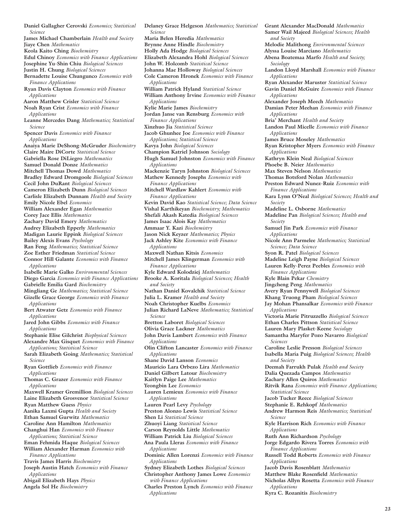**Daniel Gallagher Cerovski** *Economics; Statistical Science* **James Michael Chamberlain** *Health and Society* **Jiaye Chen** *Mathematics* **Keola Kaito Ching** *Biochemistry* **Edul Chinoy** *Economics with Finance Applications* **Josephine Yu-Shin Chiu** *Biological Sciences* **Justin H. Chung** *Biological Sciences* **Bernadette Louise Chungunco** *Economics with Finance Applications* **Ryan Davis Clayton** *Economics with Finance Applications* **Aaron Matthew Crisler** *Statistical Science* **Noah Ryan Crist** *Economics with Finance Applications* **Leanne Mercedes Dang** *Mathematics; Statistical Science* **Spencer Davis** *Economics with Finance Applications* **Anaiya Marie DeShong-McGruder** *Biochemistry* **Claire Maire DiCorte** *Statistical Science* **Gabriella Rose DiLiegro** *Mathematics* **Samuel Donald Donze** *Mathematics* **Mitchell Thomas Dowd** *Mathematics* **Bradley Edward Dromgoole** *Biological Sciences* **Cecil John DuRant** *Biological Sciences* **Cameron Elizabeth Dunn** *Biological Sciences* **Carlisle Elizabeth Dunnam** *Health and Society* **Emily Nicole Ebel** *Economics* **William Alexander Egan** *Mathematics* **Corey Jace Ellis** *Mathematics* **Zachary David Emery** *Mathematics* **Audrey Elizabeth Epperly** *Mathematics* **Madigan Laurie Eppink** *Biological Sciences* **Bailey Alexis Evans** *Psychology* **Ran Feng** *Mathematics; Statistical Science* **Zoe Esther Friedman** *Statistical Science* **Connor Hill Galante** *Economics with Finance Applications* **Isabelle Marie Galko** *Environmental Sciences* **Diego Garcia** *Economics with Finance Applications* **Gabrielle Emilia Gard** *Biochemistry* **Mingliang Ge** *Mathematics; Statistical Science* **Gizelle Grace George** *Economics with Finance Applications* **Bert Atwater Getz** *Economics with Finance Applications* **Jared John Gibbs** *Economics with Finance Applications* **Stephanie Elise Gilchrist** *Biophysical Sciences* **Alexandre Max Gisquet** *Economics with Finance Applications; Statistical Science* **Sarah Elizabeth Going** *Mathematics; Statistical Science* **Ryan Gottlieb** *Economics with Finance Applications* **Thomas C. Grazer** *Economics with Finance Applications* **Maxwell Kramer Gremillion** *Biological Sciences* **Laine Elizabeth Grosvenor** *Statistical Science* **Ryan Matthew Guess** *Physics* **Aanika Laxmi Gupta** *Health and Society* **Ethan Samuel Gurwitz** *Mathematics* **Caroline Ann Hamilton** *Mathematics* **Changhui Han** *Economics with Finance Applications; Statistical Science* **Eman Fehmida Haque** *Biological Sciences* **William Alexander Harman** *Economics with Finance Applications* **Travis James Harris** *Biochemistry* **Joseph Austin Hatch** *Economics with Finance Applications* **Abigail Elizabeth Hays** *Physics* **Angela Sol He** *Biochemistry*

**Delaney Grace Helgeson** *Mathematics; Statistical Science* **Maria Belen Heredia** *Mathematics* **Brynne Anne Hindle** *Biochemistry* **Holly Ada Hodge** *Biological Sciences* **Elizabeth Alexandra Hohl** *Biological Sciences* **John W. Holcomb** *Statistical Science* **Johanna Mae Holloway** *Biological Sciences* **Cole Cameron Hronek** *Economics with Finance Applications* **William Patrick Hyland** *Statistical Science* **William Anthony Irvine** *Economics with Finance Applications* **Kylie Marie James** *Biochemistry* **Jordan Janse van Rensburg** *Economics with Finance Applications* **Xinzhuo Jia** *Statistical Science* **Jacob Ghunhee Joe** *Economics with Finance Applications; Statistical Science* **Kavya John** *Biological Sciences* **Champion Katriel Johnson** *Sociology* **Hugh Samuel Johnston** *Economics with Finance Applications* **Mackenzie Taryn Johnston** *Biological Sciences* **Mathew Kennedy Josephs** *Economics with Finance Applications* **Mitchell Wardlaw Kahlert** *Economics with Finance Applications* **Kevin David Kao** *Statistical Science; Data Science* **Vishal Karthikeyan** *Biochemistry; Mathematics* **Shefali Akash Katedia** *Biological Sciences* **James Isaac Alois Kay** *Mathematics* **Ammaar Y. Kazi** *Biochemistry* **Jason Nick Keyzer** *Mathematics; Physics* **Jack Ashley Kite** *Economics with Finance Applications* **Maxwell Nathan Kitsis** *Economics* **Mitchell James Klingerman** *Economics with Finance Applications* **Kyle Edward Kolodziej** *Mathematics* **Brooke A. Koritala** *Biological Sciences; Health and Society* **Nathan Daniel Kovalchik** *Statistical Science* **Julia L. Kramer** *Health and Society* **Noah Christopher Kuelbs** *Economics* **Julian Richard LaNeve** *Mathematics; Statistical Science* **Bretton Laboret** *Biological Sciences* **Olivia Grace Lackner** *Mathematics* **John Davis Lambert** *Economics with Finance Applications* **Olin Clifton Lancaster** *Economics with Finance Applications* **Shane David Lanson** *Economics* **Mauricio Lara Orbezo Lira** *Mathematics* **Daniel Gilbert Latour** *Biochemistry* **Kaitlyn Paige Lee** *Mathematics* **Yeongbin Lee** *Economics* **Lauren Lemieux** *Economics with Finance Applications* **Lauren Pearl Levy** *Psychology* **Preston Alonzo Lewis** *Statistical Science* **Shen Li** *Statistical Science* **Zhuoyi Liang** *Statistical Science* **Carson Reynolds Little** *Mathematics* **William Patrick Liu** *Biological Sciences* **Ana Paula Lleras** *Economics with Finance Applications* **Dominic Allen Lorenzi** *Economics with Finance Applications* **Sydney Elizabeth Lothes** *Biological Sciences* **Christopher Anthony James Lowe** *Economics with Finance Applications* **Charles Preston Lynch** *Economics with Finance Applications*

**Grant Alexander MacDonald** *Mathematics* **Samer Wail Majeed** *Biological Sciences; Health and Society* **Melodie Malithong** *Environmental Sciences* **Alyssa Louise Marciano** *Mathematics* **Abena Boatemaa Marfo** *Health and Society; Sociology* **Landon Lloyd Marshall** *Economics with Finance Applications* **Ryan Alexander Maruster** *Statistical Science* **Gavin Daniel McGuire** *Economics with Finance Applications* **Alexander Joseph Meech** *Mathematics* **Damian Peter Meehan** *Economics with Finance Applications* **Bria' Merchant** *Health and Society* **Landon Paul Micelle** *Economics with Finance Applications* **James Bruce Moseley** *Mathematics* **Ryan Kristopher Myers** *Economics with Finance Applications* **Kathryn Klein Neal** *Biological Sciences* **Phoebe B. Neier** *Mathematics* **Max Steven Nelson** *Mathematics* **Thomas Botsford Nolan** *Mathematics* **Preston Edward Nunez-Ruiz** *Economics with Finance Applications* **Kara Lynn O'Neal** *Biological Sciences; Health and Society* **Madeline L. Osborne** *Mathematics* **Madeline Pan** *Biological Sciences; Health and Society* **Samuel Jin Park** *Economics with Finance Applications* **Nicole Ann Parmelee** *Mathematics; Statistical Science; Data Science* **Syon R. Patel** *Biological Sciences* **Madeline Leigh Payne** *Biological Sciences* **Lauren Kelly-Perez Peebles** *Economics with Finance Applications* **Kyle Blain Pekar** *Chemistry* **Jingcheng Peng** *Mathematics* **Avery Ryan Pennywell** *Biological Sciences* **Khang Truong Pham** *Biological Sciences* **Jay Mohan Phansalkar** *Economics with Finance Applications* **Victoria Marie Pitruzzello** *Biological Sciences* **Ethan Charles Pittson** *Statistical Science* **Lauren Mary Plasket-Keene** *Sociology* **Samantha Maryfer Pozo Navarro** *Biological Sciences* **Caroline Leslie Presson** *Biological Sciences* **Isabella María Puig** *Biological Sciences; Health and Society* **Deemah Farrukh Pulak** *Health and Society* **Dalia Quezada Campos** *Mathematics* **Zachary Allen Quiros** *Mathematics* **Ritvik Rana** *Economics with Finance Applications; Statistical Science* **Jacob Tucker Reece** *Biological Sciences* **Stephanie E. Rehkopf** *Mathematics* **Andrew Harmon Reis** *Mathematics; Statistical Science* **Kyle Harrison Rich** *Economics with Finance Applications* **Ruth Ann Richardson** *Psychology* **Jorge Edgardo Rivera Torres** *Economics with Finance Applications* **Russell Todd Roberts** *Economics with Finance Applications* **Jacob Davis Rosenblatt** *Mathematics* **Matthew Blake Rosenfield** *Mathematics* **Nicholas Allyn Rosetta** *Economics with Finance Applications* **Kyra C. Rozanitis** *Biochemistry*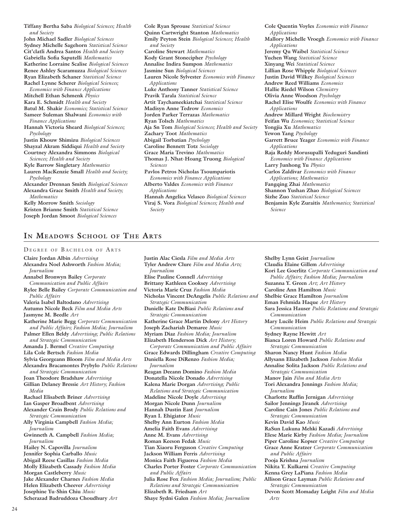**Tiffany Bertha Saba** *Biological Sciences; Health and Society* **John Michael Sadler** *Biological Sciences* **Sydney Michelle Sagehorn** *Statistical Science* **Cit'clatli Andrea Santos** *Health and Society* **Gabriella Sofia Saputelli** *Mathematics* **Katherine Lorraine Scalise** *Biological Sciences* **Renee Ashley Scaramuzza** *Biological Sciences* **Ryan Elizabeth Schaner** *Statistical Science* **Rachel Lynne Scherer** *Biological Sciences; Economics with Finance Applications* **Mitchell Ethan Schmenk** *Physics* **Kara E. Schmidt** *Health and Society* **Batul M. Shakir** *Economics; Statistical Science* **Sameer Suleman Shalwani** *Economics with Finance Applications* **Hannah Victoria Sheard** *Biological Sciences; Psychology* **Justin Khouw Shimizu** *Biological Sciences* **Shayzal Akram Siddiqui** *Health and Society* **Courtney Alexandra Simmons** *Biological Sciences; Health and Society* **Kyle Barrow Singletary** *Mathematics* **Lauren MacKenzie Small** *Health and Society; Psychology* **Alexander Drennan Smith** *Biological Sciences* **Alexandra Grace Smith** *Health and Society; Mathematics* **Kelly Morrow Smith** *Sociology* **Kristen Brianne Smith** *Statistical Science* **Joseph Jordan Smoot** *Biological Sciences*

**Cole Ryan Sprouse** *Statistical Science* **Quinn Cartwright Stanton** *Mathematics* **Emily Peyton Stein** *Biological Sciences; Health and Society* **Caroline Stewart** *Mathematics* **Kody Grant Stonecipher** *Psychology* **Annalise Indira Sumpon** *Mathematics* **Jasmine Sun** *Biological Sciences* **Lauren Nicole Sylvester** *Economics with Finance Applications* **Luke Anthony Tanner** *Statistical Science* **Pravik Tarala** *Statistical Science* **Artit Taychameekiatchai** *Statistical Science* **Madisyn Anne Tedrow** *Economics* **Jorden Parker Terrazas** *Mathematics* **Ryan Tolsch** *Mathematics* **Aja Sn Tom** *Biological Sciences; Health and Society* **Zachary Toot** *Mathematics* **Abigail Torbatian** *Psychology* **Caroline Bennett Totz** *Sociology* **Grace Maria Trevino** *Mathematics* **Thomas J. Nhat-Hoang Truong** *Biological Sciences* **Pavlos Petros Nicholas Tsoumpariotis**  *Economics with Finance Applications* **Alberto Valdes** *Economics with Finance Applications* **Hannah Angelica Velasco** *Biological Sciences* **Viraj S. Vora** *Biological Sciences; Health and Society*

**Cole Quentin Voyles** *Economics with Finance Applications* **Mallory Michelle Vroegh** *Economics with Finance Applications* **Jeremy Qu Waibel** *Statistical Science* **Yuchen Wang** *Statistical Science* **Xinyang Wei** *Statistical Science* **Lillian Rose Whipple** *Biological Sciences* **Justin David Wilkey** *Biological Sciences* **Andrew Reed Williams** *Economics* **Hallie Riedel Wilson** *Chemistry* **Olivia Anne Woodson** *Psychology* **Rachel Elise Woulfe** *Economics with Finance Applications* **Andrew Millard Wright** *Biochemistry* **Feifan Wu** *Economics; Statistical Science* **Yongjia Xu** *Mathematics* **Yewon Yang** *Psychology* **Garrett Bruce Yeager** *Economics with Finance Applications* **Raja Reddy Morusupalli Yeduguri Sandinti**  *Economics with Finance Applications* **Larry Junhong Yu** *Physics* **Carlos Zaldivar** *Economics with Finance Applications; Mathematics* **Fangqing Zhai** *Mathematics* **Shannon Yushan Zhao** *Biological Sciences* **Sizhe Zuo** *Statistical Science* **Benjamin Kyle Zuraitis** *Mathematics; Statistical Science*

## **In Meadows School of The Arts**

### DEGREE OF BACHELOR OF ARTS

**Claire Jordan Albin** *Advertising* **Alexandra Noel Ashworth** *Fashion Media; Journalism* **Annabel Bronwyn Bailey** *Corporate Communication and Public Affairs* **Rylee Belle Bailey** *Corporate Communication and Public Affairs* **Valeria Isabel Baltodano** *Advertising* **Autumn Nicole Beck** *Film and Media Arts* **Jasmyne M. Beedle** *Art* **Katherine Marie Begg** *Corporate Communication and Public Affairs; Fashion Media; Journalism* **Palmer Ellen Beldy** *Advertising; Public Relations and Strategic Communication* **Amanda J. Bermel** *Creative Computing* **Lila Cole Bertsch** *Fashion Media* **Sylvia Georgeann Bloom** *Film and Media Arts* **Alexandra Bracamontes Prybylo** *Public Relations and Strategic Communication* **Joan Theodore Bradshaw** *Advertising* **Gillian Delaney Bressie** *Art History; Fashion Media* **Rachael Elisabeth Briner** *Advertising* **Ian Gasper Broadbent** *Advertising* **Alexander Crain Brody** *Public Relations and Strategic Communication* **Ally Virginia Campbell** *Fashion Media; Journalism* **Gwinneth A. Campbell** *Fashion Media; Journalism* **Hailey N. Capovilla** *Journalism* **Jennifer Sophia Carballo** *Music* **Abigail Reese Casillas** *Fashion Media* **Molly Elizabeth Cassady** *Fashion Media* **Morgan Castleberry** *Music* **Jake Alexander Charnes** *Fashion Media* **Helen Elizabeth Cheever** *Advertising* **Josephine Yu-Shin Chiu** *Music* **Scherazad Badruddoza Choudhury** *Art*

**Justin Alac Ciesla** *Film and Media Arts* **Tyler Andrew Clure** *Film and Media Arts; Journalism* **Elise Pauline Connell** *Advertising* **Brittany Kathleen Cooksey** *Advertising* **Victoria Marie Cruz** *Fashion Media* **Nicholas Vincent DeAngelis** *Public Relations and Strategic Communication* **Danielle Kate DeBiasi** *Public Relations and Strategic Communication* **Katherine Grace Martin Delony** *Art History* **Joseph Zachariah Demaree** *Music* **Myriam Diaz** *Fashion Media; Journalism* **Elizabeth Henderson Dick** *Art History; Corporate Communication and Public Affairs* **Grace Edwards Dillingham** *Creative Computing* **Daniella Rose DiRenzo** *Fashion Media; Journalism* **Reagan Deeann Domino** *Fashion Media* **Donatella Nicole Donado** *Advertising* **Kalena Marie Dorgan** *Advertising; Public Relations and Strategic Communication* **Madeline Nicole Doyle** *Advertising* **Morgan Nicole Dunn** *Journalism* **Hannah Dustin East** *Journalism* **Ryan I. Ehigiator** *Music* **Shelby Ann Eurton** *Fashion Media* **Amelia Faith Evans** *Advertising* **Anne M. Evans** *Advertising* **Roman Keeson Fedak** *Music* **Tian Xiaoru Ferguson** *Creative Computing* **Jackson William Ferris** *Advertising* **Monica Faith Figueroa** *Fashion Media* **Charles Porter Foster** *Corporate Communication and Public Affairs* **Julia Rose Fox** *Fashion Media; Journalism; Public Relations and Strategic Communication* **Elizabeth R. Friedsam** *Art* **Shaye Sydni Galen** *Fashion Media; Journalism*

**Shelby Lynn Geist** *Journalism* **Claudia Elaine Gillem** *Advertising* **Kori Lee Goerlitz** *Corporate Communication and Public Affairs; Fashion Media; Journalism* **Suzanna Y. Green** *Art; Art History* **Caroline Ann Hamilton** *Music* **Shelbie Grace Hamilton** *Journalism* **Eman Fehmida Haque** *Art History* **Sara Jessica Hauser** *Public Relations and Strategic Communication* **Mary Lucile Heim** *Public Relations and Strategic Communication* **Sydney Rayne Hewitt** *Art* **Bianca Loren Howard** *Public Relations and Strategic Communication* **Sharon Nancy Hunt** *Fashion Media* **Allysann Elizabeth Jackson** *Fashion Media* **Annalise Solita Jackson** *Public Relations and Strategic Communication* **Manov Jain** *Film and Media Arts* **Tori Alexandra Jennings** *Fashion Media; Journalism* **Charlotte Ruffin Jernigan** *Advertising* **Sailor Jennings Jiranek** *Advertising* **Caroline Cain Jones** *Public Relations and Strategic Communication* **Kevin David Kao** *Music* **RaSun Lukuna Mehki Kazadi** *Advertising* **Elese Marie Kirby** *Fashion Media; Journalism* **Piper Caroline Kopser** *Creative Computing* **Grace Anne Kratzer** *Corporate Communication and Public Affairs* **Pooja Krishna** *Journalism* **Nikita Y. Kulkarni** *Creative Computing* **Kenna Grey LaPiana** *Fashion Media* **Allison Grace Layman** *Public Relations and Strategic Communication* **Devon Scott Momaday Leight** *Film and Media Arts*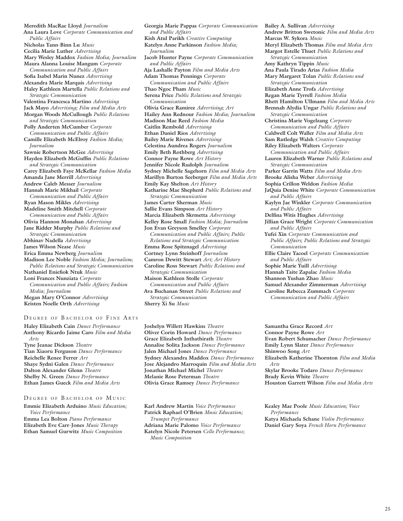**Meredith MacRae Lloyd** *Journalism* **Ana Laura Love** *Corporate Communication and Public Affairs* **Nicholas Yann-Binn Lu** *Music* **Cecilia Marie Luther** *Advertising* **Mary Wesley Maddox** *Fashion Media; Journalism* **Maura Alanna Louise Mangum** *Corporate Communication and Public Affairs* **Sofia Isabel Marin Nunez** *Advertising* **Alexandra Marie Marquis** *Advertising* **Haley Kathleen Martella** *Public Relations and Strategic Communication* **Valentina Francesca Martino** *Advertising* **Jack Mayo** *Advertising; Film and Media Arts* **Morgan Woods McCullough** *Public Relations and Strategic Communication* **Polly Anderten McCumber** *Corporate Communication and Public Affairs* **Camille Elizabeth McElroy** *Fashion Media; Journalism* **Sawnie Robertson McGee** *Advertising* **Hayden Elizabeth McGuffin** *Public Relations and Strategic Communication* **Carey Elizabeth Faye McKellar** *Fashion Media* **Amanda Jane Merrill** *Advertising* **Andrew Caleb Messer** *Journalism* **Hannah Marie Mikhail** *Corporate Communication and Public Affairs* **Ryan Mason Mikles** *Advertising* **Madeline Smith Mitchell** *Corporate Communication and Public Affairs* **Olivia Hannon Monahan** *Advertising* **Jane Ridder Murphy** *Public Relations and Strategic Communication* **Abhinav Nadella** *Advertising* **James Wilson Nease** *Music* **Erica Emma Newberg** *Journalism* **Madison Lee Noble** *Fashion Media; Journalism; Public Relations and Strategic Communication* **Nathaniel Eniefiok Ntuk** *Music* **Loni Frances Nunziata** *Corporate Communication and Public Affairs; Fashion Media; Journalism* **Megan Mary O'Connor** *Advertising* **Kristen Noelle Orth** *Advertising*

### DEGREE OF BACHELOR OF FINE ARTS

**Haley Elizabeth Cain** *Dance Performance* **Anthony Ricardo Jaime Caro** *Film and Media Arts* **Tyne Jeanae Dickson** *Theatre* **Tian Xiaoru Ferguson** *Dance Performance* **Reichelle Renee Ferrer** *Art* **Shaye Sydni Galen** *Dance Performance* **Dalton Alexander Glenn** *Theatre* **Shelby N. Green** *Dance Performance* **Ethan James Gueck** *Film and Media Arts*

### DEGREE OF BACHELOR OF MUSIC

**Emmie Elizabeth Arduino** *Music Education; Voice Performance* **Emma Lea Bolton** *Piano Performance* **Elizabeth Eve Carr-Jones** *Music Therapy* **Ethan Samuel Gurwitz** *Music Composition*

**Georgia Marie Pappas** *Corporate Communication and Public Affairs* **Kish Atul Parikh** *Creative Computing* **Katelyn Anne Parkinson** *Fashion Media; Journalism* **Jacob Hunter Payne** *Corporate Communication and Public Affairs* **Aja Lashalle Payton** *Film and Media Arts* **Adam Thomas Pennings** *Corporate Communication and Public Affairs* **Thao Ngoc Pham** *Music* **Serena Price** *Public Relations and Strategic Communication* **Olivia Grace Ramirez** *Advertising; Art* **Hailey Ann Rednour** *Fashion Media; Journalism* **Madison Mae Reed** *Fashion Media* **Caitlin Rembold** *Advertising* **Ethan Daniel Rios** *Advertising* **Bailey Marie Rivenes** *Advertising* **Celestina Aundrea Rogers** *Journalism* **Emily Beth Rothberg** *Advertising* **Connor Payne Rowe** *Art History* **Jennifer Nicole Rudolph** *Journalism* **Sydney Michelle Sagehorn** *Film and Media Arts* **Marillyn Burton Seeberger** *Film and Media Arts* **Emily Kay Shelton** *Art History* **Katharine Mae Shepherd** *Public Relations and Strategic Communication* **James Carter Sherman** *Music* **Sallie Evans Simpson** *Art History* **Marcia Elizabeth Skrmetta** *Advertising* **Kelley Rose Small** *Fashion Media; Journalism* **Jon Evan Greyson Smelley** *Corporate Communication and Public Affairs; Public Relations and Strategic Communication* **Emma Rose Spitznagel** *Advertising* **Cortney Lynn Steinhoff** *Journalism* **Camron Dewitt Stewart** *Art; Art History* **Caroline Ross Stewart** *Public Relations and Strategic Communication* **Maison Kathleen Stolle** *Corporate Communication and Public Affairs* **Ava Buchanan Street** *Public Relations and Strategic Communication* **Sherry Xi Su** *Music*

**Joshelyn Willett Hawkins** *Theatre* **Oliver Corin Howard** *Dance Performance* **Grace Elizabeth Inthathirath** *Theatre* **Annalise Solita Jackson** *Dance Performance* **Jalen Michael Jones** *Dance Performance* **Sydney Alexandra Maddox** *Dance Performance* **Jose Alejandro Marroquin** *Film and Media Arts* **Jonathan Michael Michel** *Theatre* **Melanie Rose Peterman** *Theatre* **Olivia Grace Ramsey** *Dance Performance*

**Karl Andrew Martin** *Voice Performance* **Patrick Raphael O'Brien** *Music Education; Trumpet Performance* **Adriana Marie Palomo** *Voice Performance* **Katelyn Nicole Petersen** *Cello Performance; Music Composition*

**Bailey A. Sullivan** *Advertising* **Andrew Britton Swetonic** *Film and Media Arts* **Marcus W. Sykora** *Music* **Meryl Elizabeth Thomas** *Film and Media Arts* **Margot Estelle Thuet** *Public Relations and Strategic Communication* **Amy Kathryn Tippin** *Music* **Ana Paula Tirado Arias** *Fashion Media* **Mary Margaret Tolan** *Public Relations and Strategic Communication* **Elizabeth Anne Trofa** *Advertising* **Regan Marie Tyrrell** *Fashion Media* **Rhett Hamilton Ullmann** *Film and Media Arts* **Brennah Alydia Ungar** *Public Relations and Strategic Communication* **Christina Marie Vogelzang** *Corporate Communication and Public Affairs* **Caldwell Colt Waller** *Film and Media Arts* **Sam Rutledge Walsh** *Creative Computing* **Riley Elizabeth Walters** *Corporate Communication and Public Affairs* **Lauren Elizabeth Warner** *Public Relations and Strategic Communication* **Parker Garrin Watts** *Film and Media Arts* **Brooke Alisha Weber** *Advertising* **Sophia Crillon Weldon** *Fashion Media* **JaQuia Denise White** *Corporate Communication and Public Affairs* **Kaylyn Jae Winkler** *Corporate Communication and Public Affairs* **Delfina Witis Hughes** *Advertising* **Jillian Grace Wright** *Corporate Communication and Public Affairs* **Yufei Xin** *Corporate Communication and Public Affairs; Public Relations and Strategic Communication* **Ellie Claire Yacoel** *Corporate Communication and Public Affairs* **Sophie Marie Yuill** *Advertising* **Hannah Taite Zapalac** *Fashion Media* **Shannon Yushan Zhao** *Music* **Samuel Alexander Zimmerman** *Advertising* **Caroline Rebecca Zummach** *Corporate* 

*Communication and Public Affairs*

**Samantha Grace Record** *Art* **Connor Payne Rowe** *Art* **Evan Robert Schumacher** *Dance Performance* **Emily Lynn Slater** *Dance Performance* **Shinwoo Song** *Art* **Elizabeth Katherine Thornton** *Film and Media Arts* **Skylar Brooke Todaro** *Dance Performance* **Brady Kevin White** *Theatre* **Houston Garrett Wilson** *Film and Media Arts*

**Kealey Mae Poole** *Music Education; Voice Performance* **Katya Michaela Schane** *Violin Performance* **Daniel Gary Soya** *French Horn Performance*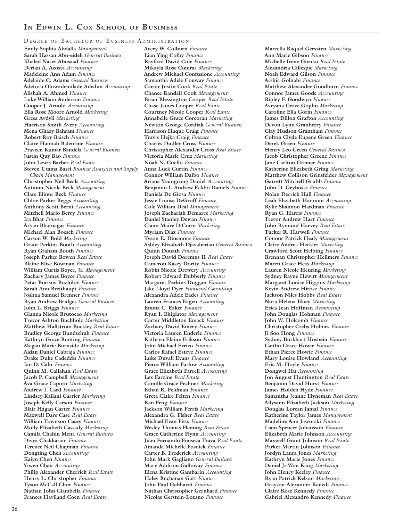DEGREE OF BACHELOR OF BUSINESS ADMINISTRATION

**Emily Sophia Abdalla** *Management* **Sarah Hassan Abu-eideh** *General Business* **Khaled Naser Abusaad** *Finance* **Derian A. Acosta** *Accounting* **Madeleine Ann Adam** *Finance* **Adelaide C. Adams** *General Business* **Adetutu Oluwademilade Adedun** *Accounting* **Alishah A. Ahmed** *Finance* **Luke William Anderson** *Finance* **Cooper J. Arnold** *Accounting* **Ella Rose Moore Arnold** *Marketing* **Gresa Avdyli** *Marketing* **Harrison Smith Avery** *Accounting* **Mena Ghazy Bahram** *Finance* **Robert Roy Baisch** *Finance* **Claire Hannah Balentine** *Finance* **Praveen Kumar Bandela** *General Business* **Justin Quy Bao** *Finance* **John Lewis Barber** *Real Estate* **Steven Utama Basri** *Business Analytics and Supply Chain Management* **Christopher Neil Beals** *Accounting* **Autumn Nicole Beck** *Management* **Clare Elinor Beck** *Finance* **Chloe Parker Beggs** *Accounting* **Anthony Scott Berni** *Accounting* **Mitchell Mario Berry** *Finance* **Ira Bhat** *Finance* **Aryan Bhatnagar** *Finance* **Michael Alan Boesch** *Finance* **Carson W. Bold** *Marketing* **Grant Perkins Booth** *Accounting* **Ryan Graham Booth** *Finance* **Joseph Parker Bowen** *Real Estate* **Blaine Elise Bowman** *Finance* **William Curtis Boyce, Jr.** *Management* **Zachary James Boyce** *Finance* **Petar Borisov Bozhilov** *Finance* **Sarah Ann Breithaupt** *Finance* **Joshua Samuel Brenner** *Finance* **Ryan Andrew Bridges** *General Business* **John L. Briggs** *Finance* **Gianna Nicole Brutocao** *Marketing* **Trevor Ashton Buchholz** *Marketing* **Matthew Hallstrom Buckley** *Real Estate* **Bradley George Bundschuh** *Finance* **Kathryn Grace Bunting** *Finance* **Megan Marie Burnside** *Marketing* **Aidan Daniel Cabraja** *Finance* **Drake Duke Cadeddu** *Finance* **Ian D. Cahr** *Finance* **Quinn M. Callahan** *Real Estate* **Jacob P. Campbell** *Management* **Ava Grace Caputo** *Marketing* **Andrew J. Card** *Finance* **Lindsey Kailani Carrier** *Marketing* **Joseph Kelly Carson** *Finance* **Blair Hagan Carter** *Finance* **Maxwell Dare Case** *Real Estate* **William Townson Casey** *Finance* **Molly Elizabeth Cassady** *Marketing* **Camila Chahin Mena** *General Business* **Divya Chakkaram** *Finance* **Terence Neil Chapman** *Finance* **Dongting Chen** *Accounting* **Kaiyu Chen** *Finance* **Yiwen Chen** *Accounting* **Philip Alexander Cherrick** *Real Estate* **Henry L. Christopher** *Finance* **Tyson McCall Chur** *Finance* **Nathan John Ciambella** *Finance* **Frances Haviland Coen** *Real Estate*

**Avery W. Colburn** *Finance* **Lian Ying Colby** *Finance* **Rayford David Cole** *Finance* **Mikayla Rose Comras** *Marketing* **Andrew Michael Confusione** *Accounting* **Samantha Adele Conway** *Finance* **Carter Justin Cook** *Real Estate* **Chance Randall Cook** *Management* **Brian Blessington Cooper** *Real Estate* **Chase James Cooper** *Real Estate* **Courtney Nicole Cooper** *Real Estate* **Annabelle Grace Corcoran** *Marketing* **Newton George Cordiak** *General Business* **Harrison Haque Craig** *Finance* **Travis Hejka Craig** *Finance* **Charles Dudley Cross** *Finance* **Christopher Alexander Cross** *Real Estate* **Victoria Marie Cruz** *Marketing* **Noah N. Cuello** *Finance* **Anna Luck Curtin** *Finance* **Connor William Dalbo** *Finance* **Ariana Youngcong Daniel** *Accounting* **Benjamin I. Andrew Eckbo Daniels** *Finance* **Daniela De Giosa** *Finance* **Jessie Louise DeGroff** *Finance* **Cole William Deal** *Management* **Joseph Zachariah Demaree** *Marketing* **Daniel Stanley Dewan** *Finance* **Claire Maire DiCorte** *Marketing* **Myriam Diaz** *Finance* **Tyson E. Dinsmore** *Finance* **Ashley Elizabeth Djavaherian** *General Business* **Quinn Donath** *Finance* **Joseph David Doremus II** *Real Estate* **Cameron Kasey Dority** *Finance* **Robin Nicole Drewery** *Accounting* **Robert Edward Dubberly** *Finance* **Margaret Perkins Duggan** *Finance* **Jake Lloyd Dyer** *Financial Consulting* **Alexandra Adele Eades** *Finance* **Lauren Frances Eagen** *Accounting* **Emma C. Eaker** *Finance* **Ryan I. Ehigiator** *Management* **Carter Middleton Emack** *Finance* **Zachary David Emery** *Finance* **Victoria Lauren Enderle** *Finance* **Kathryn Elaine Erikson** *Finance* **John Michael Errico** *Finance* **Carlos Rafael Esteve** *Finance* **Luke Duvall Evans** *Finance* **Pierce William Farlow** *Accounting* **Grace Elizabeth Farrell** *Accounting* **Lex Farzine** *Real Estate* **Camille Grace Fechner** *Marketing* **Ethan R. Feldman** *Finance* **Greta Claire Felten** *Finance* **Ran Feng** *Finance* **Jackson William Ferris** *Marketing* **Alexandra G. Fisher** *Real Estate* **Michael Evan Fitts** *Finance* **Wesley Thomas Fleming** *Real Estate* **Grace Catherine Flynn** *Accounting* **Juan Fernando Fonseca Trava** *Real Estate* **Amanda Michelle Fosdick** *Finance* **Carter B. Frederick** *Accounting* **John Mark Gagliano** *General Business* **Mary Addison Galloway** *Finance* **Elena Kristine Gambarin** *Accounting* **Haley Buchanan Gatt** *Finance* **John Paul Gebhardt** *Finance* **Nathan Christopher Gernhard** *Finance* **Nicolas Gerstein-Lozano** *Finance*

**Marcella Raquel Gerszten** *Marketing* **Ann Marie Gibson** *Finance* **Michelle Irene Gienko** *Real Estate* **Alexandria Gillespie** *Marketing* **Noah Edward Gilson** *Finance* **Arshia Golnabi** *Finance* **Matthew Alexander Goodburn** *Finance* **Connor James Goode** *Accounting* **Ripley F. Goodwyn** *Finance* **Avryana Grace Goplin** *Marketing* **Caroline Ella Gorin** *Finance* **James Dillon Grafton** *Accounting* **Devon Lynn Granberry** *Finance* **Clay Hudson Grantham** *Finance* **Colton Clyde Eugene Green** *Finance* **Derek Green** *Finance* **Henry Leo Green** *General Business* **Jacob Christopher Greene** *Finance* **Jane Carlton Gremer** *Finance* **Katherine Elizabeth Gring** *Marketing* **Matthew Collison Grinsfelder** *Management* **Garrett Mitchell Grubb** *Finance* **John D. Gryboski** *Finance* **Nolan Derrick Hall** *Finance* **Leah Elizabeth Hannum** *Accounting* **Rylie Shannon Hardman** *Finance* **Ryan G. Harris** *Finance* **Trevor Andrew Hart** *Finance* **John Rymund Harvey** *Real Estate* **Tucker R. Harwell** *Finance* **Connor Patrick Healy** *Management* **Claire Andrea Heckler** *Marketing* **Crawford Scott Helbing** *Finance* **Brennan Christopher Hellmers** *Finance* **Maren Grace Hess** *Marketing* **Lauren Nicole Heuring** *Marketing* **Sydney Rayne Hewitt** *Management* **Margaret Louise Higgins** *Marketing* **Kevin Andrew Hirose** *Finance* **Jackson Niles Hobbs** *Real Estate* **Nora Helena Hoey** *Marketing* **Erica Jean Hoffman** *Accounting* **John Douglas Hohman** *Finance* **John W. Holcomb** *Finance* **Christopher Crebs Holmes** *Finance* **Ji Soo Hong** *Finance* **Sydney Burkhart Hosbein** *Finance* **Caitlin Grace Howie** *Finance* **Ethan Pierce Howie** *Finance* **Mary Louise Howland** *Accounting* **Eric M. Hoyle** *Finance* **Dongwei Hu** *Accounting* **Jon August Huntington** *Real Estate* **Benjamin David Hurst** *Finance* **James Holden Hyde** *Finance* **Samantha Jeanne Hyneman** *Real Estate* **Allysann Elizabeth Jackson** *Marketing* **Douglas Lorcan Jamal** *Finance* **Katherine Taylor James** *Management* **Madeline Ann Jaworski** *Finance* **Liam Spencer Johansson** *Finance* **Elizabeth Marie Johnson** *Accounting* **Maxwell Grant Johnson** *Real Estate* **Parker Martin Johnson** *Finance* **Jordyn Laura Jones** *Marketing* **Kathryn Marie Jones** *Finance* **Daniel Ji-Won Kang** *Marketing* **John Henry Keeley** *Finance* **Ryan Patrick Kelson** *Marketing* **Grayson Alexander Kenedi** *Finance* **Claire Rose Kennedy** *Finance* **Gabriel Alexandro Kennedy** *Finance*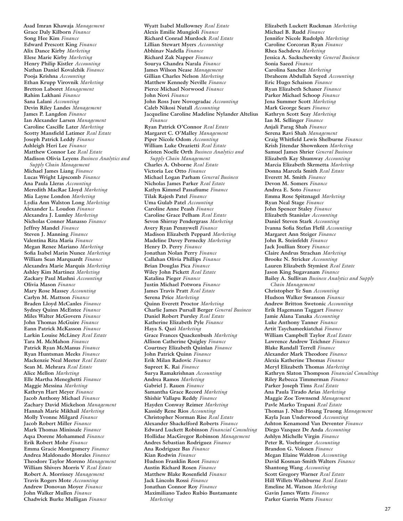**Asad Imran Khawaja** *Management* **Grace Daly Kilborn** *Finance* **Song Hee Kim** *Finance* **Edward Prescott King** *Finance* **Alix Dance Kirby** *Marketing* **Elese Marie Kirby** *Marketing* **Henry Philip Kistler** *Accounting* **Nathan Daniel Kovalchik** *Finance* **Pooja Krishna** *Accounting* **Ethan Krupp Virovnik** *Marketing* **Bretton Laboret** *Management* **Rahim Lakhani** *Finance* **Sana Lalani** *Accounting* **Devin Riley Landes** *Management* **James P. Langdon** *Finance* **Ian Alexander Larsen** *Management* **Caroline Cascille Later** *Marketing* **Scotty Mansfield Latimer** *Real Estate* **Joseph Patrick Leddy** *Finance* **Ashleigh Heri Lee** *Finance* **Matthew Connor Lee** *Real Estate* **Madison Olivia Leyens** *Business Analytics and Supply Chain Management* **Michael James Liang** *Finance* **Lucas Wright Lipscomb** *Finance* **Ana Paula Lleras** *Accounting* **Meredith MacRae Lloyd** *Marketing* **Mia Layne London** *Marketing* **Lydia Ann Walston Long** *Marketing* **Alexander L. Loudon** *Finance* **Alexandra J. Lumley** *Marketing* **Nicholas Conner Manasso** *Finance* **Jeffrey Mandel** *Finance* **Steven J. Manning** *Finance* **Valentina Rita Maria** *Finance* **Megan Renee Mariano** *Marketing* **Sofia Isabel Marin Nunez** *Marketing* **William Sean Marquardt** *Finance* **Alexandra Marie Marquis** *Marketing* **Ashley Kim Martinez** *Marketing* **Zackary Paul Mashni** *Accounting* **Olivia Mason** *Finance* **Mary Rose Massey** *Accounting* **Carlyn M. Mattson** *Finance* **Braden Lloyd McCanles** *Finance* **Sydney Quinn McEntee** *Finance* **Miles Walter McGovern** *Finance* **John Thomas McGuire** *Finance* **Eann Patrick McKasson** *Finance* **Larkin Louise McLiney** *Real Estate* **Tara M. McMahon** *Finance* **Patrick Ryan McManus** *Finance* **Ryan Huntsman Meeks** *Finance* **Mackenzie Neal Meeter** *Real Estate* **Sean M. Mehrara** *Real Estate* **Alice Mellon** *Marketing* **Elle Martha Meneghetti** *Finance* **Maggie Messina** *Marketing* **Kathryn Hart Meyer** *Finance* **Jacob Anthony Michael** *Finance* **Zachary David Mickelson** *Management* **Hannah Marie Mikhail** *Marketing* **Molly Yvonne Milgard** *Finance* **Jacob Robert Miller** *Finance* **Mark Thomas Minissale** *Finance* **Aqsa Dorene Mohammed** *Finance* **Erik Robert Mohr** *Finance* **Emma Gracie Montgomery** *Finance* **Andrea Maldonado Morales** *Finance* **Theodore Taylor Moreno** *Management* **William Shivers Morris V** *Real Estate* **Robert A. Morrissey** *Management* **Travis Rogers Mote** *Accounting* **Andrew Donovan Moyer** *Finance* **John Walker Mullen** *Finance* **Chadwick Burke Mulligan** *Finance*

**Wyatt Isabel Mullowney** *Real Estate* **Alexis Emilie Mungioli** *Finance* **Richard Conrad Murdock** *Real Estate* **Lillian Stewart Myers** *Accounting* **Abhinav Nadella** *Finance* **Richard Zak Napper** *Finance* **Sourya Chandra Narala** *Finance* **James Wilson Nease** *Management* **Gillian Charles Nelson** *Marketing* **Matthew Kennedy Neville** *Finance* **Pierce Michael Norwood** *Finance* **John Novi** *Finance* **John Ross Jure Novogradac** *Accounting* **Caleb Nikosi Nutall** *Accounting* **Jacqueline Caroline Madeline Nylander Altelius**  *Finance* **Ryan Patrick O'Connor** *Real Estate* **Margaret C. O'Malley** *Management* **Piper Nicole Odom** *Accounting* **William Luke Orazietti** *Real Estate* **Kristen Noelle Orth** *Business Analytics and Supply Chain Management* **Charles A. Osborne** *Real Estate* **Victoria Lee Otto** *Finance* **Michael Logan Parham** *General Business* **Nicholas James Parker** *Real Estate* **Katlyn Kimmel Passafiume** *Finance* **Tilak Rajesh Patel** *Finance* **Uma Gulab Patel** *Accounting* **Caroline Anne Peash** *Finance* **Caroline Grace Pelham** *Real Estate* **Sevon Shirray Pendergrass** *Marketing* **Avery Ryan Pennywell** *Finance* **Madison Elizabeth Peppard** *Marketing* **Madeline Davey Pernecky** *Marketing* **Henry D. Perry** *Finance* **Jonathan Nolan Perry** *Finance* **Callahan Olivia Phillips** *Finance* **Brian Douglas Pica** *Finance* **Wiley John Pickett** *Real Estate* **Katalina Pieger** *Finance* **Justin Michael Potwora** *Finance* **James Travis Pratt** *Real Estate* **Serena Price** *Marketing* **Quinn Everett Proctor** *Marketing* **Charlie James Pursall Berger** *General Business* **Daniel Robert Pursley** *Real Estate* **Katherine Elizabeth Pyle** *Finance* **Haya S. Qazi** *Marketing* **Grace Frances Quackenbush** *Marketing* **Allison Catherine Quigley** *Finance* **Courtney Elizabeth Quinlan** *Finance* **John Patrick Quinn** *Finance* **Erik Milan Radovic** *Finance* **Supreet K. Rai** *Finance* **Surya Ramakrishnan** *Accounting* **Andrea Ramos** *Marketing* **Gabriel J. Rauen** *Finance* **Samantha Grace Record** *Marketing* **Shishir Vallapu Reddy** *Finance* **Hayden Conway Reimer** *Marketing* **Kassidy Rene Rios** *Accounting* **Christopher Norman Rise** *Real Estate* **Alexander Shackelford Roberts** *Finance* **Edward Luckett Robinson** *Financial Consulting* **Hollidae MacGregor Robinson** *Management* **Andres Sebastian Rodriguez** *Finance* **Ana Rodriguez Bas** *Finance* **Kian Rodwin** *Finance* **Hudson Franklin Root** *Finance* **Austin Richard Rosen** *Finance* **Matthew Blake Rosenfield** *Finance* **Jack Lincoln Rossi** *Finance* **Jonathan Connor Roy** *Finance* **Maximiliano Tadeo Rubio Bustamante**  *Marketing*

**Elizabeth Luckett Ruckman** *Marketing* **Michael B. Rudd** *Finance* **Jennifer Nicole Rudolph** *Marketing* **Caroline Corcoran Ryan** *Finance* **Rhea Sachdeva** *Marketing* **Jessica A. Sackschewsky** *General Business* **Sonia Saeed** *Finance* **Carolina Sanchez** *Marketing* **Ibraheem Abdullah Sayed** *Accounting* **Eric Hugo Schaison** *Finance* **Ryan Elizabeth Schaner** *Finance* **Parker Michael Schoop** *Finance* **Jena Summer Scott** *Marketing* **Mark George Sears** *Finance* **Kathryn Scott Seay** *Marketing* **Ian M. Sellinger** *Finance* **Anjali Parag Shah** *Finance* **Serena Ravi Shah** *Management* **Craig Whitfield Lewis Shelburne** *Finance* **Krish Jitendar Shownkeen** *Marketing* **Samuel James Shrier** *General Business* **Elizabeth Kay Shumway** *Accounting* **Marcia Elizabeth Skrmetta** *Marketing* **Donna Marcela Smith** *Real Estate* **Everett M. Smith** *Finance* **Devon M. Somers** *Finance* **Andrea E. Soto** *Finance* **Emma Rose Spitznagel** *Marketing* **Ryan Neal Stage** *Finance* **John Spencer Staley** *Finance* **Elizabeth Stanislav** *Accounting* **Daniel Steven Stark** *Accounting* **Ivanna Sofia Stefan Flefil** *Accounting* **Margaret Ann Steiger** *Finance* **John R. Steinfeldt** *Finance* **Jack Joullian Story** *Finance* **Claire Andrus Strachan** *Marketing* **Brooke N. Stricker** *Accounting* **Lauren Elizabeth Stymiest** *Real Estate* **Jason King Sugavanam** *Finance* **Bailey A. Sullivan** *Business Analytics and Supply Chain Management* **Christopher Ye Sun** *Accounting* **Hudson Walker Swanson** *Finance* **Andrew Britton Swetonic** *Accounting* **Erik Hagemann Taggart** *Finance* **Jamie Alana Tanaka** *Accounting* **Luke Anthony Tanner** *Finance* **Artit Taychameekiatchai** *Finance* **William Campbell Taylor** *Real Estate* **Lawrence Andrew Teichner** *Finance* **Blake Randall Terrell** *Finance* **Alexander Mark Theodore** *Finance* **Alexia Katherine Thomas** *Finance* **Meryl Elizabeth Thomas** *Marketing* **Kathryn Slaton Thompson** *Financial Consulting* **Riley Rebecca Timmerman** *Finance* **Parker Joseph Tims** *Real Estate* **Ana Paula Tirado Arias** *Marketing* **Maggie Zoe Townsend** *Management* **Pavle Marko Trapani** *Real Estate* **Thomas J. Nhat-Hoang Truong** *Management* **Kayla Jean Underwood** *Accounting* **Ashton Kenamond Van Deventer** *Finance* **Diego Vazquez De Anda** *Accounting* **Ashlyn Michelle Virgin** *Finance* **Peter R. Voehringer** *Accounting* **Brandon G. Volosen** *Finance* **Megan Elaine Waldron** *Accounting* **David Kosman-Smith Walters** *Finance* **Shantong Wang** *Accounting* **Scott Gregory Warner** *Real Estate* **Hill Willets Washburne** *Real Estate* **Emeline M. Watson** *Marketing* **Gavin James Watts** *Finance* **Parker Garrin Watts** *Finance*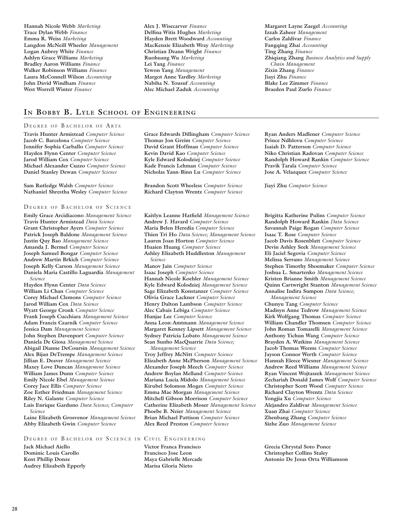**Hannah Nicole Webb** *Marketing* **Trace Dylan Webb** *Finance* **Emma R. Weiss** *Marketing* **Langdon McNeill Wheeler** *Management* **Logan Aubrey White** *Finance* **Ashlyn Grace Williams** *Marketing* **Bradley Aaron Williams** *Finance* **Walker Robinson Williams** *Finance* **Laura McConnell Wilson** *Accounting* **John David Windham** *Finance* **West Worrell Winter** *Finance*

**Alex J. Wisecarver** *Finance* **Delfina Witis Hughes** *Marketing* **Hayden Brett Woodward** *Accounting* **MacKenzie Elizabeth Wray** *Marketing* **Christian Deann Wright** *Finance* **Ruohuang Wu** *Marketing* **Lei Yang** *Finance* **Yewon Yang** *Management* **Margot Anne Yardley** *Marketing* **Nabiha N. Yousuf** *Accounting* **Alec Michael Zaduk** *Accounting*

## **In Bobby B. Lyle School of Engineering**

### DEGREE OF BACHELOR OF ARTS

**Travis Hunter Armistead** *Computer Science* **Jacob C. Barcelona** *Computer Science* **Jennifer Sophia Carballo** *Computer Science* **Hayden Flynn Center** *Computer Science* **Jarod William Cox** *Computer Science* **Michael Alexander Cuzzo** *Computer Science* **Daniel Stanley Dewan** *Computer Science*

**Sam Rutledge Walsh** *Computer Science* **Nathaniel Shrestha Wesley** *Computer Science*

### DEGREE OF BACHELOR OF SCIENCE

**Emily Grace Arcidiacono** *Management Science* **Travis Hunter Armistead** *Data Science* **Grant Christopher Ayers** *Computer Science* **Patrick Joseph Baldone** *Management Science* **Justin Quy Bao** *Management Science* **Amanda J. Bermel** *Computer Science* **Joseph Samuel Bongar** *Computer Science* **Andrew Martin Brkich** *Computer Science* **Joseph Kelly Carson** *Management Science* **Daniela Maria Castillo Laguardia** *Management Science*

**Hayden Flynn Center** *Data Science* **William Li Chan** *Computer Science* **Corey Michael Clemons** *Computer Science* **Jarod William Cox** *Data Science* **Wyatt George Cronk** *Computer Science* **Frank Joseph Cucchiara** *Management Science* **Adam Francis Czarnik** *Computer Science* **Jessica Dam** *Management Science* **John Stephen Davenport** *Computer Science* **Daniela De Giosa** *Management Science* **Abigail Dianne DeCoursin** *Management Science* **Alex Bijan DeTrempe** *Management Science* **Jillian E. Deaver** *Management Science* **Maxey Love Duncan** *Management Science* **William James Dunn** *Computer Science* **Emily Nicole Ebel** *Management Science* **Corey Jace Ellis** *Computer Science* **Zoe Esther Friedman** *Management Science* **Riley N. Galante** *Computer Science* **Luis Enrique Garduno** *Data Science; Computer Science*

**Laine Elizabeth Grosvenor** *Management Science* **Abby Elizabeth Gwin** *Computer Science*

### DEGREE OF BACHELOR OF SCIENCE IN CIVIL ENGINEERING

**Jack Michael Aiello Dominic Louis Carollo Kent Phillip Donze Audrey Elizabeth Epperly**  **Grace Edwards Dillingham** *Computer Science* **Thomas Jon Greim** *Computer Science* **David Grant Hoffman** *Computer Science* **Kevin David Kao** *Computer Science* **Kyle Edward Kolodziej** *Computer Science* **Kade Francis Lehman** *Computer Science* **Nicholas Yann-Binn Lu** *Computer Science*

**Brandon Scott Wheeless** *Computer Science* **Richard Clayton Wrentz** *Computer Science*

**Kaitlyn Leanne Hatfield** *Management Science* **Andrew J. Havard** *Computer Science* **Maria Belen Heredia** *Computer Science* **Thien Tri Ho** *Data Science; Management Science* **Lauren Joan Horton** *Computer Science* **Huaien Huang** *Computer Science* **Ashley Elizabeth Huddleston** *Management Science*

**Manov Jain** *Computer Science* **Isaac Joseph** *Computer Science* **Hannah Nicole Koehler** *Management Science* **Kyle Edward Kolodziej** *Management Science* **Sage Elizabeth Konstanzer** *Computer Science* **Olivia Grace Lackner** *Computer Science* **Henry Dalton Lambson** *Computer Science* **Alec Cabais Lebiga** *Computer Science* **Hunjae Lee** *Computer Science* **Anna Leon-Amtmann** *Management Science* **Margaret Kenney Lipsett** *Management Science* **Sydney Patricia Lobato** *Management Science* **Sean Sunho MacQuarrie** *Data Science; Management Science*

**Troy Jeffrey McNitt** *Computer Science* **Elizabeth Anne McPherson** *Management Science* **Alexander Joseph Meech** *Computer Science* **Andrew Boylan Melland** *Computer Science* **Mariana Lucia Midolo** *Management Science* **Kirubel Solomon Moges** *Computer Science* **Emma Mae Morgan** *Management Science* **Mitchell Gibson Morrison** *Computer Science* **Catherine Elizabeth Moser** *Management Science* **Phoebe B. Neier** *Management Science* **Brian Michael Pattison** *Computer Science* **Alex Reed Preston** *Computer Science*

**Victor Franca Francisco Francisco Jose Leon Maya Gabrielle Mercade Marisa Gloria Nieto** 

**Margaret Layne Zaegel** *Accounting* **Izzah Zaheer** *Management* **Carlos Zaldivar** *Finance* **Fangqing Zhai** *Accounting* **Ting Zhang** *Finance* **Zhiqiang Zhang** *Business Analytics and Supply Chain Management* **Zixin Zhang** *Finance* **Jiayi Zhu** *Finance* **Blake Lee Zimmer** *Finance* **Braeden Paul Zurlo** *Finance*

**Ryan Anders Madlener** *Computer Science* **Prince Ndhlovu** *Computer Science* **Isaiah D. Patterson** *Computer Science* **Niko Christian Radovan** *Computer Science* **Randolph Howard Rankin** *Computer Science* **Pravik Tarala** *Computer Science* **Jose A. Velazquez** *Computer Science*

**Jiayi Zhu** *Computer Science*

**Brigitta Katherine Pulins** *Computer Science* **Randolph Howard Rankin** *Data Science* **Savannah Paige Rogan** *Computer Science* **Isaac T. Rose** *Computer Science* **Jacob Davis Rosenblatt** *Computer Science* **Devin Ashley Seek** *Management Science* **Eli Jaciel Segovia** *Computer Science* **Melissa Serrano** *Management Science* **Stephen Timothy Shoemaker** *Computer Science* **Joshua L. Smartenko** *Management Science* **Kristen Brianne Smith** *Management Science* **Quinn Cartwright Stanton** *Management Science* **Annalise Indira Sumpon** *Data Science;* 

*Management Science* **Chunyu Tang** *Computer Science* **Madisyn Anne Tedrow** *Management Science* **Kirk Wolfgang Thomas** *Computer Science* **William Chandler Thomsen** *Computer Science* **John Roman Tomaselli** *Management Science* **Anthony Yichun Wang** *Computer Science* **Brayden A. Watkins** *Management Science* **Jacob Thomas Weems** *Computer Science* **Jayson Connor Werth** *Computer Science* **Hannah Eleece Wiesner** *Management Science* **Andrew Reed Williams** *Management Science* **Ryan Vincent Wojtaszek** *Management Science* **Zechariah Donald James Wolf** *Computer Science* **Christopher Scott Wood** *Computer Science* **Richard Clayton Wrentz** *Data Science* **Yongjia Xu** *Computer Science* **Alejandro Zaldivar** *Management Science* **Xuan Zhai** *Computer Science* **Zhenbang Zhang** *Computer Science* **Sizhe Zuo** *Management Science*

**Grecia Chrystal Soto Ponce Christopher Collins Staley Antonio De Jesus Orta Williamson**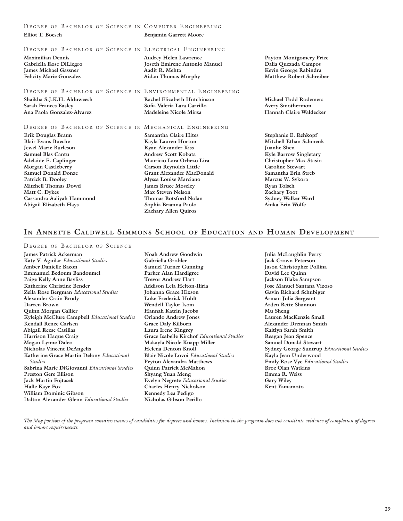### DEGREE OF BACHELOR OF SCIENCE IN COMPUTER ENGINEERING

| Elliot T. Boesch                                                                                                                                                                        | <b>Benjamin Garrett Moore</b>                                                                                                                                                                              |                                                                                                                                                                                          |
|-----------------------------------------------------------------------------------------------------------------------------------------------------------------------------------------|------------------------------------------------------------------------------------------------------------------------------------------------------------------------------------------------------------|------------------------------------------------------------------------------------------------------------------------------------------------------------------------------------------|
| DEGREE OF BACHELOR OF SCIENCE IN ELECTRICAL ENGINEERING<br><b>Maximilian Dennis</b><br>Gabriella Rose DiLiegro<br><b>James Michael Gassner</b><br><b>Felicity Marie Gonzalez</b>        | <b>Audrey Helen Lawrence</b><br><b>Joseth Emirene Antonio Manuel</b><br>Aadit R. Mehta<br><b>Aidan Thomas Murphy</b>                                                                                       | <b>Payton Montgomery Price</b><br>Dalia Quezada Campos<br>Kevin George Rabindra<br><b>Matthew Robert Schreiber</b>                                                                       |
| DEGREE OF BACHELOR OF SCIENCE IN ENVIRONMENTAL ENGINEERING                                                                                                                              |                                                                                                                                                                                                            |                                                                                                                                                                                          |
| Shaikha S.J.K.H. Alduweesh<br><b>Sarah Frances Easley</b><br>Ana Paola Gonzalez-Alvarez                                                                                                 | Rachel Elizabeth Hutchinson<br>Sofia Valeria Lara Carrillo<br><b>Madeleine Nicole Mirza</b>                                                                                                                | <b>Michael Todd Rodemers</b><br>Avery Smothermon<br>Hannah Claire Waldecker                                                                                                              |
| DEGREE OF BACHELOR OF SCIENCE IN MECHANICAL ENGINEERING                                                                                                                                 |                                                                                                                                                                                                            |                                                                                                                                                                                          |
| Erik Douglas Braun<br><b>Blair Evans Bueche</b><br><b>Jewel Marie Burleson</b><br><b>Samuel Blas Cantu</b><br>Adelaide E. Caplinger<br>Morgan Castleberry<br><b>Samuel Donald Donze</b> | Samantha Claire Hites<br>Kayla Lauren Horton<br><b>Ryan Alexander Kiss</b><br><b>Andrew Scott Kobata</b><br>Mauricio Lara Orbezo Lira<br><b>Carson Reynolds Little</b><br><b>Grant Alexander MacDonald</b> | Stephanie E. Rehkopf<br>Mitchell Ethan Schmenk<br><b>Juanhe Shen</b><br><b>Kyle Barrow Singletary</b><br><b>Christopher Max Stasio</b><br><b>Caroline Stewart</b><br>Samantha Erin Streb |

- **Patrick B. Dooley Mitchell Thomas Dowd Matt C. Dykes Cassandra Aaliyah Hammond Abigail Elizabeth Hays**
- **Alyssa Louise Marciano James Bruce Moseley Max Steven Nelson Thomas Botsford Nolan Sophia Brianna Paolo Zachary Allen Quiros**

**Marcus W. Sykora Ryan Tolsch Zachary Toot Sydney Walker Ward Anika Erin Wolfe** 

## **In Annette Caldwell Simmons School of Education and Human Development**

### DEGREE OF BACHELOR OF SCIENCE

**James Patrick Ackerman Katy V. Aguilar** *Educational Studies* **Amber Danielle Bacon Emmanuel Bedoum Bandoumel Paige Kelly Anne Bayliss Katherine Christine Bender Zella Rose Bergman** *Educational Studies* **Alexander Crain Brody Darren Brown Quinn Morgan Callier Kyleigh McClure Campbell** *Educational Studies* **Kendall Renee Carlsen Abigail Reese Casillas Harrison Haque Craig Megan Lynne Daleo Nicholas Vincent DeAngelis Katherine Grace Martin Delony** *Educational Studies* **Sabrina Marie DiGiovanni** *Educational Studies* **Preston Gere Ellison Jack Martin Fojtasek Halle Kaye Fox William Dominic Gibson Dalton Alexander Glenn** *Educational Studies*

- **Noah Andrew Goodwin Gabriella Grobler Samuel Turner Gunning Parker Alan Hardigree Trevor Andrew Hart Addison Lela Helton-Iliria Johanna Grace Hixson Luke Frederick Hohlt Wendell Taylor Isom Hannah Katrin Jacobs Orlando Andrew Jones Grace Daly Kilborn Laura Irene Kingrey Grace Isabelle Kirchof** *Educational Studies* **Makayla Nicole Knapp Miller Helena Denton Knoll Blair Nicole Lovoi** *Educational Studies* **Peyton Alexandra Matthews Quinn Patrick McMahon Shyang Yuan Meng Evelyn Negrete** *Educational Studies* **Charles Henry Nicholson Kennedy Lea Pedigo Nicholas Gibson Perillo**
- **Julia McLaughlin Perry Jack Crown Peterson Jason Christopher Pollina David Lee Quinn Jackson Blake Sampson Jose Manuel Santana Vizoso Gavin Richard Schubiger Arman Julia Sergeant Arden Bette Shannon Mu Sheng Lauren MacKenzie Small Alexander Drennan Smith Kaitlyn Sarah Smith Reagan Jean Spence Samuel Donald Stewart Sydney George Suntrup** *Educational Studies* **Kayla Jean Underwood Emily Rose Vye** *Educational Studies* **Broc Olan Watkins Emma R. Weiss Gary Wiley Kent Yamamoto**

*The May portion of the program contains names of candidates for degrees and honors. Inclusion in the program does not constitute evidence of completion of degrees and honors requirements.*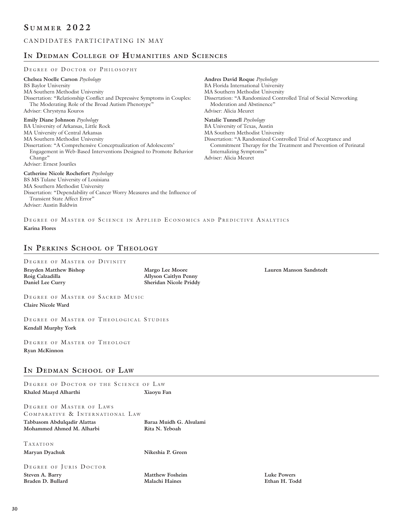## CANDIDATES PARTICIPATING IN MAY

## **In Dedman College of Humanities and Sciences**

### DEGREE OF DOCTOR OF PHILOSOPHY

**Chelsea Noelle Carson** *Psychology* BS Baylor University MA Southern Methodist University Dissertation: "Relationship Conflict and Depressive Symptoms in Couples: The Moderating Role of the Broad Autism Phenotype" Adviser: Chrystyna Kouros **Emily Diane Johnson** *Psychology* BA University of Arkansas, Little Rock MA University of Central Arkansas MA Southern Methodist University Dissertation: "A Comprehensive Conceptualization of Adolescents' Engagement in Web-Based Interventions Designed to Promote Behavior Change" Adviser: Ernest Jouriles

**Catherine Nicole Rochefort** *Psychology* BS MS Tulane University of Louisiana MA Southern Methodist University Dissertation: "Dependability of Cancer Worry Measures and the Influence of Transient State Affect Error" Adviser: Austin Baldwin

**Andres David Roque** *Psychology* BA Florida International University MA Southern Methodist University Dissertation: "A Randomized Controlled Trial of Social Networking Moderation and Abstinence" Adviser: Alicia Meuret

**Natalie Tunnell** *Psychology*

BA University of Texas, Austin

MA Southern Methodist University

Dissertation: "A Randomized Controlled Trial of Acceptance and Commitment Therapy for the Treatment and Prevention of Perinatal Internalizing Symptoms" Adviser: Alicia Meuret

DEGREE OF MASTER OF SCIENCE IN APPLIED ECONOMICS AND PREDICTIVE ANALYTICS

## **In Perkins School of Theology**

### DEGREE OF MASTER OF DIVINITY

**Brayden Matthew Bishop Roig Calzadilla Daniel Lee Curry** 

**Karina Flores** 

**Margo Lee Moore Allyson Caitlyn Penny Sheridan Nicole Priddy** 

DEGREE OF MASTER OF SACRED MUSIC **Claire Nicole Ward** 

DEGREE OF MASTER OF THEOLOGICAL STUDIES **Kendall Murphy York**

DEGREE OF MASTER OF THEOLOGY **Ryan McKinnon** 

## **In Dedman School of Law**

| DEGREE OF DOCTOR OF THE SCIENCE OF LAW |                         |
|----------------------------------------|-------------------------|
| Khaled Maayd Alharthi                  | Xiaoyu Fan              |
|                                        |                         |
| DEGREE OF MASTER OF LAWS               |                         |
| COMPARATIVE & INTERNATIONAL LAW        |                         |
| Tabbasom Abdulqadir Alattas            | Baraa Muidh G. Alsulami |
| Mohammed Ahmed M. Alharbi              | Rita N. Yeboah          |
|                                        |                         |
| TAXATION                               |                         |
| Maryan Dyachuk                         | Nikeshia P. Green       |
|                                        |                         |
| DEGREE OF JURIS DOCTOR                 |                         |
| Steven A. Barry                        | <b>Matthew Fosheim</b>  |
| Braden D. Bullard                      | Malachi Haines          |

**Lauren Manson Sandstedt** 

**Luke Powers Ethan H. Todd**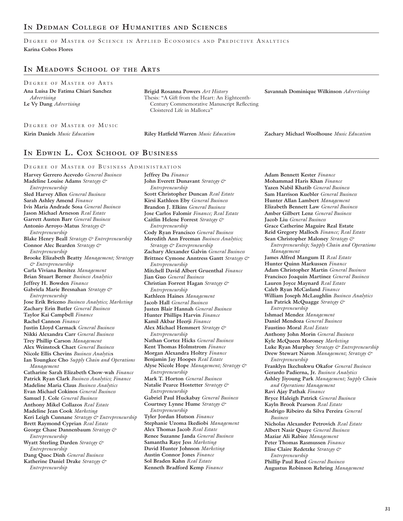## **In Dedman College of Humanities and Sciences**

DEGREE OF MASTER OF SCIENCE IN APPLIED ECONOMICS AND PREDICTIVE ANALYTICS **Karina Cobos Flores** 

## **In Meadows School of the Arts**

| DEGREE OF MASTER OF ARTS                                                    |                                                                                                                                                                    |                                          |
|-----------------------------------------------------------------------------|--------------------------------------------------------------------------------------------------------------------------------------------------------------------|------------------------------------------|
| Ana Luisa De Fatima Chiari Sanchez<br>Advertising<br>Le Vy Dang Advertising | Brigid Rosanna Powers Art History<br>Thesis: "A Gift from the Heart: An Eighteenth-<br>Century Commemorative Manuscript Reflecting<br>Cloistered Life in Mallorca" | Savannah Dominique Wilkinson Advertising |
| DEGREE OF MASTER OF MUSIC                                                   |                                                                                                                                                                    |                                          |

**Kirin Daniels** *Music Education* **Riley Hatfield Warren** *Music Education* **Zachary Michael Woolhouse** *Music Education*

## **In Edwin L. Cox School of Business**

DEGREE OF MASTER OF BUSINESS ADMINISTRATION **Harvey Gerrero Acevedo** *General Business* **Madeline Louise Adams** *Strategy & Entrepreneurship* **Sled Harvey Allen** *General Business* **Sarah Ashley Amend** *Finance* **Ivis Maria Andrade Sosa** *General Business* **Jason Michael Arneson** *Real Estate* **Garrett Austen Barr** *General Business* **Antonio Arroyo-Matus** *Strategy & Entrepreneurship* **Blake Henry Beall** *Strategy & Entrepreneurship* **Connor Alec Bearden** *Strategy & Entrepreneurship* **Brooke Elizabeth Beatty** *Management; Strategy & Entrepreneurship* **Carla Viviana Benitez** *Management* **Brian Stuart Berner** *Business Analytics* **Jeffrey H. Bowden** *Finance* **Gabriela Marie Bresnahan** *Strategy & Entrepreneurship* **Jose Erik Briceno** *Business Analytics; Marketing* **Zachary Erin Butler** *General Business* **Taylor Kai Campbell** *Finance* **Rachel Cannon** *Finance* **Justin Lloyd Carmack** *General Business* **Nikki Alexandra Carr** *General Business* **Trey Phillip Carson** *Management* **Alex Weinstock Chaet** *General Business* **Nicole Ellis Chevins** *Business Analytic***s Ian Youngkee Cho** *Supply Chain and Operations Management* **Catharine Sarah Elizabeth Chow-wah** *Finance* **Patrick Ryan Clark** *Business Analytics; Finance* **Madeline Maria Claus** *Business Analytics* **Evan Michael Cokinos** *General Business* **Samuel J. Cole** *General Business* **Anthony Mikel Collazos** *Real Estate* **Madeline Jean Cook** *Marketing* **Keri Leigh Cunnane** *Strategy & Entrepreneurship* **Brett Raymond Cyprian** *Real Estate* **George Chase Dannenbaum** *Strategy & Entrepreneurship* **Wyatt Sterling Darden** *Strategy & Entrepreneurship* **Dang Quoc Dinh** *General Business* **Katherine Daniel Drake** *Strategy & Entrepreneurship*

**Jeffrey Du** *Finance* **John Everett Dunavant** *Strategy & Entrepreneurship* **Scott Christopher Duncan** *Real Estate* **Kirsi Kathleen Eby** *General Business* **Brandon J. Elkins** *General Business* **Jose Carlos Falomir** *Finance; Real Estate* **Caitlin Helene Forrest** *Strategy & Entrepreneurship* **Cody Ryan Francisco** *General Business* **Meredith Ann Freeman** *Business Analytics; Strategy & Entrepreneurship* **Zachary Alexander Galvin** *General Business*  **Brittnee Cymone Anntress Gantt** *Strategy & Entrepreneurship* **Mitchell David Albert Gruenthal** *Finance* **Jian Guo** *General Business* **Christian Forrest Hagan** *Strategy & Entrepreneurship* **Kathleen Haines** *Management* **Jacob Hall** *General Business*  **Justen Blair Hannah** *General Business* **Hunter Phillips Harvin** *Finance* **Kamil Akbar Heerji** *Finance* **Alex Michael Hemmert** *Strategy & Entrepreneurship* **Nathan Cortez Hicks** *General Business* **Kent Thomas Holmstrom** *Finance* **Morgan Alexandra Holtry** *Finance* **Benjamin Jay Hoopes** *Real Estate* **Alyse Nicole Hope** *Management; Strategy & Entrepreneurship* **Mark T. Horton** *General Business* **Natalie Pearce Hostetter** *Strategy & Entrepreneurship* **Gabriel Paul Huckabay** *General Business* **Courtney Lynne Hume** *Strategy & Entrepreneurship* **Tyler Jordan Hutson** *Finance* **Stephanie Uzoma Ikediobi** *Management* **Alex Thomas Jacob** *Real Estate* **Renee Suzanne Janda** *General Business* **Samantha Raye Jess** *Marketing* **David Hunter Johnson** *Marketing* **Austin Connor Jones** *Finance* **Sol Braden Kahn** *Real Estate* **Kenneth Bradford Kemp** *Finance*

**Adam Bennett Kester** *Finance* **Mohammad Haris Khan** *Finance* **Yazen Nabil Khatib** *General Business* **Sam Harrison Kuebler** *General Business* **Hunter Allan Lambert** *Management* **Elizabeth Bennett Law** *General Business* **Amber Gilbert Lenz** *General Business* **Jacob Liu** *General Business* **Grace Catherine Maguire Real Estate Reid Gregory Malloch** *Finance; Real Estate* **Sean Christopher Maloney** *Strategy & Entrepreneurship; Supply Chain and Operations Management* **James Alfred Mangum II** *Real Estate* **Hunter Quinn Markussen** *Finance* **Adam Christopher Martin** *General Business* **Francisco Joaquin Martinez** *General Business* **Lauren Joyce Maynard** *Real Estate* **Caleb Ryan McCasland** *Finance* **William Joseph McLaughlin** *Business Analytics* **Ian Patrick McQuagge** *Strategy & Entrepreneurship* **Ishmael Mendez** *Management* **Daniel Mendoza** *General Business*  **Faustino Moral** *Real Estate* **Anthony John Morin** *General Business*  **Kyle McQueen Moroney** *Marketing* **Luke Ryan Murphey** *Strategy & Entrepreneurship* **Drew Stewart Naron** *Management; Strategy & Entrepreneurship* **Franklyn Ikechukwu Okafor** *General Business* **Gerardo Padierna, Jr.** *Business Analytics* **Ashley Jiyoung Park** *Management; Supply Chain and Operations Management* **Ravi Ajay Pathak** *Finance* **Bryce Haleigh Patrick** *General Business*  **Kayln Brook Pearson** *Real Estate* **Rodrigo Ribeiro da Silva Pereira** *General Business*  **Nicholas Alexander Petrovich** *Real Estate* **Albert Nasir Quaye** *General Business* **Maziar Ali Rabiee** *Management* **Peter Thomas Rasmussen** *Finance* **Elise Claire Redetzke** *Strategy & Entrepreneurship* **Phillip Paul Reed** *General Business* **Augustus Robinson Rehring** *Management*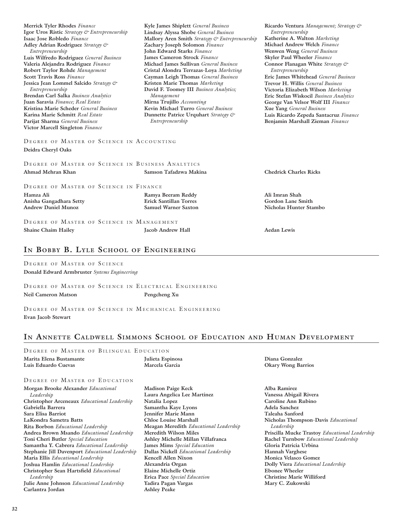| Isaac Jose Robledo Finance                        | Mallory Aren Smith Strategy & Entrepreneurship | Katherine A. Walton Marketing           |
|---------------------------------------------------|------------------------------------------------|-----------------------------------------|
| Adley Adrian Rodriguez Strategy &                 | Zachary Joseph Solomon Finance                 | Michael Andrew Welch Finance            |
| Entrepreneurship                                  | John Edward Starks Finance                     | Wenwen Weng General Business            |
| Luis Wilfredo Rodriguez General Business          | <b>James Cameron Strock Finance</b>            | Skyler Paul Wheeler Finance             |
| Valeria Alejandra Rodriguez Finance               | Michael James Sullivan General Business        | Connor Flanagan White Strategy &        |
| Robert Taylor Rohde Management                    | Cristal Alondra Terrazas-Loya Marketing        | Entrepreneurship                        |
| <b>Scott Travis Ross Finance</b>                  | Cayman Leigh Thomas General Business           | Eric James Whitehead General Business   |
| Jessica Jean Lommel Salcido Strategy &            | Kristen Marie Thomas Marketing                 | Trevor H. Willis General Business       |
| Entrepreneurship                                  | David F. Toomey III Business Analytics;        | Victoria Elizabeth Wilson Marketing     |
| <b>Brendan Carl Salka Business Analytics</b>      | Management                                     | Eric Stefan Wiskocil Business Analytics |
| Juan Saravia Finance; Real Estate                 | Mirna Trujillo Accounting                      | George Van Velsor Wolf III Finance      |
| Kristina Marie Scheder General Business           | Kevin Michael Turro General Business           | Xue Yang General Business               |
| Karina Marie Schmitt Real Estate                  | Dannette Patrice Urquhart Strategy &           | Luis Ricardo Zepeda Santacruz Finance   |
| Parijat Sharma General Business                   | Entrepreneurship                               | Benjamin Marshall Zieman Finance        |
| Victor Marcell Singleton Finance                  |                                                |                                         |
| DEGREE OF MASTER OF SCIENCE IN ACCOUNTING         |                                                |                                         |
| Deidra Cheryl Oaks                                |                                                |                                         |
| DEGREE OF MASTER OF SCIENCE IN BUSINESS ANALYTICS |                                                |                                         |
| Ahmad Mehran Khan                                 | Samson Tafadzwa Makina                         | <b>Chedrick Charles Ricks</b>           |
| DEGREE OF MASTER OF SCIENCE IN FINANCE            |                                                |                                         |
| Hamza Ali                                         | Ramya Beeram Reddy                             | Ali Imran Shah                          |
| Anisha Gangadhara Setty                           | <b>Erick Santillan Torres</b>                  | Gordon Lane Smith                       |
| <b>Andrew Daniel Munoz</b>                        | <b>Samuel Warner Saxton</b>                    | Nicholas Hunter Stambo                  |
|                                                   |                                                |                                         |
| DEGREE OF MASTER OF SCIENCE IN MANAGEMENT         |                                                |                                         |
| <b>Shaine Chaim Hailey</b>                        | <b>Jacob Andrew Hall</b>                       | <b>Aedan Lewis</b>                      |
|                                                   |                                                |                                         |

**Kyle James Shiplett** *General Business* **Lindsay Alyssa Shobe** *General Business*

## **In Bobby B. Lyle School of Engineering**

DEGREE OF MASTER OF SCIENCE **Donald Edward Armbruster** *Systems Engineering*

**Merrick Tyler Rhodes** *Finance*

**Igor Uros Ristic** *Strategy & Entrepreneurship*

DEGREE OF MASTER OF SCIENCE IN ELECTRICAL ENGINEERING **Neil Cameron Matson Pengcheng Xu** 

DEGREE OF MASTER OF SCIENCE IN MECHANICAL ENGINEERING **Evan Jacob Stewart** 

## **In Annette Caldwell Simmons School of Education and Human Development**

DEGREE OF MASTER OF BILINGUAL EDUCATION

**Marita Elena Bustamante Luis Eduardo Cuevas** 

**Julieta Espinosa Marcela Garcia** 

## DEGREE OF MASTER OF EDUCATION

**Morgan Brooke Alexander** *Educational Leadership* **Christopher Arceneaux** *Educational Leadership* **Gabriella Barrera Sara Elisa Barriot LaKondra Sametra Batts Rita Borbon** *Educational Leadership* **Andrea Brown Msando** *Educational Leadership* **Toni Cheri Butler** *Special Education* **Samantha Y. Cabrera** *Educational Leadership* **Stephanie Jill Davenport** *Educational Leadership* **Maria Ellis** *Educational Leadership* **Joshua Hamlin** *Educational Leadership* **Christopher Sean Hartsfield** *Educational Leadership* **Julie Anne Johnson** *Educational Leadership* **Carlantra Jordan** 

**Madison Paige Keck Laura Angelica Lee Martinez Natalia Lopez Samantha Kaye Lyons Jennifer Marie Mann Chloe Louise Marshall Meagan Meredith** *Educational Leadership* **Meredith Wilson Miles Ashley Michelle Millan Villafranca James Mims** *Special Education* **Dallas Nickell** *Educational Leadership* **Kencell Allen Nixon Alexandria Organ Elaine Michelle Ortiz Erica Pace** *Special Education* **Yadira Pagan Vargas Ashley Peake** 

**Diana Gonzalez Okary Wong Barrios** 

**Alba Ramirez Vanessa Abigail Rivera Caroline Ann Rubino Adela Sanchez Taleaha Sanford Nicholas Thompson-Davis** *Educational Leadership* **Priscilla Mucke Trastoy** *Educational Leadership* **Rachel Turnbow** *Educational Leadership* **Gloria Patricia Urbina Hannah Varghese Monica Velasco Gomez Dolly Viera** *Educational Leadership* **Ebonee Wheeler Christine Marie Williford Mary C. Zukowski** 

**Ricardo Ventura** *Management; Strategy &* 

*Entrepreneurship*

**Katherine A. Walton** *Marketing*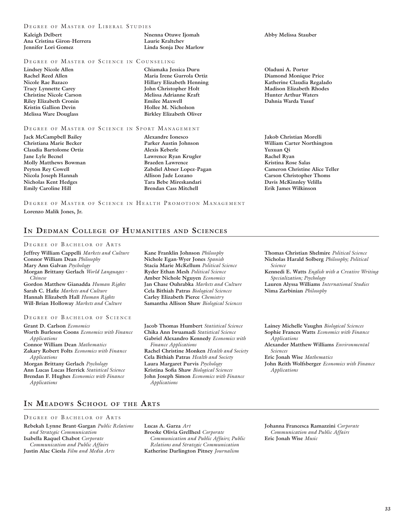### DEGREE OF MASTER OF LIBERAL STUDIES

| Kaleigh Delbert            |  |
|----------------------------|--|
| Ana Cristina Giron-Herrera |  |
| Jennifer Lori Gomez        |  |

### DEGREE OF MASTER OF SCIENCE IN COUNSELING

**Lindsey Nicole Allen Rachel Reed Allen Nicole Rae Bazaco Tracy Lynnette Carey Christine Nicole Carson Riley Elizabeth Cronin Kristin Gallion Devin Melissa Ware Douglass** 

### DEGREE OF MASTER OF SCIENCE IN SPORT MANAGEMENT

**Jack McCampbell Bailey Christiana Marie Becker Claudia Bartolome Ortiz Jane Lyle Becnel Molly Matthews Bowman Peyton Rey Cowell Nicola Joseph Hannah Nicholas Kent Hedges Emily Caroline Hill** 

**Maria Irene Gurrola Ortiz Hillary Elizabeth Henning John Christopher Holt Melissa Adrianne Kraft Emilee Maxwell Hollee M. Nicholson Birkley Elizabeth Oliver** 

**Nnenna Otuwe Ijomah Laurie Kraltchev Linda Sonja Dee Marlow** 

**Chiamaka Jessica Duru** 

**Alexandre Ionesco Parker Austin Johnson Alexis Keberle Lawrence Ryan Krugler Braeden Lawrence Zabdiel Abner Lopez-Pagan Allison Jade Lozano Tara Bebe Mireskandari Brendan Cass Mitchell** 

DEGREE OF MASTER OF SCIENCE IN HEALTH PROMOTION MANAGEMENT **Lorenzo Malik Jones, Jr.** 

### **In Dedman College of Humanities and Sciences**

### DEGREE OF BACHELOR OF ARTS

**Jeffrey William Cappelli** *Markets and Culture* **Connor William Dean** *Philosophy* **Mary Ann Galvan** *Psychology* **Morgan Brittany Gerlach** *World Languages - Chinese* **Gordon Matthew Gianadda** *Human Rights* **Sarah C. Hafiz** *Markets and Culture* **Hannah Elizabeth Hall** *Human Rights* **Will-Brian Holloway** *Markets and Culture*

### DEGREE OF BACHELOR OF SCIENCE

**Grant D. Carlson** *Economics* **Worth Burleson Coons** *Economics with Finance Applications* **Connor William Dean** *Mathematics* **Zakary Robert Folts** *Economics with Finance Applications* **Morgan Brittany Gerlach** *Psychology* **Ann Lucas Lucas Herrick** *Statistical Science* **Brendan F. Hughes** *Economics with Finance Applications*

**Kane Franklin Johnson** *Philosophy* **Nichole Egan-Wyer Jones** *Spanish* **Stacia Marie McKellum** *Political Science* **Ryder Ethan Mesh** *Political Science* **Amber Nichole Nguyen** *Economics* **Jan Chase Ouhrabka** *Markets and Culture* **Cela Bithiah Patras** *Biological Sciences* **Carley Elizabeth Pierce** *Chemistry* **Samantha Allison Shaw** *Biological Sciences*

**Jacob Thomas Humbert** *Statistical Science* **Chika Ann Iwuamadi** *Statistical Science* **Gabriel Alexandro Kennedy** *Economics with Finance Applications*

**Rachel Christine Monken** *Health and Society* **Cela Bithiah Patras** *Health and Society* **Laura Margaret Purvis** *Psychology* **Kristina Sofia Shaw** *Biological Sciences* **John Joseph Simon** *Economics with Finance Applications*

**Abby Melissa Stauber** 

**Oladuni A. Porter Diamond Monique Price Katherine Claudia Regalado Madison Elizabeth Rhodes Hunter Arthur Waters Dahnia Warda Yusuf** 

**Jakob Christian Morelli William Carter Northington Yuxuan Qi Rachel Ryan Kristina Rose Salas Cameron Christine Alice Teller Carson Christopher Thoms Davis McKinnley Velilla Erik James Wilkinson** 

**Thomas Christian Shelmire** *Political Science* **Nicholas Harald Solberg** *Philosophy; Political Science*

**Kennedi E. Watts** *English with a Creative Writing Specialization; Psychology*

**Lauren Alyssa Williams** *International Studies* **Nima Zarbinian** *Philosophy*

**Lainey Michelle Vaughn** *Biological Sciences* **Sophie Frances Watts** *Economics with Finance Applications* **Alexander Matthew Williams** *Environmental Sciences*  **Eric Jonah Wise** *Mathematics*

**John Reith Wolfsberger** *Economics with Finance Applications*

## **In Meadows School of the Arts**

### DEGREE OF BACHELOR OF ARTS

**Rebekah Lynne Brant-Gargan** *Public Relations and Strategic Communication* **Isabella Raquel Chabot** *Corporate Communication and Public Affairs* **Justin Alac Ciesla** *Film and Media Arts*

**Lucas A. Garza** *Art* **Brooke Olivia Grellhesl** *Corporate Communication and Public Affairs; Public Relations and Strategic Communication* **Katherine Darlington Pitney** *Journalism*

**Johanna Francesca Ramazzini** *Corporate Communication and Public Affairs* **Eric Jonah Wise** *Music*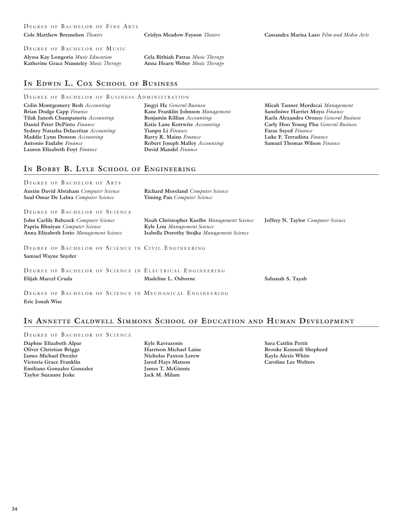### DEGREE OF BACHELOR OF MUSIC

**Alyssa Kay Longoria** *Music Education* **Katherine Grace Nunneley** *Music Therapy* **Cela Bithiah Patras** *Music Therapy* **Anna Hearn Weber** *Music Therapy*

## **In Edwin L. Cox School of Business**

### DEGREE OF BACHELOR OF BUSINESS ADMINISTRATION

**Colin Montgomery Besh** *Accounting* **Brian Dodge Capp** *Finance* **Tilak Janesh Champaneria** *Accounting* **Daniel Peter DePinto** *Finance* **Sydney Natasha Delacrétaz** *Accounting* **Maddie Lynn Denson** *Accounting* **Antonio Eudabe** *Finance* **Lauren Elizabeth Foyt** *Finance*

**Jingyi He** *General Business* **Kane Franklin Johnson** *Management* **Benjamin Killian** *Accounting* **Katie Lane Kottwitz** *Accounting* **Tianpu Li** *Finance* **Barry R. Mainz** *Finance* **Robert Joseph Malley** *Accounting* **David Mandel** *Finance*

**Micah Tanner Mordecai** *Management* **Sanelisiwe Harriet Moyo** *Finance* **Karla Alexandra Orozco** *General Business* **Carly Hoo Young Phu** *General Business* **Faraz Sayed** *Finance* **Luke F. Terradista** *Finance* **Samuel Thomas Wilson** *Finance*

## **In Bobby B. Lyle School of Engineering**

| DEGREE OF BACHELOR OF ARTS                                                                                          |                                                                                                                         |                                    |
|---------------------------------------------------------------------------------------------------------------------|-------------------------------------------------------------------------------------------------------------------------|------------------------------------|
| <b>Austin David Abraham Computer Science</b><br>Saul Omar De Labra Computer Science                                 | <b>Richard Moreland</b> Computer Science<br>Yiming Pan Computer Science                                                 |                                    |
| DEGREE OF BACHELOR OF SCIENCE                                                                                       |                                                                                                                         |                                    |
| John Carlile Babcock Computer Science<br>Papria Bhuiyan Computer Science<br>Anna Elizabeth Iorio Management Science | Noah Christopher Kuelbs Management Science<br>Kyle Lou Management Science<br>Isabella Dorothy Stojka Management Science | Jeffrey N. Taylor Computer Science |
| DEGREE OF BACHELOR OF SCIENCE IN CIVIL ENGINEERING<br><b>Samuel Wayne Snyder</b>                                    |                                                                                                                         |                                    |
| DEGREE OF BACHELOR OF SCIENCE IN ELECTRICAL ENGINEERING<br>Elijah Marcel Cruda                                      | Madeline L. Osborne                                                                                                     | Sahanah S. Tayab                   |
| DEGREE OF BACHELOR OF SCIENCE IN MECHANICAL ENGINEERING                                                             |                                                                                                                         |                                    |

### **In Annette Caldwell Simmons School of Education and Human Development**

DEGREE OF BACHELOR OF SCIENCE **Daphne Elizabeth Alpar Oliver Christian Briggs James Michael Drexler Victoria Grace Franklin Emiliano Gonzalez Gonzalez Taylor Suzanne Jeske**

**Eric Jonah Wise** 

**Kyle Kavrazonis Harrison Michael Laine Nicholas Paxton Lerew Jared Hays Matson James T. McGinnis Jack M. Milam** 

**Sara Caitlin Pettit Brooke Kennedi Shepherd Kayla Alexis White Caroline Lee Wolters**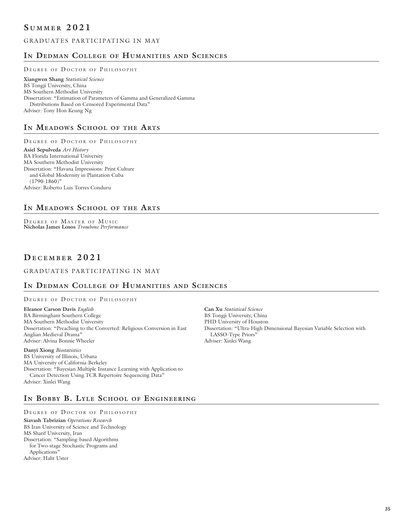## **S <sup>u</sup> mm e r 2 0 2 1**

## GRADUATES PARTICIPATING IN MAY

## **In Dedman College of Humanities and Sciences**

### DEGREE OF DOCTOR OF PHILOSOPHY

**Xiangwen Shang** *Statistical Science* BS Tongji University, China MS Southern Methodist University Dissertation: "Estimation of Parameters of Gamma and Generalized Gamma Distributions Based on Censored Experimental Data" Adviser: Tony Hon Keung Ng

## **In Meadows School of the Arts**

DEGREE OF DOCTOR OF PHILOSOPHY **Asiel Sepulveda** *Art History* BA Florida International University MA Southern Methodist University Dissertation: "Havana Impressions: Print Culture and Global Modernity in Plantation Cuba  $(1790-1860)$ " Adviser: Roberto Luis Torres Conduru

## **In Meadows School of the Arts**

DEGREE OF MASTER OF MUSIC **Nicholas James Losos** *Trombone Performance*

## **D e c e mb e r 2 0 2 1**

### GRADUATES PARTICIPATING IN MAY

## **In Dedman College of Humanities and Sciences**

DEGREE OF DOCTOR OF PHILOSOPHY

**Eleanor Carson Davis** *English* BA Birmingham Southern College MA Southern Methodist University Dissertation: "Preaching to the Converted: Religious Conversion in East Anglian Medieval Drama" Adviser: Alvina Bonnie Wheeler

**Danyi Xiong** *Biostatistics* BS University of Illinois, Urbana MA University of California-Berkeley Dissertation: "Bayesian Multiple Instance Learning with Application to Cancer Detection Using TCR Repertoire Sequencing Data" Adviser: Xinlei Wang

PHD University of Houston Dissertation: "Ultra-High Dimensional Bayesian Variable Selection with LASSO-Type Priors" Adviser: Xinlei Wang

**Can Xu** *Statistical Science* BS Tongji University, China

## **In Bobby B. Lyle School of Engineering**

DEGREE OF DOCTOR OF PHILOSOPHY

**Siavash Tabrizian** *Operations Research* BS Iran University of Science and Technology MS Sharif University, Iran Dissertation: "Sampling-based Algorithms for Two-stage Stochastic Programs and Applications" Adviser: Halit Uster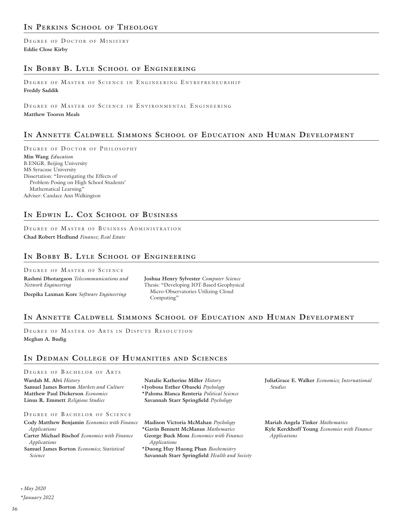DEGREE OF DOCTOR OF MINISTRY **Eddie Close Kirby**

## **In Bobby B. Lyle School of Engineering**

DEGREE OF MASTER OF SCIENCE IN ENGINEERING ENTREPRENEURSHIP **Freddy Saddik**

DEGREE OF MASTER OF SCIENCE IN ENVIRONMENTAL ENGINEERING **Matthew Tooren Meals** 

## **In Annette Caldwell Simmons School of Education and Human Development**

DEGREE OF DOCTOR OF PHILOSOPHY **Min Wang** *Education* B.ENGR. Beijing University MS Syracuse University Dissertation: "Investigating the Effects of Problem-Posing on High School Students' Mathematical Learning" Adviser: Candace Ann Walkington

## **In Edwin L. Cox School of Business**

DEGREE OF MASTER OF BUSINESS ADMINISTRATION **Chad Robert Hedlund** *Finance; Real Estate*

## **In Bobby B. Lyle School of Engineering**

DEGREE OF MASTER OF SCIENCE **Rashmi Dhotargaon** *Telecommunications and Network Engineering* **Deepika Laxman Kore** *Software Engineering*

**Joshua Henry Sylvester** *Computer Science* Thesis: "Developing IOT-Based Geophysical Micro-Observatories Utilizing Cloud Computing"

## **In Annette Caldwell Simmons School of Education and Human Development**

DEGREE OF MASTER OF ARTS IN DISPUTE RESOLUTION **Meghan A. Budig**

## **In Dedman College of Humanities and Sciences**

### DEGREE OF BACHELOR OF ARTS

**Wardah M. Alvi** *History* **Samuel James Borton** *Markets and Culture* **Matthew Paul Dickerson** *Economics* **Linus R. Emmett** *Religious Studies*

**Natalie Katherine Miller** *History* **Iyobosa Esther Obaseki** *Psychology* **+ \*Paloma Blanca Renteria** *Political Science* **Savannah Starr Springfield** *Psychology*

DEGREE OF BACHELOR OF SCIENCE

- **Cody Matthew Benjamin** *Economics with Finance Applications*
- **Carter Michael Bischof** *Economics with Finance Applications*
- **Samuel James Borton** *Economics; Statistical Science*

**Madison Victoria McMahan** *Psychology* **\*Gavin Bennett McManus** *Mathematics* **George Buck Moss** *Economics with Finance* 

*Applications* **\*Duong Huy Huong Phan** *Biochemistry*

**Savannah Starr Springfield** *Health and Society*

**JuliaGrace E. Walker** *Economics; International Studies*

**Mariah Angela Tinker** *Mathematics* **Kyle Kerckhoff Young** *Economics with Finance Applications*

 *May 2020 +*

*\*January 2022*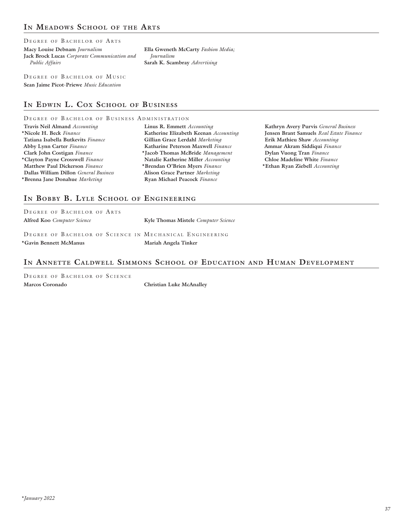## **In Meadows School of the Arts**

DEGREE OF BACHELOR OF ARTS

**Macy Louise Debnam** *Journalism* **Jack Brock Lucas** *Corporate Communication and Public Affairs*

**Ella Gweneth McCarty** *Fashion Media; Journalism* **Sarah K. Scambray** *Advertising*

DEGREE OF BACHELOR OF MUSIC **Sean Jaime Picot-Priewe** *Music Education*

## **In Edwin L. Cox School of Business**

### DEGREE OF BACHELOR OF BUSINESS ADMINISTRATION

| Travis Neil Almand Accounting                 |
|-----------------------------------------------|
| *Nicole H. Beck Finance                       |
| Tatiana Isabella Butkevits Finance            |
| Abby Lynn Carter Finance                      |
| Clark John Costigan Finance                   |
| *Clayton Payne Crosswell Finance              |
| Matthew Paul Dickerson Finance                |
| Dallas William Dillon <i>General Business</i> |
| *Brenna Jane Donahue Marketing                |
|                                               |

**Linus R. Emmett** *Accounting* **Katherine Elizabeth Keenan** *Accounting* **Gillian Grace Lerdahl** *Marketing* **Katharine Peterson Maxwell** *Finance* **\*Jacob Thomas McBride** *Management* **Natalie Katherine Miller** *Accounting* **\*Brendan O'Brien Myers** *Finance* **Alison Grace Partner** *Marketing* **Ryan Michael Peacock** *Finance*

**Kathryn Avery Purvis** *General Business* **Jensen Brant Samuels** *Real Estate Finance* **Erik Mathieu Shaw** *Accounting* **Ammar Akram Siddiqui** *Finance* **Dylan Vuong Tran** *Finance* **Chloe Madeline White** *Finance* **\*Ethan Ryan Ziebell** *Accounting*

## **In Bobby B. Lyle School of Engineering**

| DEGREE OF BACHELOR OF ARTS                              |                                      |
|---------------------------------------------------------|--------------------------------------|
| <b>Alfred Koo</b> Computer Science                      | Kyle Thomas Mistele Computer Science |
|                                                         |                                      |
| DEGREE OF BACHELOR OF SCIENCE IN MECHANICAL ENGINEERING |                                      |
| *Gavin Bennett McManus                                  | Mariah Angela Tinker                 |

## **In Annette Caldwell Simmons School of Education and Human Development**

DEGREE OF BACHELOR OF SCIENCE **Marcos Coronado Christian Luke McAnalley**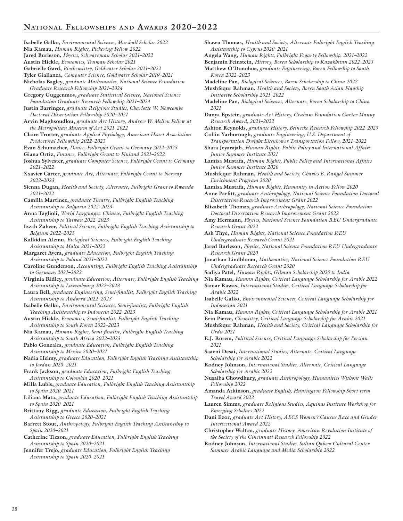- **Isabelle Galko,** *Environmental Sciences, Marshall Scholar 2022* **Nia Kamau,** *Human Rights, Pickering Fellow 2022* **Jared Burleson,** *Physics, Schwarzman Scholar 2021–2022* **Austin Hickle,** *Economics, Truman Scholar 2021* **Gabrielle Gard,** *Biochemistry, Goldwater Scholar 2021–2022* **Tyler Giallanza,** *Computer Science, Goldwater Scholar 2019–2021* **Nicholas Bagley,** *graduate Mathematics, National Science Foundation Graduate Research Fellowship 2021–2024* **Gregory Guggenmos,** *graduate Statistical Science, National Science Foundation Graduate Research Fellowship 2021–2024* **Justin Barringer,** *graduate Religious Studies, Charlotte W. Newcombe Doctoral Dissertation Fellowship 2020–2021* **Arvin Maghsoudlou,** *graduate Art History, Andrew W. Mellon Fellow at the Metropolitan Museum of Art 2021–2022* **Claire Trotter,** *graduate Applied Physiology, American Heart Association Predoctoral Fellowship 2022–2023* **Evan Schumacher,** *Dance, Fulbright Grant to Germany 2022–2023* **Giana Ortiz,** *Finance, Fulbright Grant to Finland 2021–2022* **Joshua Sylvester,** *graduate Computer Science, Fulbright Grant to Germany 2021–2022* **Xxavier Carter,** *graduate Art, Alternate, Fulbright Grant to Norway 2022–2023* **Sienna Dugan,** *Health and Society, Alternate, Fulbright Grant to Rwanda 2021–2022* **Camilla Martinez,** *graduate Theatre, Fulbright English Teaching Assistantship to Bulgaria 2022–2023* **Anna Taglioli,** *World Languages: Chinese, Fulbright English Teaching Assistantship to Taiwan 2022–2023* **Izzah Zaheer,** *Political Science, Fulbright English Teaching Assistantship to Belgium 2022–2023* **Kalkidan Alemu,** *Biological Sciences, Fulbright English Teaching Assistantship to Malta 2021–2022* **Margaret Avera,** *graduate Education, Fulbright English Teaching Assistantship to Poland 2021–2022* **Caroline Gunderson,** *Accounting, Fulbright English Teaching Assistantship to Germany 2021–2022* **Virginia Ridley,** *graduate Education, Alternate, Fulbright English Teaching Assistantship to Luxembourg 2022–2023* **Laura Bell,** *graduate Engineering, Semi-finalist, Fulbright English Teaching Assistantship to Andorra 2022–2023* **Isabelle Galko,** *Environmental Sciences, Semi-finalist, Fulbright English Teaching Assistantship to Indonesia 2022–2023* **Austin Hickle,** *Economics, Semi-finalist, Fulbright English Teaching Assistantship to South Korea 2022–2023* **Nia Kamau,** *Human Rights, Semi-finalist, Fulbright English Teaching Assistantship to South Africa 2022–2023* **Pablo Gonzales,** *graduate Education, Fulbright English Teaching Assistantship to Mexico 2020–2021* **Nadia Helmy,** *graduate Education, Fulbright English Teaching Assistantship to Jordan 2020–2021* **Frank Jackson,** *graduate Education, Fulbright English Teaching Assistantship to Colombia 2020–2021* **Milla Lubis,** *graduate Education, Fulbright English Teaching Assistantship to Spain 2020–2021* **Liliana Mata,** *graduate Education, Fulbright English Teaching Assistantship to Spain 2020–2021* **Brittany Rigg,** *graduate Education, Fulbright English Teaching Assistantship to Greece 2020–2021* **Barrett Stout,** *Anthropology, Fulbright English Teaching Assistantship to Spain 2020–2021* **Catherine Ticzon,** *graduate Education, Fulbright English Teaching Assistantship to Spain 2020–2021* **Jennifer Trejo,** *graduate Education, Fulbright English Teaching Assistantship to Spain 2020–2021 2021 2021*
	- **Shawn Thomas,** *Health and Society, Alternate Fulbright English Teaching Assistantship to Cyprus 2020–2021* **Angela Wang,** *Human Rights, Fulbright Fogarty Fellowship, 2021–2022*
	- **Benjamin Feinstein,** *History, Boren Scholarship to Kazakhstan 2022–2023* **Matthew O'Donohue,** *graduate Engineering, Boren Fellowship to South*
	- *Korea 2022–2023* **Madeline Pan,** *Biological Sciences, Boren Scholarship to China 2022*
	- **Mushfequr Rahman,** *Health and Society, Boren South Asian Flagship Initiative Scholarship 2021–2022*
	- **Madeline Pan,** *Biological Sciences, Alternate, Boren Scholarship to China*
	- **Danya Epstein,** *graduate Art History, Graham Foundation Carter Manny Research Award, 2021–2022*

**Ashton Reynolds,** *graduate History, Beinecke Research Fellowship 2022–2023* **Collin Yarborough,** *graduate Engineering, U.S. Department of* 

*Transportation Dwight Eisenhower Transportation Fellow, 2021–2022* **Shara Jeyarajah,** *Human Rights, Public Policy and International Affairs* 

- *Junior Summer Institute 2021*
- **Lamisa Mustafa,** *Human Rights, Public Policy and International Affairs Junior Summer Institute 2020*

**Mushfequr Rahman,** *Health and Society, Charles B. Rangel Summer Enrichment Program 2020*

**Lamisa Mustafa,** *Human Rights, Humanity in Action Fellow 2020*

**Anne Parfitt,** *graduate Anthropology, National Science Foundation Doctoral Dissertation Research Improvement Grant 2022*

- **Elizabeth Thomas,** *graduate Anthropology, National Science Foundation Doctoral Dissertation Research Improvement Grant 2022*
- **Amy Hermann,** *Physics, National Science Foundation REU Undergraduate Research Grant 2022*
- **Ash Thye,** *Human Rights, National Science Foundation REU Undergraduate Research Grant 2021*
- **Jared Burleson,** *Physics, National Science Foundation REU Undergraduate Research Grant 2020*
- **Jonathan Lindbloom,** *Mathematics, National Science Foundation REU Undergraduate Research Grant 2020*
- **Sadiya Patel,** *Human Rights, Gilman Scholarship 2020 to India*
- **Nia Kamau,** *Human Rights, Critical Language Scholarship for Arabic 2022* **Samar Rawas,** *International Studies, Critical Language Scholarship for*

*Arabic 2022*

- **Isabelle Galko,** *Environmental Sciences, Critical Language Scholarship for Indonesian 2021*
- **Nia Kamau,** *Human Rights, Critical Language Scholarship for Arabic 2021*
- **Erin Pierce,** *Chemistry, Critical Language Scholarship for Arabic 2021*

**Mushfequr Rahman,** *Health and Society, Critical Language Scholarship for Urdu 2021*

**E.J. Rorem,** *Political Science, Critical Language Scholarship for Persian* 

**Saavni Desai,** *International Studies, Alternate, Critical Language Scholarship for Arabic 2022*

**Rodney Johnson,** *International Studies, Alternate, Critical Language Scholarship for Arabic 2022*

**Nusaiba Chowdhury,** *graduate Anthropology, Humanities Without Walls Fellowship 2022*

**Amanda Atkinson,** *graduate English, Huntington Fellowship Short-term Travel Award 2022*

- **Lauren Simms,** *graduate Religious Studies, Aquinas Institute Workshop for Emerging Scholars 2022*
- **Dani Ezor,** *graduate Art History, AECS Women's Caucus Race and Gender Intersectional Award 2022*

**Christopher Walton,** *graduate History, American Revolution Institute of the Society of the Cincinnati Research Fellowship 2022*

**Rodney Johnson,** *International Studies, Sultan Qaboos Cultural Center Summer Arabic Language and Media Scholarship 2022*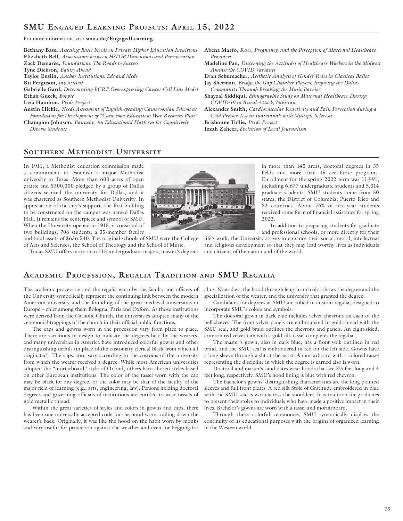For more information, visit **smu.edu/EngagedLearning.** 

**Bethany Bass,** *Assessing Basic Needs on Private Higher Education Intuitions* **Elizabeth Bell,** *Associations between HiTOP Dimensions and Perseveration* **Zack Demaree,** *Foundations: The Roads to Success* **Tyne Dickson,** *Equity Ahead* **Taylor Enslin,** *Anchor Institutions: Eds and Meds* **Ru Ferguson,** *id(entities)* **Gabrielle Gard,** *Determining BCRP Overexpressing Cancer Cell Line Model* **Ethan Gueck,** *Boppie* **Leia Hannum,** *Pride Project* **Austin Hickle,** *Needs Assessment of English-speaking Cameroonian Schools as Foundation for Development of "Cameroon Education: War-Recovery Plan"*

**Champion Johnson,** *Banneky, An Educational Platform for Cognitively Diverse Students*

**Abena Marfo,** *Race, Pregnancy, and the Perception of Maternal Healthcare Providers*

**Madeline Pan,** *Discerning the Attitudes of Healthcare Workers in the Midwest Amidst the COVID Variants*

**Evan Schumacher,** *Aesthetic Analysis of Gender Roles in Classical Ballet*

**Jay Sherman,** *Bridge the Gap Chamber Players: Inspiring the Dallas Community Through Breaking the Music Barrier*

**Shayzal Siddiqui,** *Ethnographic Study on Maternal Healthcare During COVID-19 in Rural Attock, Pakistan*

**Alexander Smith,** *Cardiovascular Reactivity and Pain Perception during a Cold Pressor Test in Individuals with Multiple Sclerosis*

**Brishonne Tollie,** *Pride Project*

**Izzah Zaheer,** *Evolution of Local Journalism*

## **Southern Methodist University**

In 1911, a Methodist education commission made a commitment to establish a major Methodist university in Texas. More than 600 acres of open prairie and \$300,000 pledged by a group of Dallas citizens secured the university for Dallas, and it was chartered as Southern Methodist University. In appreciation of the city's support, the first building to be constructed on the campus was named Dallas Hall. It remains the centerpiece and symbol of SMU. When the University opened in 1915, it consisted of two buildings, 706 students, a 35-member faculty

and total assets of \$636,540. The original schools of SMU were the College of Arts and Sciences, the School of Theology and the School of Music.

Today SMU offers more than 115 undergraduate majors, master's degrees

in more than 140 areas, doctoral degrees in 35 fields and more than 45 certificate programs. Enrollment for the spring 2022 term was 11,991, including 6,677 undergraduate students and 5,314 graduate students. SMU students come from 50 states, the District of Columbia, Puerto Rico and 82 countries. About 76% of first-year students received some form of financial assistance for spring 2022.

In addition to preparing students for graduate and professional schools, or more directly for their

life's work, the University strives to enhance their social, moral, intellectual and religious development so that they may lead worthy lives as individuals and citizens of the nation and of the world.

### **Academic Procession, Regalia Tradition and SMU Regalia**

The academic procession and the regalia worn by the faculty and officers of the University symbolically represent the continuing link between the modern American university and the founding of the great medieval universities in Europe – chief among them Bologna, Paris and Oxford. As those institutions were derived from the Catholic Church, the universities adopted many of the ceremonial trappings of the church in their official public functions.

The caps and gowns worn in the procession vary from place to place. There are variations in design to indicate the degrees held by the wearers, and many universities in America have introduced colorful gowns and other distinguishing details (in place of the customary clerical black from which all originated). The caps, too, vary according to the customs of the university from which the wearer received a degree. While most American universities adopted the "mortarboard" style of Oxford, others have chosen styles based on other European institutions. The color of the tassel worn with the cap may be black for any degree, or the color may be that of the faculty of the major field of learning (e.g., arts, engineering, law). Persons holding doctoral degrees and governing officials of institutions are entitled to wear tassels of gold metallic thread.

Within the great varieties of styles and colors in gowns and caps, there has been one universally accepted code for the hood worn trailing down the wearer's back. Originally, it was like the hood on the habit worn by monks and very useful for protection against the weather and even for begging for

alms. Nowadays, the hood through length and color shows the degree and the specialization of the wearer, and the university that granted the degree.

Candidates for degrees at SMU are robed in custom regalia, designed to incorporate SMU's colors and symbols.

The doctoral gown in dark blue includes velvet chevrons on each of the bell sleeves. The front velvet panels are embroidered in gold thread with the SMU seal, and gold braid outlines the chevrons and panels. An eight-sided, crimson red velvet tam with a gold silk tassel completes the regalia.

The master's gown, also in dark blue, has a front yolk outlined in red braid, and the SMU seal is embroidered in red on the left side. Gowns have a long sleeve through a slit at the wrist. A mortarboard with a colored tassel representing the discipline in which the degree is earned also is worn.

Doctoral and master's candidates wear hoods that are 3½ feet long and 4 feet long, respectively. SMU's hood lining is blue with red chevron.

The bachelor's gowns' distinguishing characteristics are the long pointed sleeves and full front pleats. A red silk Stole of Gratitude embroidered in blue with the SMU seal is worn across the shoulders. It is tradition for graduates to present their stoles to individuals who have made a positive impact in their lives. Bachelor's gowns are worn with a tassel and mortarboard.

Through these colorful ceremonies, SMU symbolically displays the continuity of its educational purposes with the origins of organized learning in the Western world.